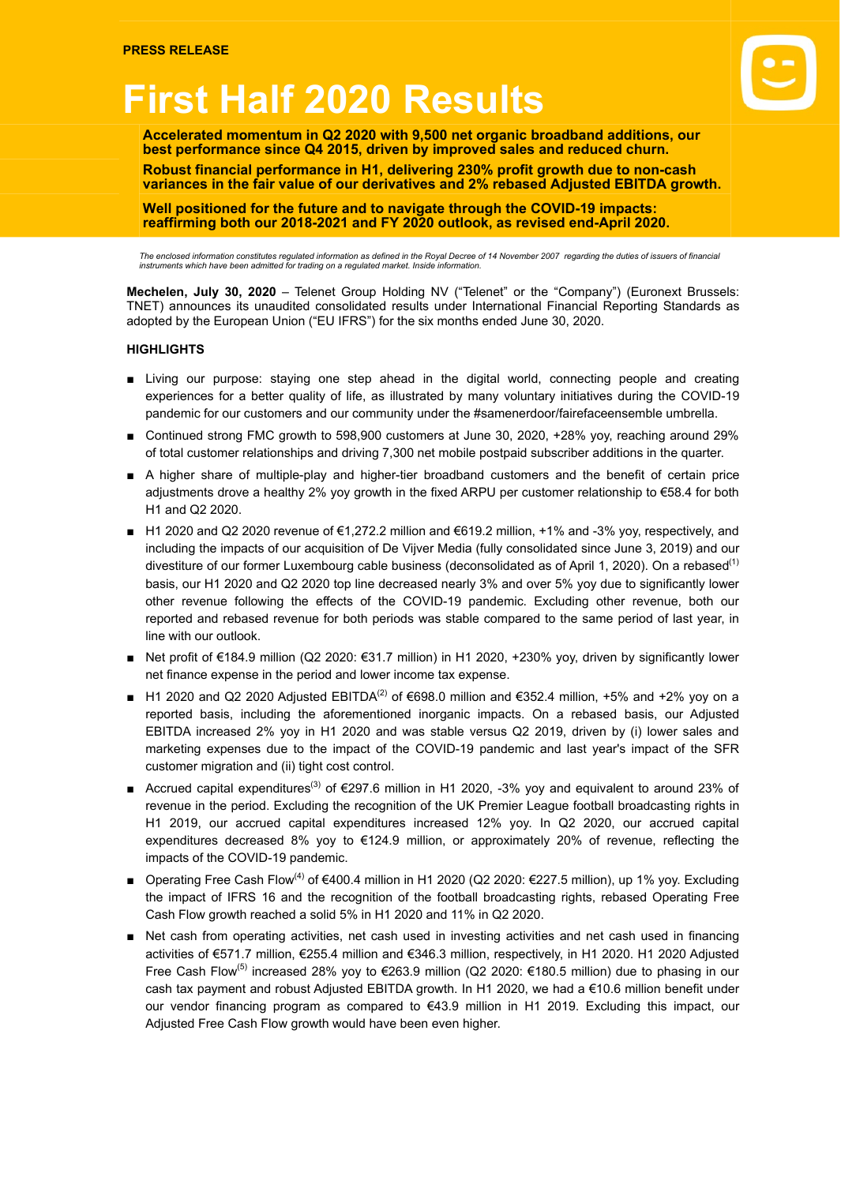# **First Half 2020 Results**

**Accelerated momentum in Q2 2020 with 9,500 net organic broadband additions, our best performance since Q4 2015, driven by improved sales and reduced churn.**

**Robust financial performance in H1, delivering 230% profit growth due to non-cash variances in the fair value of our derivatives and 2% rebased Adjusted EBITDA growth.**

**Well positioned for the future and to navigate through the COVID-19 impacts: reaffirming both our 2018-2021 and FY 2020 outlook, as revised end-April 2020.**

The enclosed information constitutes regulated information as defined in the Royal Decree of 14 November 2007 regarding the duties of issuers of financial<br>instruments which have been admitted for trading on a regulated mar

**Mechelen, July 30, 2020** – Telenet Group Holding NV ("Telenet" or the "Company") (Euronext Brussels: TNET) announces its unaudited consolidated results under International Financial Reporting Standards as adopted by the European Union ("EU IFRS") for the six months ended June 30, 2020.

## **HIGHLIGHTS**

- Living our purpose: staying one step ahead in the digital world, connecting people and creating experiences for a better quality of life, as illustrated by many voluntary initiatives during the COVID-19 pandemic for our customers and our community under the #samenerdoor/fairefaceensemble umbrella.
- Continued strong FMC growth to 598,900 customers at June 30, 2020, +28% yoy, reaching around 29% of total customer relationships and driving 7,300 net mobile postpaid subscriber additions in the quarter.
- A higher share of multiple-play and higher-tier broadband customers and the benefit of certain price adjustments drove a healthy 2% yoy growth in the fixed ARPU per customer relationship to €58.4 for both H1 and Q2 2020.
- H1 2020 and Q2 2020 revenue of €1,272.2 million and €619.2 million, +1% and -3% yoy, respectively, and including the impacts of our acquisition of De Vijver Media (fully consolidated since June 3, 2019) and our divestiture of our former Luxembourg cable business (deconsolidated as of April 1, 2020). On a rebased<sup>(1)</sup> basis, our H1 2020 and Q2 2020 top line decreased nearly 3% and over 5% yoy due to significantly lower other revenue following the effects of the COVID-19 pandemic. Excluding other revenue, both our reported and rebased revenue for both periods was stable compared to the same period of last year, in line with our outlook.
- Net profit of €184.9 million (Q2 2020: €31.7 million) in H1 2020, +230% yoy, driven by significantly lower net finance expense in the period and lower income tax expense.
- H1 2020 and Q2 2020 Adjusted EBITDA<sup>(2)</sup> of €698.0 million and €352.4 million, +5% and +2% yoy on a reported basis, including the aforementioned inorganic impacts. On a rebased basis, our Adjusted EBITDA increased 2% yoy in H1 2020 and was stable versus Q2 2019, driven by (i) lower sales and marketing expenses due to the impact of the COVID-19 pandemic and last year's impact of the SFR customer migration and (ii) tight cost control.
- Accrued capital expenditures<sup>(3)</sup> of €297.6 million in H1 2020, -3% yoy and equivalent to around 23% of revenue in the period. Excluding the recognition of the UK Premier League football broadcasting rights in H1 2019, our accrued capital expenditures increased 12% yoy. In Q2 2020, our accrued capital expenditures decreased 8% yoy to €124.9 million, or approximately 20% of revenue, reflecting the impacts of the COVID-19 pandemic.
- Operating Free Cash Flow<sup>(4)</sup> of €400.4 million in H1 2020 (Q2 2020: €227.5 million), up 1% yoy. Excluding the impact of IFRS 16 and the recognition of the football broadcasting rights, rebased Operating Free Cash Flow growth reached a solid 5% in H1 2020 and 11% in Q2 2020.
- Net cash from operating activities, net cash used in investing activities and net cash used in financing activities of €571.7 million, €255.4 million and €346.3 million, respectively, in H1 2020. H1 2020 Adjusted Free Cash Flow<sup>(5)</sup> increased 28% yoy to €263.9 million (Q2 2020: €180.5 million) due to phasing in our cash tax payment and robust Adjusted EBITDA growth. In H1 2020, we had a €10.6 million benefit under our vendor financing program as compared to €43.9 million in H1 2019. Excluding this impact, our Adjusted Free Cash Flow growth would have been even higher.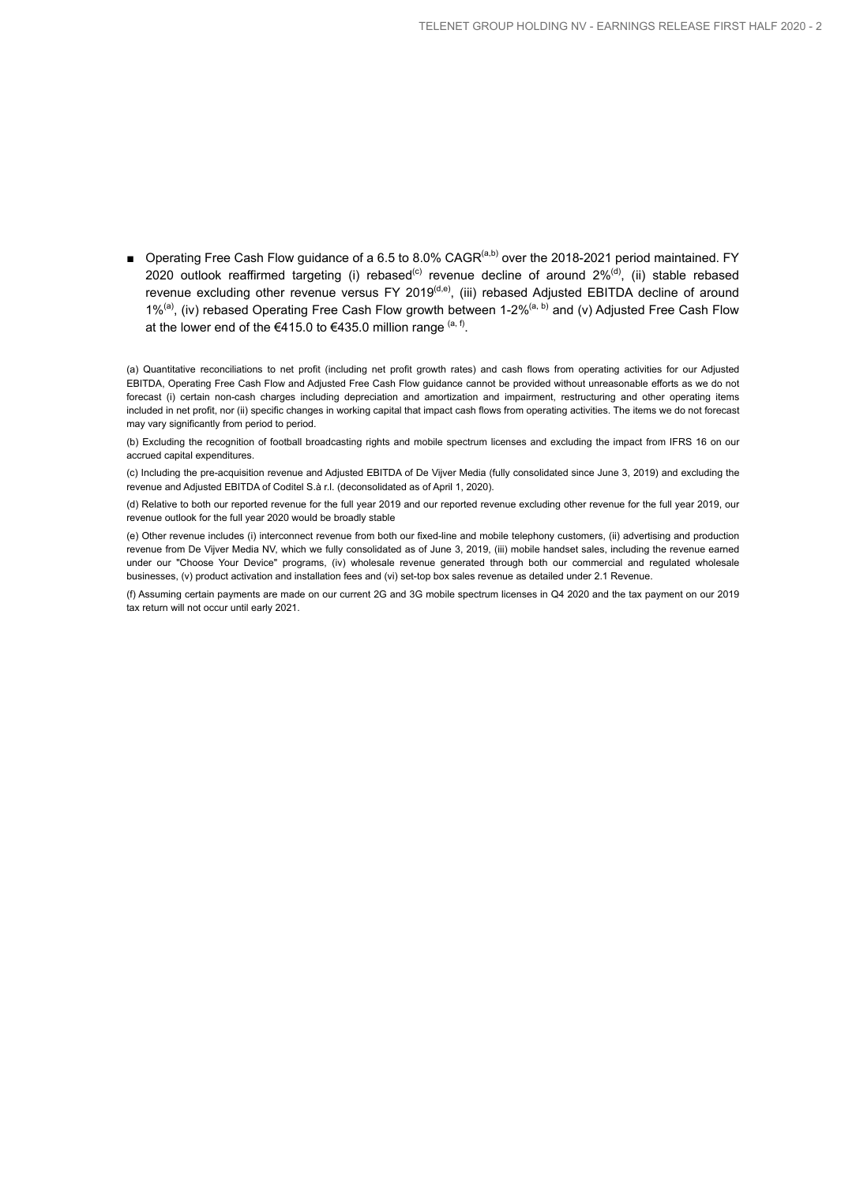■ Operating Free Cash Flow guidance of a 6.5 to 8.0% CAGR<sup>(a,b)</sup> over the 2018-2021 period maintained. FY  $2020$  outlook reaffirmed targeting (i) rebased<sup>(c)</sup> revenue decline of around  $2\%$ <sup>(d)</sup>, (ii) stable rebased revenue excluding other revenue versus FY 2019<sup>(d,e)</sup>, (iii) rebased Adjusted EBITDA decline of around 1%<sup>(a)</sup>, (iv) rebased Operating Free Cash Flow growth between 1-2%<sup>(a, b)</sup> and (v) Adjusted Free Cash Flow at the lower end of the €415.0 to €435.0 million range  $($ a, f).

(a) Quantitative reconciliations to net profit (including net profit growth rates) and cash flows from operating activities for our Adjusted EBITDA, Operating Free Cash Flow and Adjusted Free Cash Flow guidance cannot be provided without unreasonable efforts as we do not forecast (i) certain non-cash charges including depreciation and amortization and impairment, restructuring and other operating items included in net profit, nor (ii) specific changes in working capital that impact cash flows from operating activities. The items we do not forecast may vary significantly from period to period.

(b) Excluding the recognition of football broadcasting rights and mobile spectrum licenses and excluding the impact from IFRS 16 on our accrued capital expenditures.

(c) Including the pre-acquisition revenue and Adjusted EBITDA of De Vijver Media (fully consolidated since June 3, 2019) and excluding the revenue and Adjusted EBITDA of Coditel S.à r.l. (deconsolidated as of April 1, 2020).

(d) Relative to both our reported revenue for the full year 2019 and our reported revenue excluding other revenue for the full year 2019, our revenue outlook for the full year 2020 would be broadly stable

(e) Other revenue includes (i) interconnect revenue from both our fixed-line and mobile telephony customers, (ii) advertising and production revenue from De Vijver Media NV, which we fully consolidated as of June 3, 2019, (iii) mobile handset sales, including the revenue earned under our "Choose Your Device" programs, (iv) wholesale revenue generated through both our commercial and regulated wholesale businesses, (v) product activation and installation fees and (vi) set-top box sales revenue as detailed under 2.1 Revenue.

(f) Assuming certain payments are made on our current 2G and 3G mobile spectrum licenses in Q4 2020 and the tax payment on our 2019 tax return will not occur until early 2021.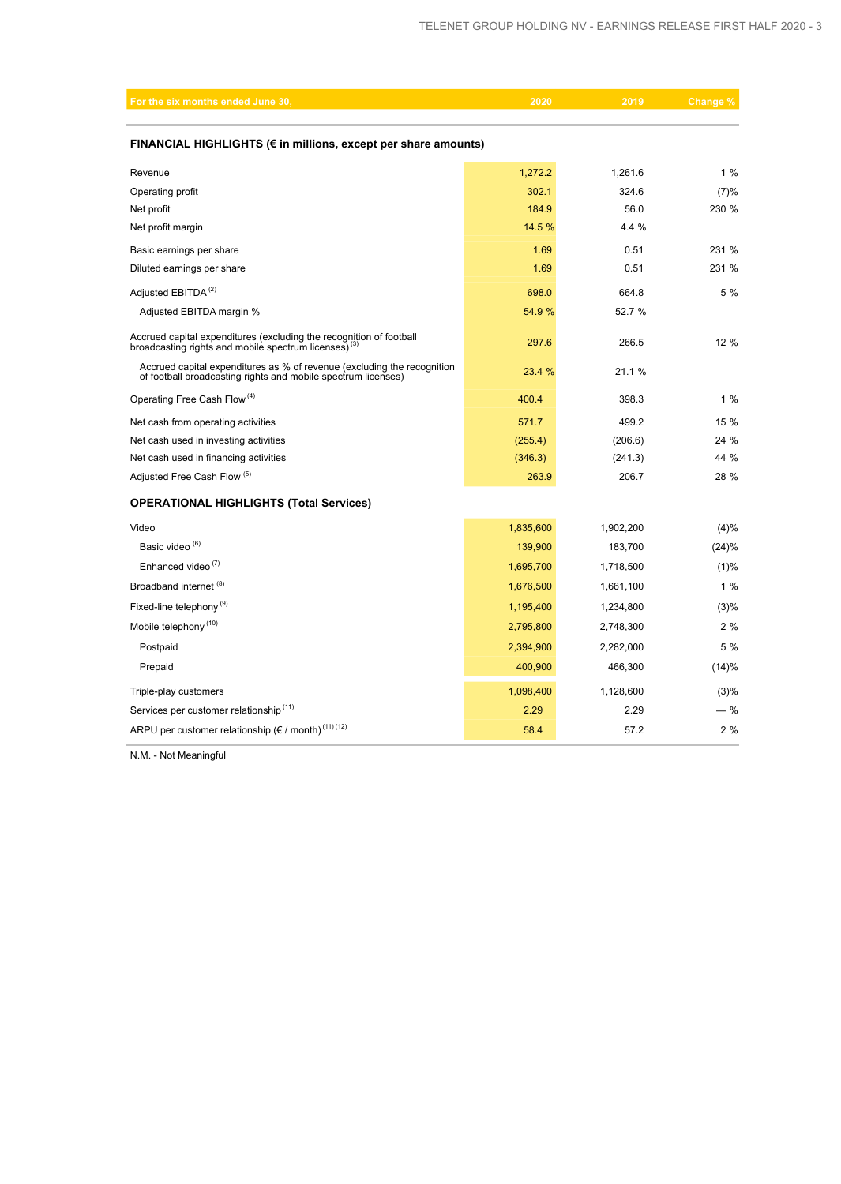| For the six months ended June 30,                                                                                                        | 2020      | 2019      | Change |  |  |  |  |  |  |
|------------------------------------------------------------------------------------------------------------------------------------------|-----------|-----------|--------|--|--|--|--|--|--|
|                                                                                                                                          |           |           |        |  |  |  |  |  |  |
| FINANCIAL HIGHLIGHTS (€ in millions, except per share amounts)                                                                           |           |           |        |  |  |  |  |  |  |
| Revenue                                                                                                                                  | 1,272.2   | 1,261.6   | 1%     |  |  |  |  |  |  |
| Operating profit                                                                                                                         | 302.1     | 324.6     | (7)%   |  |  |  |  |  |  |
| Net profit                                                                                                                               | 184.9     | 56.0      | 230 %  |  |  |  |  |  |  |
| Net profit margin                                                                                                                        | 14.5 %    | 4.4 %     |        |  |  |  |  |  |  |
| Basic earnings per share                                                                                                                 | 1.69      | 0.51      | 231 %  |  |  |  |  |  |  |
| Diluted earnings per share                                                                                                               | 1.69      | 0.51      | 231 %  |  |  |  |  |  |  |
| Adjusted EBITDA <sup>(2)</sup>                                                                                                           | 698.0     | 664.8     | 5 %    |  |  |  |  |  |  |
| Adjusted EBITDA margin %                                                                                                                 | 54.9 %    | 52.7 %    |        |  |  |  |  |  |  |
| Accrued capital expenditures (excluding the recognition of football<br>broadcasting rights and mobile spectrum licenses) <sup>(3)</sup>  | 297.6     | 266.5     | 12 %   |  |  |  |  |  |  |
| Accrued capital expenditures as % of revenue (excluding the recognition<br>of football broadcasting rights and mobile spectrum licenses) | 23.4 %    | 21.1%     |        |  |  |  |  |  |  |
| Operating Free Cash Flow <sup>(4)</sup>                                                                                                  | 400.4     | 398.3     | 1%     |  |  |  |  |  |  |
| Net cash from operating activities                                                                                                       | 571.7     | 499.2     | 15 %   |  |  |  |  |  |  |
| Net cash used in investing activities                                                                                                    | (255.4)   | (206.6)   | 24 %   |  |  |  |  |  |  |
| Net cash used in financing activities                                                                                                    | (346.3)   | (241.3)   | 44 %   |  |  |  |  |  |  |
| Adjusted Free Cash Flow (5)                                                                                                              | 263.9     | 206.7     | 28 %   |  |  |  |  |  |  |
| <b>OPERATIONAL HIGHLIGHTS (Total Services)</b>                                                                                           |           |           |        |  |  |  |  |  |  |
| Video                                                                                                                                    | 1,835,600 | 1,902,200 | (4)%   |  |  |  |  |  |  |
| Basic video <sup>(6)</sup>                                                                                                               | 139,900   | 183,700   | (24)%  |  |  |  |  |  |  |
| Enhanced video <sup>(7)</sup>                                                                                                            | 1,695,700 | 1,718,500 | (1)%   |  |  |  |  |  |  |
| Broadband internet (8)                                                                                                                   | 1,676,500 | 1,661,100 | 1%     |  |  |  |  |  |  |
| Fixed-line telephony <sup>(9)</sup>                                                                                                      | 1,195,400 | 1,234,800 | (3)%   |  |  |  |  |  |  |
| Mobile telephony <sup>(10)</sup>                                                                                                         | 2,795,800 | 2,748,300 | 2%     |  |  |  |  |  |  |
| Postpaid                                                                                                                                 | 2,394,900 | 2,282,000 | 5 %    |  |  |  |  |  |  |
| Prepaid                                                                                                                                  | 400,900   | 466,300   | (14)%  |  |  |  |  |  |  |
| Triple-play customers                                                                                                                    | 1,098,400 | 1,128,600 | (3)%   |  |  |  |  |  |  |
| Services per customer relationship <sup>(11)</sup>                                                                                       | 2.29      | 2.29      | — %    |  |  |  |  |  |  |
| ARPU per customer relationship ( $\varepsilon$ / month) <sup>(11)(12)</sup>                                                              | 58.4      | 57.2      | 2%     |  |  |  |  |  |  |

N.M. - Not Meaningful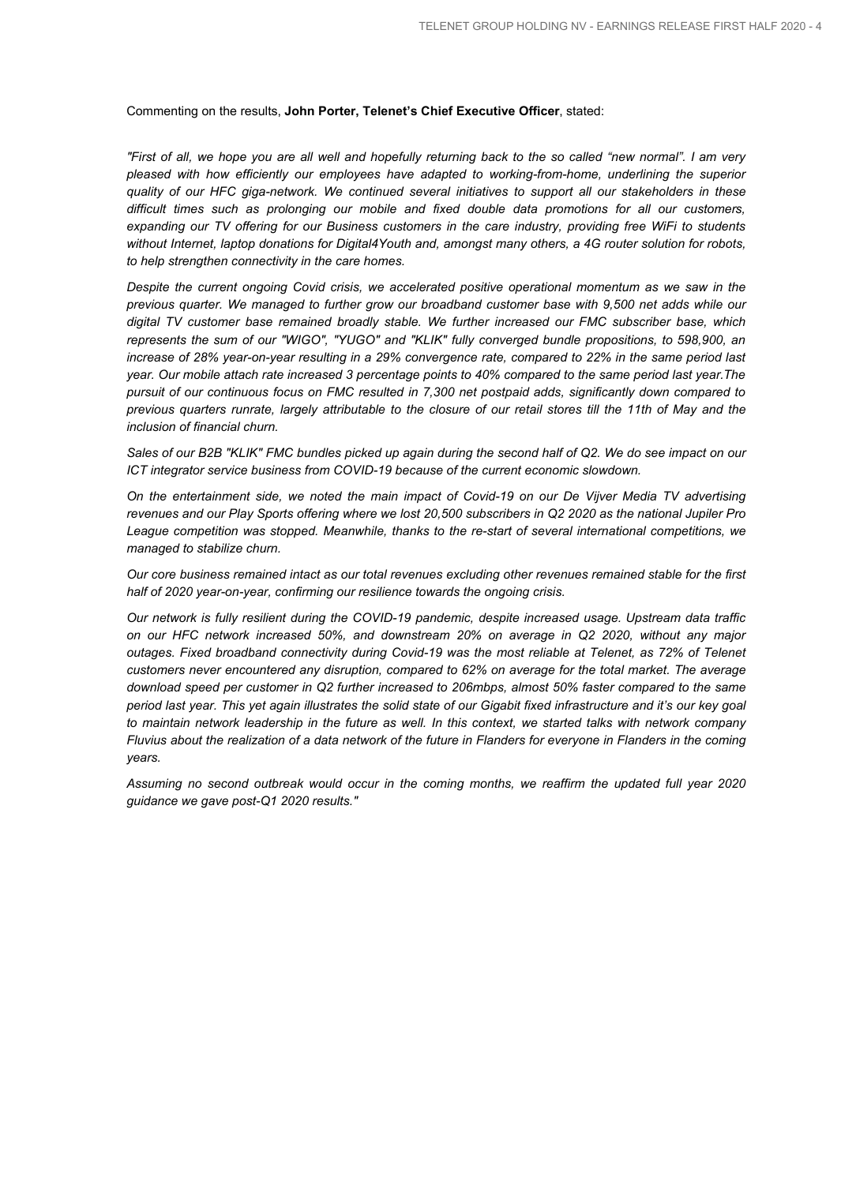#### Commenting on the results, **John Porter, Telenet's Chief Executive Officer**, stated:

*"First of all, we hope you are all well and hopefully returning back to the so called "new normal". I am very pleased with how efficiently our employees have adapted to working-from-home, underlining the superior quality of our HFC giga-network. We continued several initiatives to support all our stakeholders in these difficult times such as prolonging our mobile and fixed double data promotions for all our customers, expanding our TV offering for our Business customers in the care industry, providing free WiFi to students without Internet, laptop donations for Digital4Youth and, amongst many others, a 4G router solution for robots, to help strengthen connectivity in the care homes.*

*Despite the current ongoing Covid crisis, we accelerated positive operational momentum as we saw in the previous quarter. We managed to further grow our broadband customer base with 9,500 net adds while our digital TV customer base remained broadly stable. We further increased our FMC subscriber base, which represents the sum of our "WIGO", "YUGO" and "KLIK" fully converged bundle propositions, to 598,900, an increase of 28% year-on-year resulting in a 29% convergence rate, compared to 22% in the same period last year. Our mobile attach rate increased 3 percentage points to 40% compared to the same period last year.The pursuit of our continuous focus on FMC resulted in 7,300 net postpaid adds, significantly down compared to previous quarters runrate, largely attributable to the closure of our retail stores till the 11th of May and the inclusion of financial churn.*

*Sales of our B2B "KLIK" FMC bundles picked up again during the second half of Q2. We do see impact on our ICT integrator service business from COVID-19 because of the current economic slowdown.* 

*On the entertainment side, we noted the main impact of Covid-19 on our De Vijver Media TV advertising revenues and our Play Sports offering where we lost 20,500 subscribers in Q2 2020 as the national Jupiler Pro League competition was stopped. Meanwhile, thanks to the re-start of several international competitions, we managed to stabilize churn.*

*Our core business remained intact as our total revenues excluding other revenues remained stable for the first half of 2020 year-on-year, confirming our resilience towards the ongoing crisis.*

*Our network is fully resilient during the COVID-19 pandemic, despite increased usage. Upstream data traffic on our HFC network increased 50%, and downstream 20% on average in Q2 2020, without any major outages. Fixed broadband connectivity during Covid-19 was the most reliable at Telenet, as 72% of Telenet customers never encountered any disruption, compared to 62% on average for the total market. The average download speed per customer in Q2 further increased to 206mbps, almost 50% faster compared to the same period last year. This yet again illustrates the solid state of our Gigabit fixed infrastructure and it's our key goal to maintain network leadership in the future as well. In this context, we started talks with network company Fluvius about the realization of a data network of the future in Flanders for everyone in Flanders in the coming years.*

*Assuming no second outbreak would occur in the coming months, we reaffirm the updated full year 2020 guidance we gave post-Q1 2020 results."*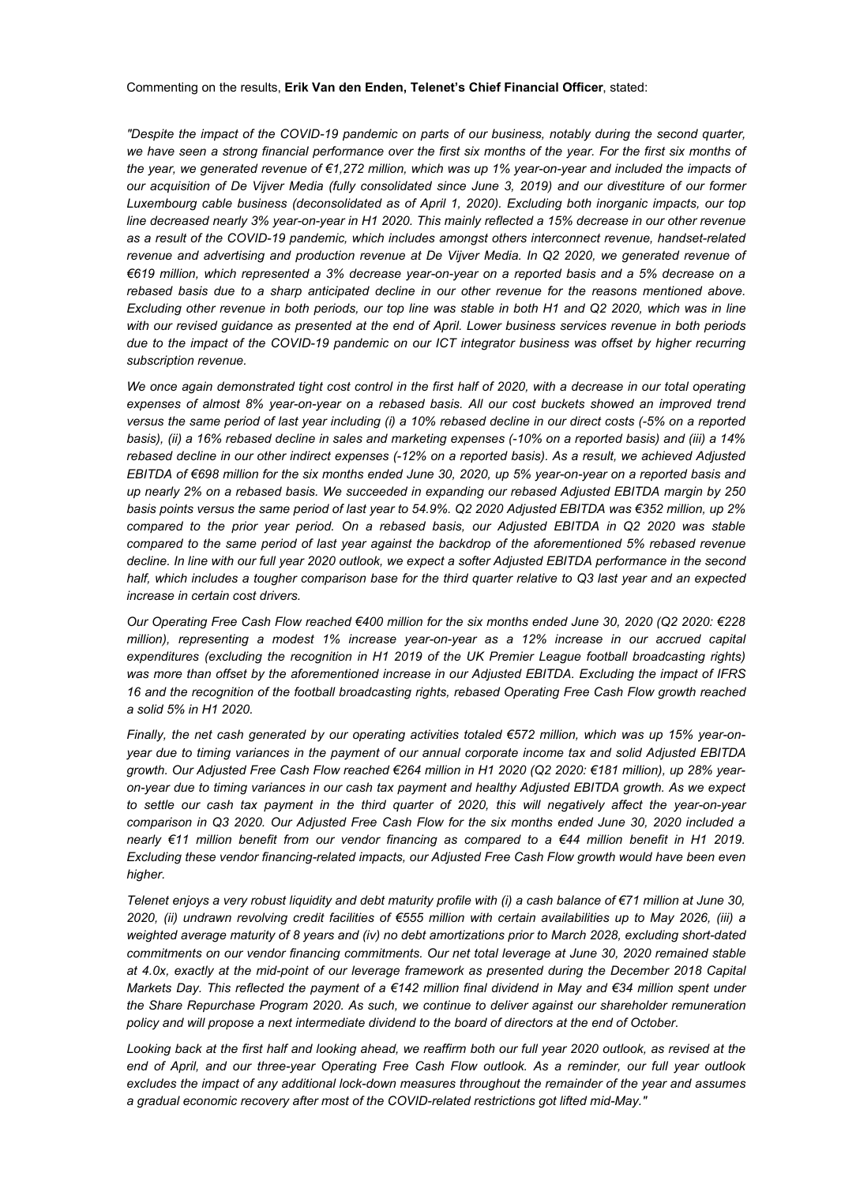#### Commenting on the results, **Erik Van den Enden, Telenet's Chief Financial Officer**, stated:

*"Despite the impact of the COVID-19 pandemic on parts of our business, notably during the second quarter,*  we have seen a strong financial performance over the first six months of the year. For the first six months of *the year, we generated revenue of €1,272 million, which was up 1% year-on-year and included the impacts of our acquisition of De Vijver Media (fully consolidated since June 3, 2019) and our divestiture of our former Luxembourg cable business (deconsolidated as of April 1, 2020). Excluding both inorganic impacts, our top line decreased nearly 3% year-on-year in H1 2020. This mainly reflected a 15% decrease in our other revenue as a result of the COVID-19 pandemic, which includes amongst others interconnect revenue, handset-related revenue and advertising and production revenue at De Vijver Media. In Q2 2020, we generated revenue of €619 million, which represented a 3% decrease year-on-year on a reported basis and a 5% decrease on a rebased basis due to a sharp anticipated decline in our other revenue for the reasons mentioned above. Excluding other revenue in both periods, our top line was stable in both H1 and Q2 2020, which was in line with our revised guidance as presented at the end of April. Lower business services revenue in both periods due to the impact of the COVID-19 pandemic on our ICT integrator business was offset by higher recurring subscription revenue.* 

We once again demonstrated tight cost control in the first half of 2020, with a decrease in our total operating *expenses of almost 8% year-on-year on a rebased basis. All our cost buckets showed an improved trend versus the same period of last year including (i) a 10% rebased decline in our direct costs (-5% on a reported basis), (ii) a 16% rebased decline in sales and marketing expenses (-10% on a reported basis) and (iii) a 14% rebased decline in our other indirect expenses (-12% on a reported basis). As a result, we achieved Adjusted EBITDA of €698 million for the six months ended June 30, 2020, up 5% year-on-year on a reported basis and up nearly 2% on a rebased basis. We succeeded in expanding our rebased Adjusted EBITDA margin by 250 basis points versus the same period of last year to 54.9%. Q2 2020 Adjusted EBITDA was €352 million, up 2% compared to the prior year period. On a rebased basis, our Adjusted EBITDA in Q2 2020 was stable compared to the same period of last year against the backdrop of the aforementioned 5% rebased revenue decline. In line with our full year 2020 outlook, we expect a softer Adjusted EBITDA performance in the second half, which includes a tougher comparison base for the third quarter relative to Q3 last year and an expected increase in certain cost drivers.* 

*Our Operating Free Cash Flow reached €400 million for the six months ended June 30, 2020 (Q2 2020: €228 million), representing a modest 1% increase year-on-year as a 12% increase in our accrued capital expenditures (excluding the recognition in H1 2019 of the UK Premier League football broadcasting rights) was more than offset by the aforementioned increase in our Adjusted EBITDA. Excluding the impact of IFRS 16 and the recognition of the football broadcasting rights, rebased Operating Free Cash Flow growth reached a solid 5% in H1 2020.*

*Finally, the net cash generated by our operating activities totaled €572 million, which was up 15% year-onyear due to timing variances in the payment of our annual corporate income tax and solid Adjusted EBITDA growth. Our Adjusted Free Cash Flow reached €264 million in H1 2020 (Q2 2020: €181 million), up 28% yearon-year due to timing variances in our cash tax payment and healthy Adjusted EBITDA growth. As we expect to settle our cash tax payment in the third quarter of 2020, this will negatively affect the year-on-year comparison in Q3 2020. Our Adjusted Free Cash Flow for the six months ended June 30, 2020 included a nearly €11 million benefit from our vendor financing as compared to a €44 million benefit in H1 2019. Excluding these vendor financing-related impacts, our Adjusted Free Cash Flow growth would have been even higher.*

*Telenet enjoys a very robust liquidity and debt maturity profile with (i) a cash balance of €71 million at June 30, 2020, (ii) undrawn revolving credit facilities of €555 million with certain availabilities up to May 2026, (iii) a weighted average maturity of 8 years and (iv) no debt amortizations prior to March 2028, excluding short-dated commitments on our vendor financing commitments. Our net total leverage at June 30, 2020 remained stable at 4.0x, exactly at the mid-point of our leverage framework as presented during the December 2018 Capital Markets Day. This reflected the payment of a €142 million final dividend in May and €34 million spent under the Share Repurchase Program 2020. As such, we continue to deliver against our shareholder remuneration policy and will propose a next intermediate dividend to the board of directors at the end of October.* 

*Looking back at the first half and looking ahead, we reaffirm both our full year 2020 outlook, as revised at the end of April, and our three-year Operating Free Cash Flow outlook. As a reminder, our full year outlook excludes the impact of any additional lock-down measures throughout the remainder of the year and assumes a gradual economic recovery after most of the COVID-related restrictions got lifted mid-May."*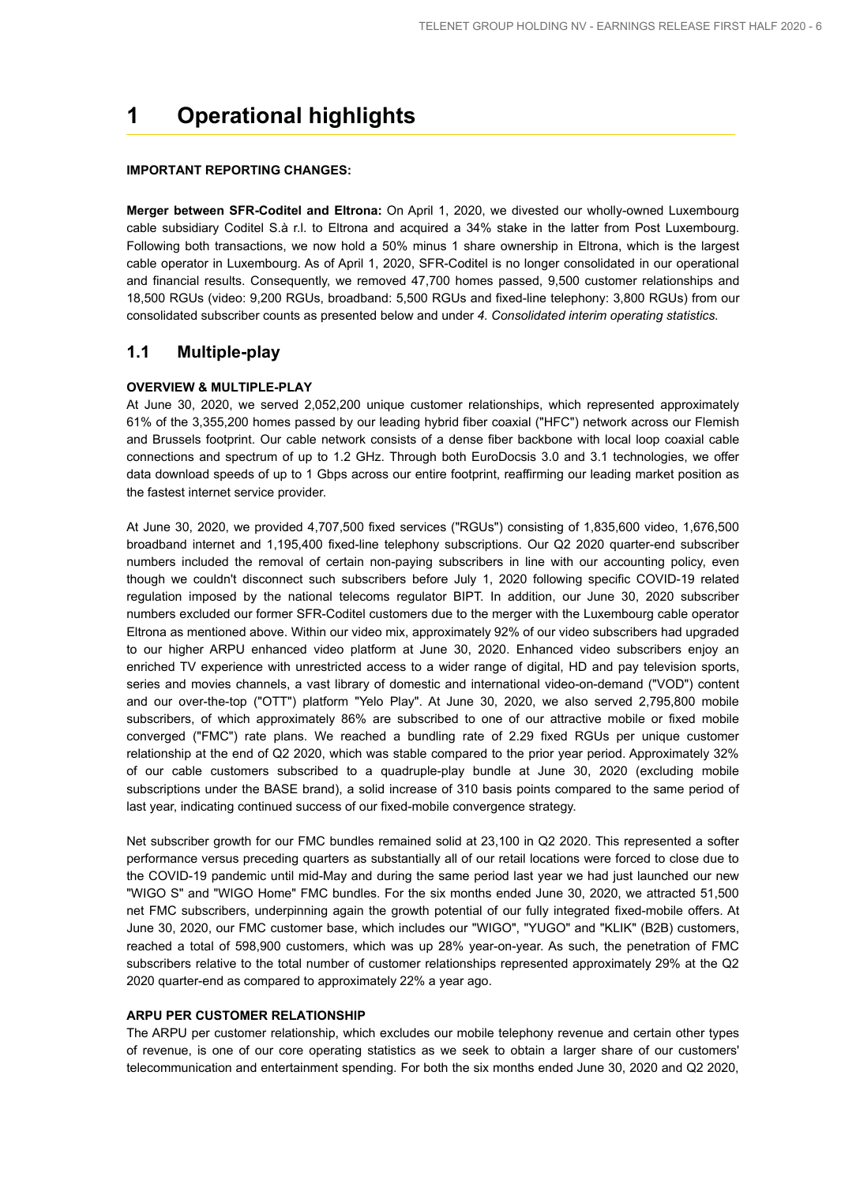## **1 Operational highlights**

## **IMPORTANT REPORTING CHANGES:**

**Merger between SFR-Coditel and Eltrona:** On April 1, 2020, we divested our wholly-owned Luxembourg cable subsidiary Coditel S.à r.l. to Eltrona and acquired a 34% stake in the latter from Post Luxembourg. Following both transactions, we now hold a 50% minus 1 share ownership in Eltrona, which is the largest cable operator in Luxembourg. As of April 1, 2020, SFR-Coditel is no longer consolidated in our operational and financial results. Consequently, we removed 47,700 homes passed, 9,500 customer relationships and 18,500 RGUs (video: 9,200 RGUs, broadband: 5,500 RGUs and fixed-line telephony: 3,800 RGUs) from our consolidated subscriber counts as presented below and under *4. Consolidated interim operating statistics*.

## **1.1 Multiple-play**

#### **OVERVIEW & MULTIPLE-PLAY**

At June 30, 2020, we served 2,052,200 unique customer relationships, which represented approximately 61% of the 3,355,200 homes passed by our leading hybrid fiber coaxial ("HFC") network across our Flemish and Brussels footprint. Our cable network consists of a dense fiber backbone with local loop coaxial cable connections and spectrum of up to 1.2 GHz. Through both EuroDocsis 3.0 and 3.1 technologies, we offer data download speeds of up to 1 Gbps across our entire footprint, reaffirming our leading market position as the fastest internet service provider.

At June 30, 2020, we provided 4,707,500 fixed services ("RGUs") consisting of 1,835,600 video, 1,676,500 broadband internet and 1,195,400 fixed-line telephony subscriptions. Our Q2 2020 quarter-end subscriber numbers included the removal of certain non-paying subscribers in line with our accounting policy, even though we couldn't disconnect such subscribers before July 1, 2020 following specific COVID-19 related regulation imposed by the national telecoms regulator BIPT. In addition, our June 30, 2020 subscriber numbers excluded our former SFR-Coditel customers due to the merger with the Luxembourg cable operator Eltrona as mentioned above. Within our video mix, approximately 92% of our video subscribers had upgraded to our higher ARPU enhanced video platform at June 30, 2020. Enhanced video subscribers enjoy an enriched TV experience with unrestricted access to a wider range of digital, HD and pay television sports, series and movies channels, a vast library of domestic and international video-on-demand ("VOD") content and our over-the-top ("OTT") platform "Yelo Play". At June 30, 2020, we also served 2,795,800 mobile subscribers, of which approximately 86% are subscribed to one of our attractive mobile or fixed mobile converged ("FMC") rate plans. We reached a bundling rate of 2.29 fixed RGUs per unique customer relationship at the end of Q2 2020, which was stable compared to the prior year period. Approximately 32% of our cable customers subscribed to a quadruple-play bundle at June 30, 2020 (excluding mobile subscriptions under the BASE brand), a solid increase of 310 basis points compared to the same period of last year, indicating continued success of our fixed-mobile convergence strategy.

Net subscriber growth for our FMC bundles remained solid at 23,100 in Q2 2020. This represented a softer performance versus preceding quarters as substantially all of our retail locations were forced to close due to the COVID-19 pandemic until mid-May and during the same period last year we had just launched our new "WIGO S" and "WIGO Home" FMC bundles. For the six months ended June 30, 2020, we attracted 51,500 net FMC subscribers, underpinning again the growth potential of our fully integrated fixed-mobile offers. At June 30, 2020, our FMC customer base, which includes our "WIGO", "YUGO" and "KLIK" (B2B) customers, reached a total of 598,900 customers, which was up 28% year-on-year. As such, the penetration of FMC subscribers relative to the total number of customer relationships represented approximately 29% at the Q2 2020 quarter-end as compared to approximately 22% a year ago.

## **ARPU PER CUSTOMER RELATIONSHIP**

The ARPU per customer relationship, which excludes our mobile telephony revenue and certain other types of revenue, is one of our core operating statistics as we seek to obtain a larger share of our customers' telecommunication and entertainment spending. For both the six months ended June 30, 2020 and Q2 2020,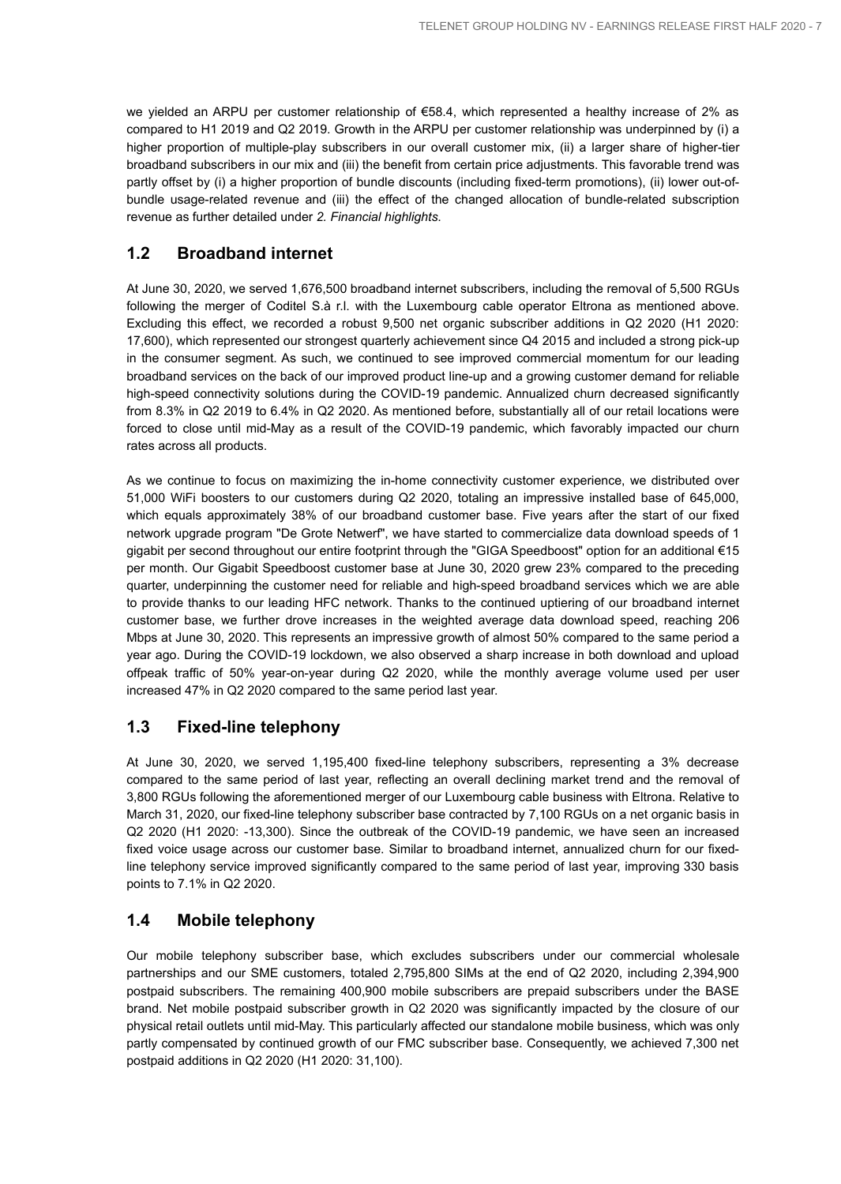we yielded an ARPU per customer relationship of €58.4, which represented a healthy increase of 2% as compared to H1 2019 and Q2 2019. Growth in the ARPU per customer relationship was underpinned by (i) a higher proportion of multiple-play subscribers in our overall customer mix, (ii) a larger share of higher-tier broadband subscribers in our mix and (iii) the benefit from certain price adjustments. This favorable trend was partly offset by (i) a higher proportion of bundle discounts (including fixed-term promotions), (ii) lower out-ofbundle usage-related revenue and (iii) the effect of the changed allocation of bundle-related subscription revenue as further detailed under *2. Financial highlights*.

## **1.2 Broadband internet**

At June 30, 2020, we served 1,676,500 broadband internet subscribers, including the removal of 5,500 RGUs following the merger of Coditel S.à r.l. with the Luxembourg cable operator Eltrona as mentioned above. Excluding this effect, we recorded a robust 9,500 net organic subscriber additions in Q2 2020 (H1 2020: 17,600), which represented our strongest quarterly achievement since Q4 2015 and included a strong pick-up in the consumer segment. As such, we continued to see improved commercial momentum for our leading broadband services on the back of our improved product line-up and a growing customer demand for reliable high-speed connectivity solutions during the COVID-19 pandemic. Annualized churn decreased significantly from 8.3% in Q2 2019 to 6.4% in Q2 2020. As mentioned before, substantially all of our retail locations were forced to close until mid-May as a result of the COVID-19 pandemic, which favorably impacted our churn rates across all products.

As we continue to focus on maximizing the in-home connectivity customer experience, we distributed over 51,000 WiFi boosters to our customers during Q2 2020, totaling an impressive installed base of 645,000, which equals approximately 38% of our broadband customer base. Five years after the start of our fixed network upgrade program "De Grote Netwerf", we have started to commercialize data download speeds of 1 gigabit per second throughout our entire footprint through the "GIGA Speedboost" option for an additional €15 per month. Our Gigabit Speedboost customer base at June 30, 2020 grew 23% compared to the preceding quarter, underpinning the customer need for reliable and high-speed broadband services which we are able to provide thanks to our leading HFC network. Thanks to the continued uptiering of our broadband internet customer base, we further drove increases in the weighted average data download speed, reaching 206 Mbps at June 30, 2020. This represents an impressive growth of almost 50% compared to the same period a year ago. During the COVID-19 lockdown, we also observed a sharp increase in both download and upload offpeak traffic of 50% year-on-year during Q2 2020, while the monthly average volume used per user increased 47% in Q2 2020 compared to the same period last year.

## **1.3 Fixed-line telephony**

At June 30, 2020, we served 1,195,400 fixed-line telephony subscribers, representing a 3% decrease compared to the same period of last year, reflecting an overall declining market trend and the removal of 3,800 RGUs following the aforementioned merger of our Luxembourg cable business with Eltrona. Relative to March 31, 2020, our fixed-line telephony subscriber base contracted by 7,100 RGUs on a net organic basis in Q2 2020 (H1 2020: -13,300). Since the outbreak of the COVID-19 pandemic, we have seen an increased fixed voice usage across our customer base. Similar to broadband internet, annualized churn for our fixedline telephony service improved significantly compared to the same period of last year, improving 330 basis points to 7.1% in Q2 2020.

## **1.4 Mobile telephony**

Our mobile telephony subscriber base, which excludes subscribers under our commercial wholesale partnerships and our SME customers, totaled 2,795,800 SIMs at the end of Q2 2020, including 2,394,900 postpaid subscribers. The remaining 400,900 mobile subscribers are prepaid subscribers under the BASE brand. Net mobile postpaid subscriber growth in Q2 2020 was significantly impacted by the closure of our physical retail outlets until mid-May. This particularly affected our standalone mobile business, which was only partly compensated by continued growth of our FMC subscriber base. Consequently, we achieved 7,300 net postpaid additions in Q2 2020 (H1 2020: 31,100).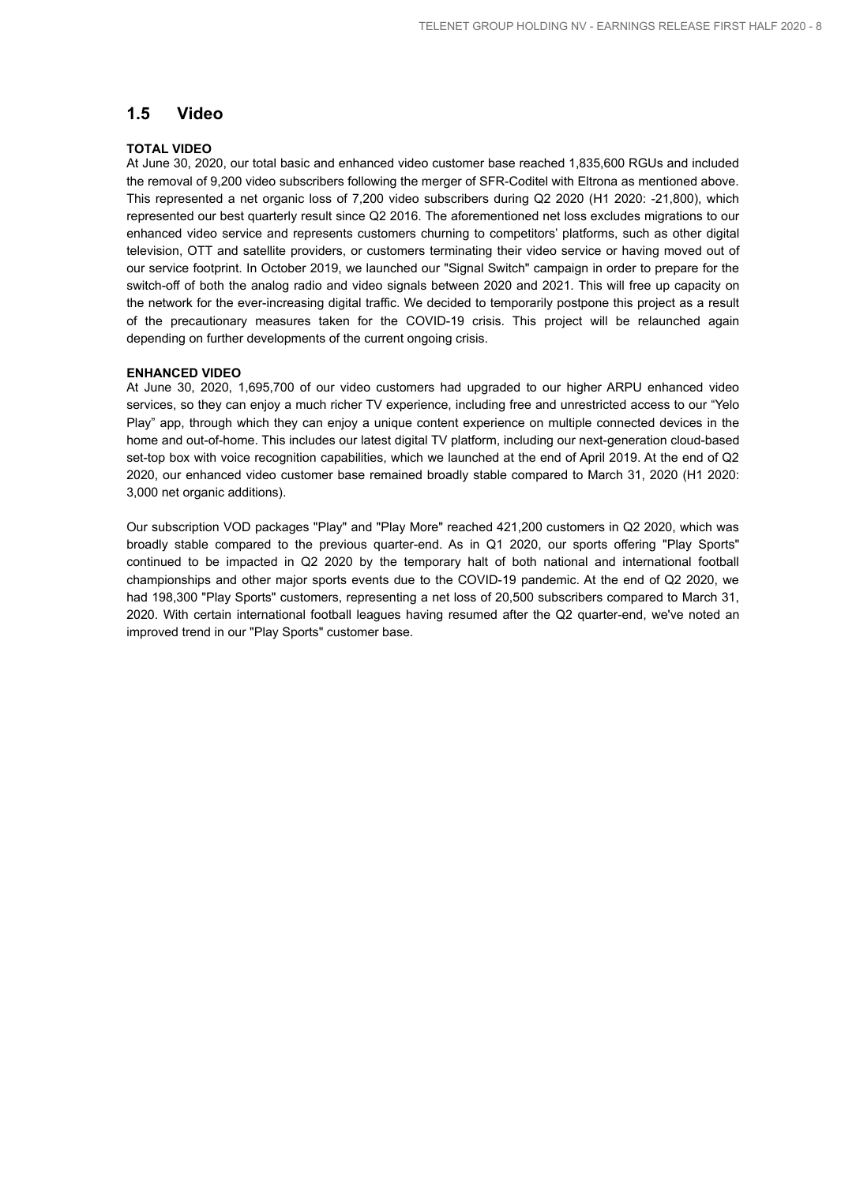## **1.5 Video**

## **TOTAL VIDEO**

At June 30, 2020, our total basic and enhanced video customer base reached 1,835,600 RGUs and included the removal of 9,200 video subscribers following the merger of SFR-Coditel with Eltrona as mentioned above. This represented a net organic loss of 7,200 video subscribers during Q2 2020 (H1 2020: -21,800), which represented our best quarterly result since Q2 2016. The aforementioned net loss excludes migrations to our enhanced video service and represents customers churning to competitors' platforms, such as other digital television, OTT and satellite providers, or customers terminating their video service or having moved out of our service footprint. In October 2019, we launched our "Signal Switch" campaign in order to prepare for the switch-off of both the analog radio and video signals between 2020 and 2021. This will free up capacity on the network for the ever-increasing digital traffic. We decided to temporarily postpone this project as a result of the precautionary measures taken for the COVID-19 crisis. This project will be relaunched again depending on further developments of the current ongoing crisis.

#### **ENHANCED VIDEO**

At June 30, 2020, 1,695,700 of our video customers had upgraded to our higher ARPU enhanced video services, so they can enjoy a much richer TV experience, including free and unrestricted access to our "Yelo Play" app, through which they can enjoy a unique content experience on multiple connected devices in the home and out-of-home. This includes our latest digital TV platform, including our next-generation cloud-based set-top box with voice recognition capabilities, which we launched at the end of April 2019. At the end of Q2 2020, our enhanced video customer base remained broadly stable compared to March 31, 2020 (H1 2020: 3,000 net organic additions).

Our subscription VOD packages "Play" and "Play More" reached 421,200 customers in Q2 2020, which was broadly stable compared to the previous quarter-end. As in Q1 2020, our sports offering "Play Sports" continued to be impacted in Q2 2020 by the temporary halt of both national and international football championships and other major sports events due to the COVID-19 pandemic. At the end of Q2 2020, we had 198,300 "Play Sports" customers, representing a net loss of 20,500 subscribers compared to March 31, 2020. With certain international football leagues having resumed after the Q2 quarter-end, we've noted an improved trend in our "Play Sports" customer base.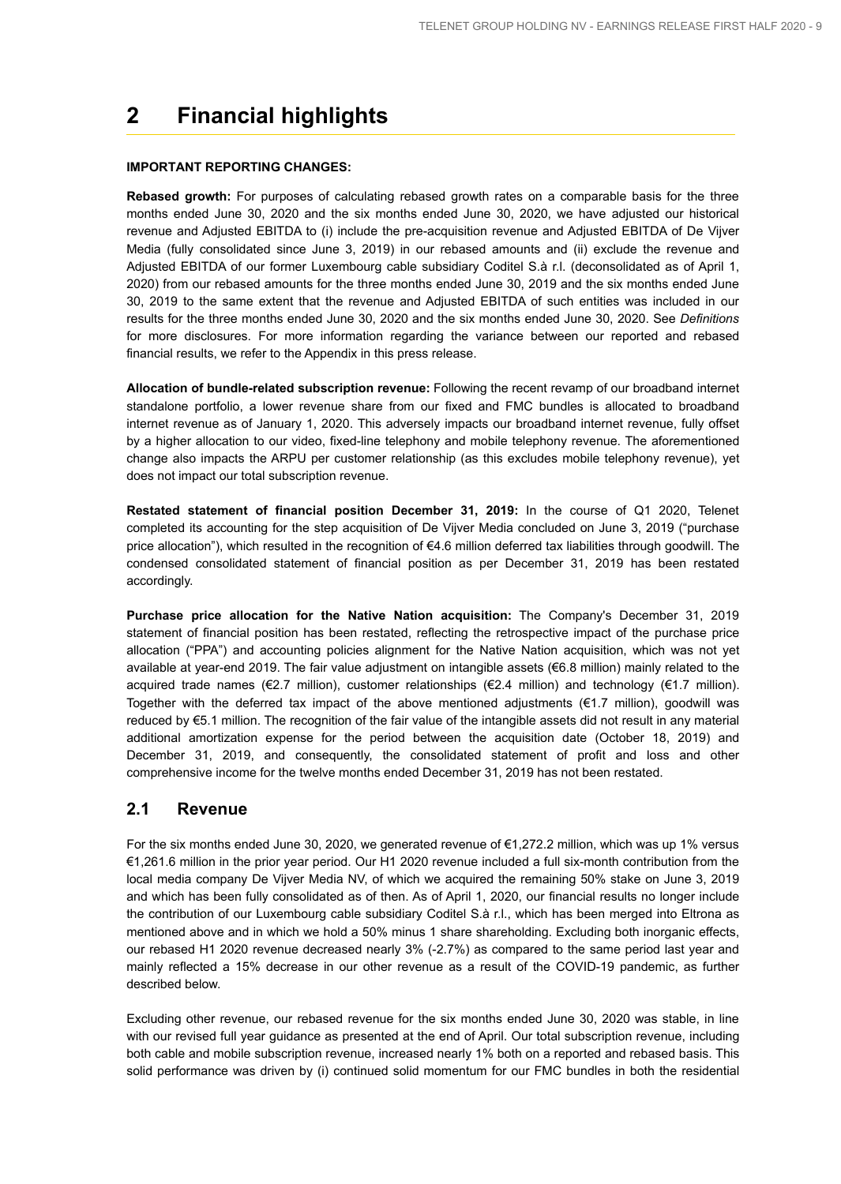## **2 Financial highlights**

#### **IMPORTANT REPORTING CHANGES:**

**Rebased growth:** For purposes of calculating rebased growth rates on a comparable basis for the three months ended June 30, 2020 and the six months ended June 30, 2020, we have adjusted our historical revenue and Adjusted EBITDA to (i) include the pre-acquisition revenue and Adjusted EBITDA of De Vijver Media (fully consolidated since June 3, 2019) in our rebased amounts and (ii) exclude the revenue and Adjusted EBITDA of our former Luxembourg cable subsidiary Coditel S.à r.l. (deconsolidated as of April 1, 2020) from our rebased amounts for the three months ended June 30, 2019 and the six months ended June 30, 2019 to the same extent that the revenue and Adjusted EBITDA of such entities was included in our results for the three months ended June 30, 2020 and the six months ended June 30, 2020. See *Definitions* for more disclosures. For more information regarding the variance between our reported and rebased financial results, we refer to the Appendix in this press release.

**Allocation of bundle-related subscription revenue:** Following the recent revamp of our broadband internet standalone portfolio, a lower revenue share from our fixed and FMC bundles is allocated to broadband internet revenue as of January 1, 2020. This adversely impacts our broadband internet revenue, fully offset by a higher allocation to our video, fixed-line telephony and mobile telephony revenue. The aforementioned change also impacts the ARPU per customer relationship (as this excludes mobile telephony revenue), yet does not impact our total subscription revenue.

**Restated statement of financial position December 31, 2019:** In the course of Q1 2020, Telenet completed its accounting for the step acquisition of De Vijver Media concluded on June 3, 2019 ("purchase price allocation"), which resulted in the recognition of €4.6 million deferred tax liabilities through goodwill. The condensed consolidated statement of financial position as per December 31, 2019 has been restated accordingly.

**Purchase price allocation for the Native Nation acquisition:** The Company's December 31, 2019 statement of financial position has been restated, reflecting the retrospective impact of the purchase price allocation ("PPA") and accounting policies alignment for the Native Nation acquisition, which was not yet available at year-end 2019. The fair value adjustment on intangible assets (€6.8 million) mainly related to the acquired trade names (€2.7 million), customer relationships (€2.4 million) and technology (€1.7 million). Together with the deferred tax impact of the above mentioned adjustments (€1.7 million), goodwill was reduced by €5.1 million. The recognition of the fair value of the intangible assets did not result in any material additional amortization expense for the period between the acquisition date (October 18, 2019) and December 31, 2019, and consequently, the consolidated statement of profit and loss and other comprehensive income for the twelve months ended December 31, 2019 has not been restated.

## **2.1 Revenue**

For the six months ended June 30, 2020, we generated revenue of €1,272.2 million, which was up 1% versus €1,261.6 million in the prior year period. Our H1 2020 revenue included a full six-month contribution from the local media company De Vijver Media NV, of which we acquired the remaining 50% stake on June 3, 2019 and which has been fully consolidated as of then. As of April 1, 2020, our financial results no longer include the contribution of our Luxembourg cable subsidiary Coditel S.à r.l., which has been merged into Eltrona as mentioned above and in which we hold a 50% minus 1 share shareholding. Excluding both inorganic effects, our rebased H1 2020 revenue decreased nearly 3% (-2.7%) as compared to the same period last year and mainly reflected a 15% decrease in our other revenue as a result of the COVID-19 pandemic, as further described below.

Excluding other revenue, our rebased revenue for the six months ended June 30, 2020 was stable, in line with our revised full year guidance as presented at the end of April. Our total subscription revenue, including both cable and mobile subscription revenue, increased nearly 1% both on a reported and rebased basis. This solid performance was driven by (i) continued solid momentum for our FMC bundles in both the residential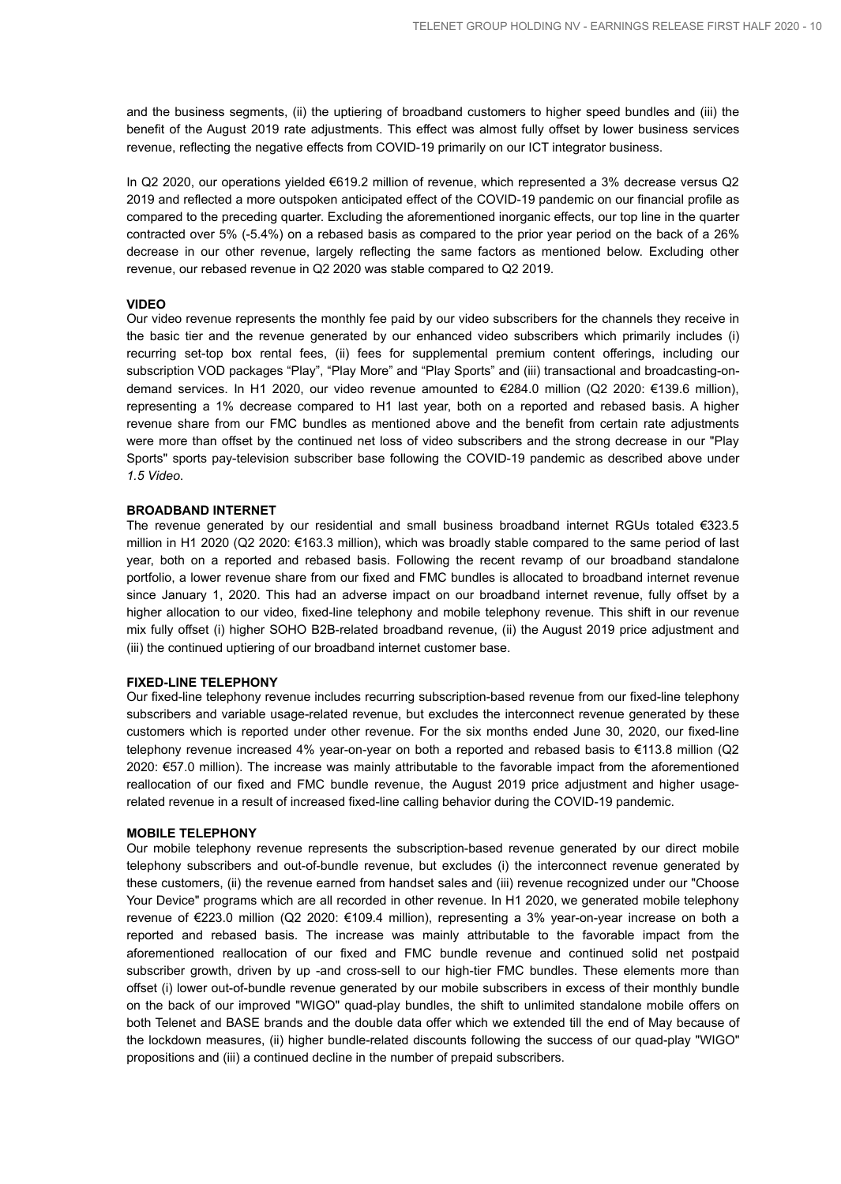and the business segments, (ii) the uptiering of broadband customers to higher speed bundles and (iii) the benefit of the August 2019 rate adjustments. This effect was almost fully offset by lower business services revenue, reflecting the negative effects from COVID-19 primarily on our ICT integrator business.

In Q2 2020, our operations yielded €619.2 million of revenue, which represented a 3% decrease versus Q2 2019 and reflected a more outspoken anticipated effect of the COVID-19 pandemic on our financial profile as compared to the preceding quarter. Excluding the aforementioned inorganic effects, our top line in the quarter contracted over 5% (-5.4%) on a rebased basis as compared to the prior year period on the back of a 26% decrease in our other revenue, largely reflecting the same factors as mentioned below. Excluding other revenue, our rebased revenue in Q2 2020 was stable compared to Q2 2019.

#### **VIDEO**

Our video revenue represents the monthly fee paid by our video subscribers for the channels they receive in the basic tier and the revenue generated by our enhanced video subscribers which primarily includes (i) recurring set-top box rental fees, (ii) fees for supplemental premium content offerings, including our subscription VOD packages "Play", "Play More" and "Play Sports" and (iii) transactional and broadcasting-ondemand services. In H1 2020, our video revenue amounted to €284.0 million (Q2 2020: €139.6 million), representing a 1% decrease compared to H1 last year, both on a reported and rebased basis. A higher revenue share from our FMC bundles as mentioned above and the benefit from certain rate adjustments were more than offset by the continued net loss of video subscribers and the strong decrease in our "Play Sports" sports pay-television subscriber base following the COVID-19 pandemic as described above under *1.5 Video*.

#### **BROADBAND INTERNET**

The revenue generated by our residential and small business broadband internet RGUs totaled €323.5 million in H1 2020 (Q2 2020: €163.3 million), which was broadly stable compared to the same period of last year, both on a reported and rebased basis. Following the recent revamp of our broadband standalone portfolio, a lower revenue share from our fixed and FMC bundles is allocated to broadband internet revenue since January 1, 2020. This had an adverse impact on our broadband internet revenue, fully offset by a higher allocation to our video, fixed-line telephony and mobile telephony revenue. This shift in our revenue mix fully offset (i) higher SOHO B2B-related broadband revenue, (ii) the August 2019 price adjustment and (iii) the continued uptiering of our broadband internet customer base.

#### **FIXED-LINE TELEPHONY**

Our fixed-line telephony revenue includes recurring subscription-based revenue from our fixed-line telephony subscribers and variable usage-related revenue, but excludes the interconnect revenue generated by these customers which is reported under other revenue. For the six months ended June 30, 2020, our fixed-line telephony revenue increased 4% year-on-year on both a reported and rebased basis to €113.8 million (Q2 2020: €57.0 million). The increase was mainly attributable to the favorable impact from the aforementioned reallocation of our fixed and FMC bundle revenue, the August 2019 price adjustment and higher usagerelated revenue in a result of increased fixed-line calling behavior during the COVID-19 pandemic.

#### **MOBILE TELEPHONY**

Our mobile telephony revenue represents the subscription-based revenue generated by our direct mobile telephony subscribers and out-of-bundle revenue, but excludes (i) the interconnect revenue generated by these customers, (ii) the revenue earned from handset sales and (iii) revenue recognized under our "Choose Your Device" programs which are all recorded in other revenue. In H1 2020, we generated mobile telephony revenue of €223.0 million (Q2 2020: €109.4 million), representing a 3% year-on-year increase on both a reported and rebased basis. The increase was mainly attributable to the favorable impact from the aforementioned reallocation of our fixed and FMC bundle revenue and continued solid net postpaid subscriber growth, driven by up -and cross-sell to our high-tier FMC bundles. These elements more than offset (i) lower out-of-bundle revenue generated by our mobile subscribers in excess of their monthly bundle on the back of our improved "WIGO" quad-play bundles, the shift to unlimited standalone mobile offers on both Telenet and BASE brands and the double data offer which we extended till the end of May because of the lockdown measures, (ii) higher bundle-related discounts following the success of our quad-play "WIGO" propositions and (iii) a continued decline in the number of prepaid subscribers.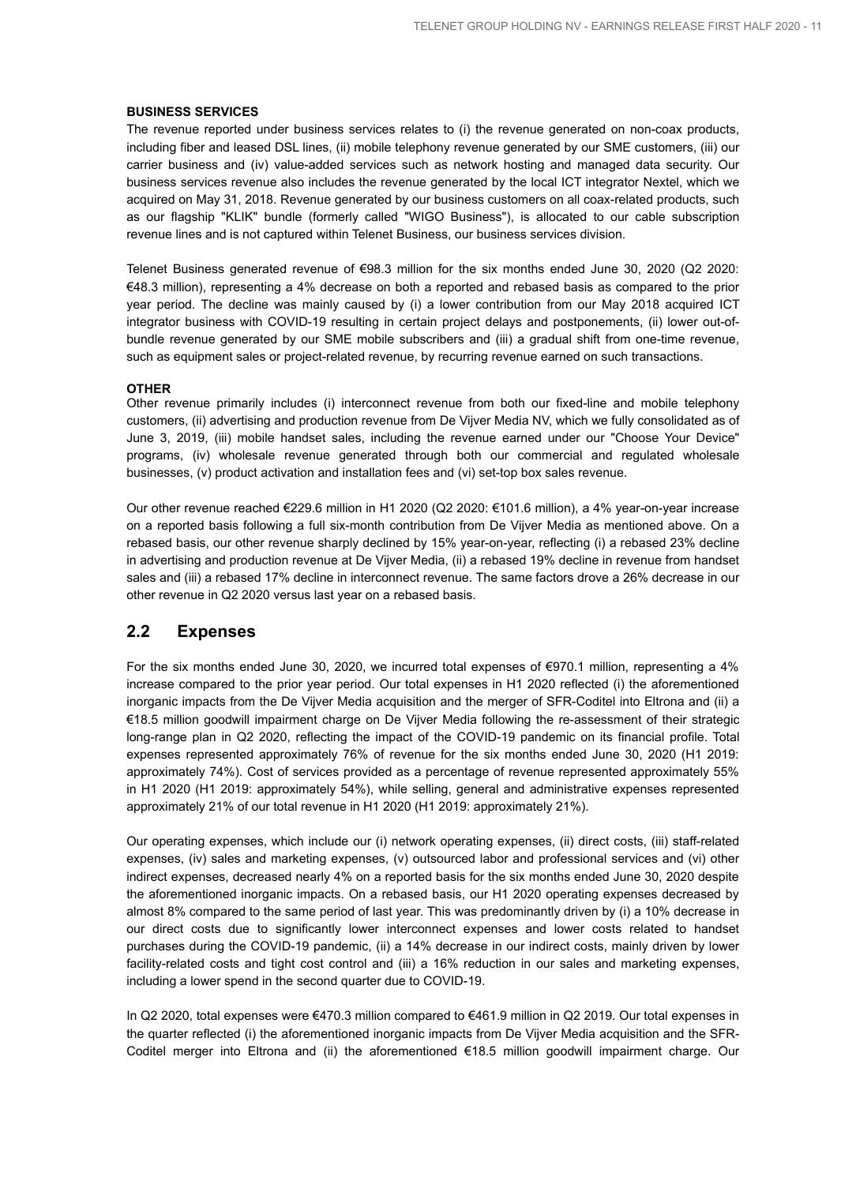#### **BUSINESS SERVICES**

The revenue reported under business services relates to (i) the revenue generated on non-coax products, including fiber and leased DSL lines, (ii) mobile telephony revenue generated by our SME customers, (iii) our carrier business and (iv) value-added services such as network hosting and managed data security. Our business services revenue also includes the revenue generated by the local ICT integrator Nextel, which we acquired on May 31, 2018. Revenue generated by our business customers on all coax-related products, such as our flagship "KLIK" bundle (formerly called "WIGO Business"), is allocated to our cable subscription revenue lines and is not captured within Telenet Business, our business services division.

Telenet Business generated revenue of €98.3 million for the six months ended June 30, 2020 (Q2 2020: €48.3 million), representing a 4% decrease on both a reported and rebased basis as compared to the prior year period. The decline was mainly caused by (i) a lower contribution from our May 2018 acquired ICT integrator business with COVID-19 resulting in certain project delays and postponements, (ii) lower out-ofbundle revenue generated by our SME mobile subscribers and (iii) a gradual shift from one-time revenue, such as equipment sales or project-related revenue, by recurring revenue earned on such transactions.

## **OTHER**

Other revenue primarily includes (i) interconnect revenue from both our fixed-line and mobile telephony customers, (ii) advertising and production revenue from De Vijver Media NV, which we fully consolidated as of June 3, 2019, (iii) mobile handset sales, including the revenue earned under our "Choose Your Device" programs, (iv) wholesale revenue generated through both our commercial and regulated wholesale businesses, (v) product activation and installation fees and (vi) set-top box sales revenue.

Our other revenue reached €229.6 million in H1 2020 (Q2 2020: €101.6 million), a 4% year-on-year increase on a reported basis following a full six-month contribution from De Vijver Media as mentioned above. On a rebased basis, our other revenue sharply declined by 15% year-on-year, reflecting (i) a rebased 23% decline in advertising and production revenue at De Vijver Media, (ii) a rebased 19% decline in revenue from handset sales and (iii) a rebased 17% decline in interconnect revenue. The same factors drove a 26% decrease in our other revenue in Q2 2020 versus last year on a rebased basis.

## **2.2 Expenses**

For the six months ended June 30, 2020, we incurred total expenses of  $\epsilon$ 970.1 million, representing a 4% increase compared to the prior year period. Our total expenses in H1 2020 reflected (i) the aforementioned inorganic impacts from the De Vijver Media acquisition and the merger of SFR-Coditel into Eltrona and (ii) a €18.5 million goodwill impairment charge on De Vijver Media following the re-assessment of their strategic long-range plan in Q2 2020, reflecting the impact of the COVID-19 pandemic on its financial profile. Total expenses represented approximately 76% of revenue for the six months ended June 30, 2020 (H1 2019: approximately 74%). Cost of services provided as a percentage of revenue represented approximately 55% in H1 2020 (H1 2019: approximately 54%), while selling, general and administrative expenses represented approximately 21% of our total revenue in H1 2020 (H1 2019: approximately 21%).

Our operating expenses, which include our (i) network operating expenses, (ii) direct costs, (iii) staff-related expenses, (iv) sales and marketing expenses, (v) outsourced labor and professional services and (vi) other indirect expenses, decreased nearly 4% on a reported basis for the six months ended June 30, 2020 despite the aforementioned inorganic impacts. On a rebased basis, our H1 2020 operating expenses decreased by almost 8% compared to the same period of last year. This was predominantly driven by (i) a 10% decrease in our direct costs due to significantly lower interconnect expenses and lower costs related to handset purchases during the COVID-19 pandemic, (ii) a 14% decrease in our indirect costs, mainly driven by lower facility-related costs and tight cost control and (iii) a 16% reduction in our sales and marketing expenses, including a lower spend in the second quarter due to COVID-19.

In Q2 2020, total expenses were €470.3 million compared to €461.9 million in Q2 2019. Our total expenses in the quarter reflected (i) the aforementioned inorganic impacts from De Vijver Media acquisition and the SFR-Coditel merger into Eltrona and (ii) the aforementioned €18.5 million goodwill impairment charge. Our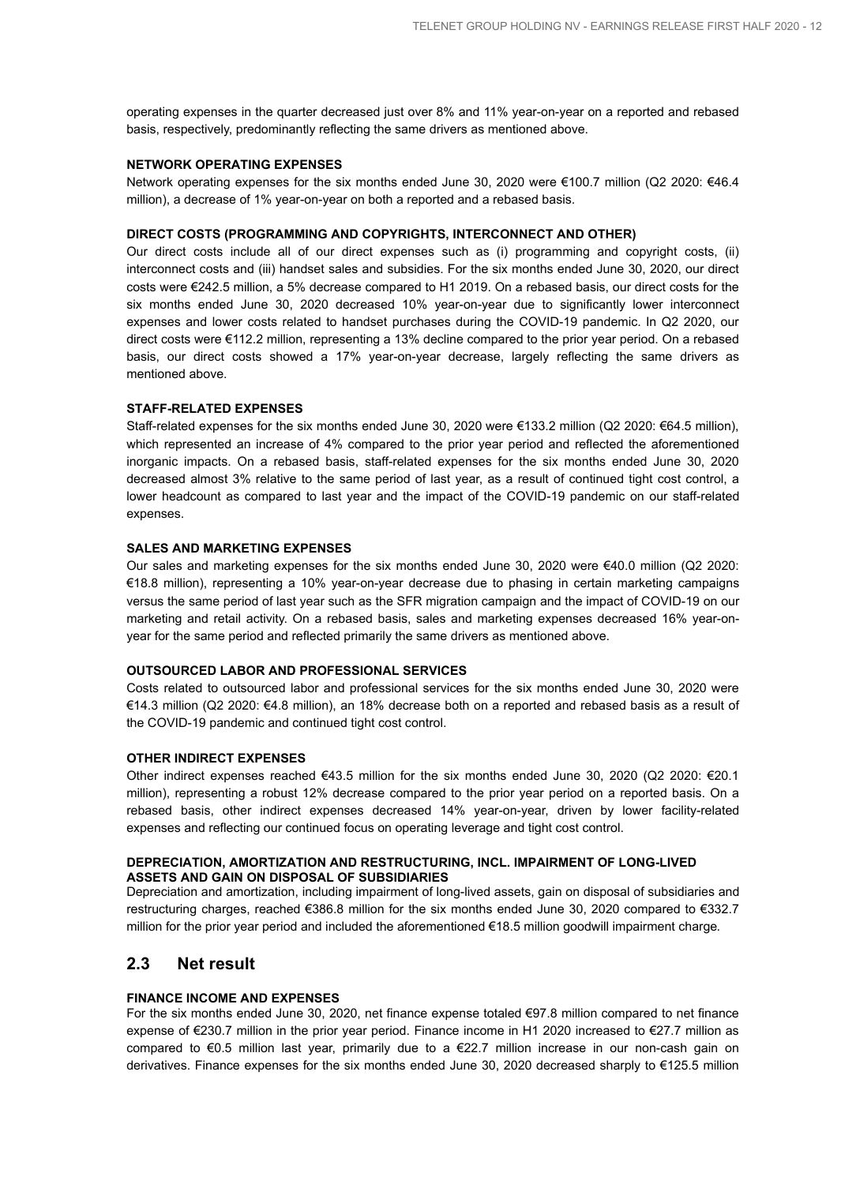operating expenses in the quarter decreased just over 8% and 11% year-on-year on a reported and rebased basis, respectively, predominantly reflecting the same drivers as mentioned above.

## **NETWORK OPERATING EXPENSES**

Network operating expenses for the six months ended June 30, 2020 were €100.7 million (Q2 2020: €46.4 million), a decrease of 1% year-on-year on both a reported and a rebased basis.

#### **DIRECT COSTS (PROGRAMMING AND COPYRIGHTS, INTERCONNECT AND OTHER)**

Our direct costs include all of our direct expenses such as (i) programming and copyright costs, (ii) interconnect costs and (iii) handset sales and subsidies. For the six months ended June 30, 2020, our direct costs were €242.5 million, a 5% decrease compared to H1 2019. On a rebased basis, our direct costs for the six months ended June 30, 2020 decreased 10% year-on-year due to significantly lower interconnect expenses and lower costs related to handset purchases during the COVID-19 pandemic. In Q2 2020, our direct costs were €112.2 million, representing a 13% decline compared to the prior year period. On a rebased basis, our direct costs showed a 17% year-on-year decrease, largely reflecting the same drivers as mentioned above.

#### **STAFF-RELATED EXPENSES**

Staff-related expenses for the six months ended June 30, 2020 were €133.2 million (Q2 2020: €64.5 million), which represented an increase of 4% compared to the prior year period and reflected the aforementioned inorganic impacts. On a rebased basis, staff-related expenses for the six months ended June 30, 2020 decreased almost 3% relative to the same period of last year, as a result of continued tight cost control, a lower headcount as compared to last year and the impact of the COVID-19 pandemic on our staff-related expenses.

#### **SALES AND MARKETING EXPENSES**

Our sales and marketing expenses for the six months ended June 30, 2020 were €40.0 million (Q2 2020: €18.8 million), representing a 10% year-on-year decrease due to phasing in certain marketing campaigns versus the same period of last year such as the SFR migration campaign and the impact of COVID-19 on our marketing and retail activity. On a rebased basis, sales and marketing expenses decreased 16% year-onyear for the same period and reflected primarily the same drivers as mentioned above.

#### **OUTSOURCED LABOR AND PROFESSIONAL SERVICES**

Costs related to outsourced labor and professional services for the six months ended June 30, 2020 were €14.3 million (Q2 2020: €4.8 million), an 18% decrease both on a reported and rebased basis as a result of the COVID-19 pandemic and continued tight cost control.

## **OTHER INDIRECT EXPENSES**

Other indirect expenses reached €43.5 million for the six months ended June 30, 2020 (Q2 2020: €20.1 million), representing a robust 12% decrease compared to the prior year period on a reported basis. On a rebased basis, other indirect expenses decreased 14% year-on-year, driven by lower facility-related expenses and reflecting our continued focus on operating leverage and tight cost control.

#### **DEPRECIATION, AMORTIZATION AND RESTRUCTURING, INCL. IMPAIRMENT OF LONG-LIVED ASSETS AND GAIN ON DISPOSAL OF SUBSIDIARIES**

Depreciation and amortization, including impairment of long-lived assets, gain on disposal of subsidiaries and restructuring charges, reached €386.8 million for the six months ended June 30, 2020 compared to €332.7 million for the prior year period and included the aforementioned €18.5 million goodwill impairment charge.

## **2.3 Net result**

### **FINANCE INCOME AND EXPENSES**

For the six months ended June 30, 2020, net finance expense totaled €97.8 million compared to net finance expense of €230.7 million in the prior year period. Finance income in H1 2020 increased to €27.7 million as compared to €0.5 million last year, primarily due to a €22.7 million increase in our non-cash gain on derivatives. Finance expenses for the six months ended June 30, 2020 decreased sharply to €125.5 million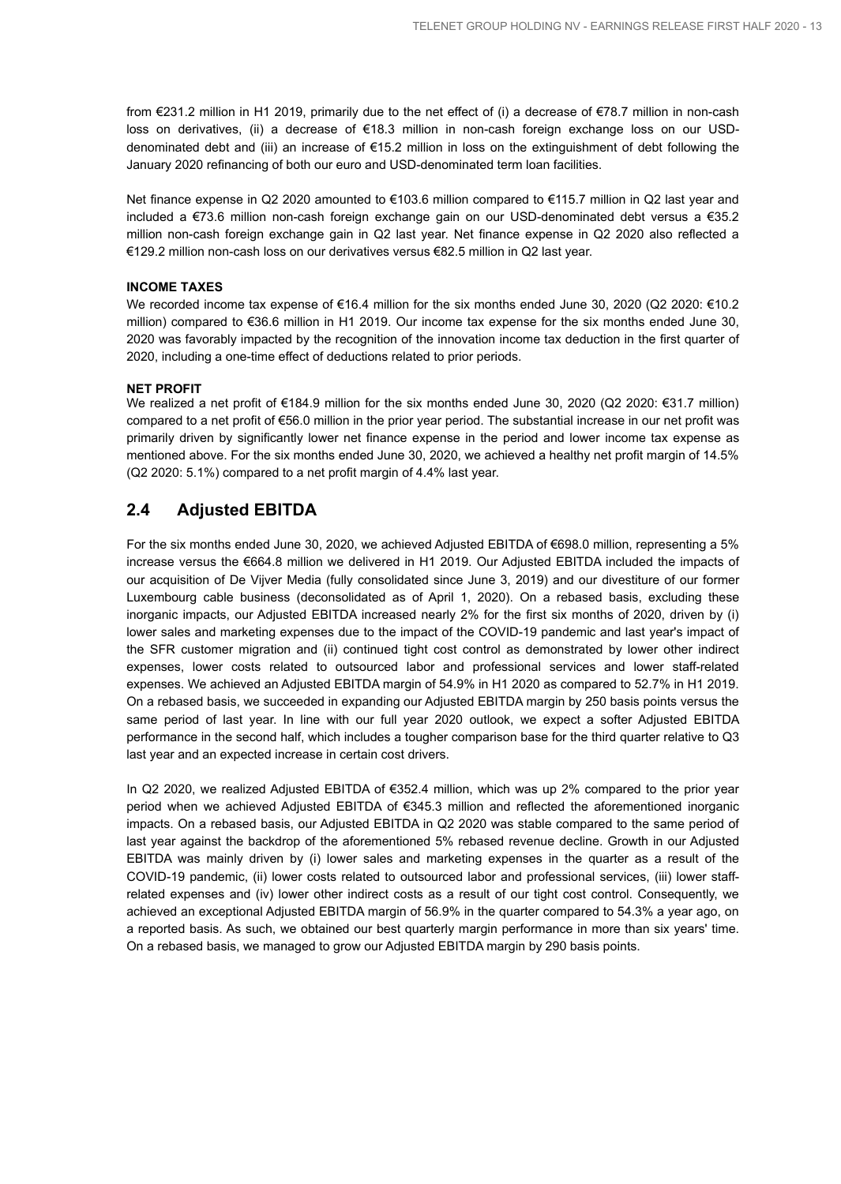from €231.2 million in H1 2019, primarily due to the net effect of (i) a decrease of €78.7 million in non-cash loss on derivatives, (ii) a decrease of €18.3 million in non-cash foreign exchange loss on our USDdenominated debt and (iii) an increase of €15.2 million in loss on the extinguishment of debt following the January 2020 refinancing of both our euro and USD-denominated term loan facilities.

Net finance expense in Q2 2020 amounted to €103.6 million compared to €115.7 million in Q2 last year and included a €73.6 million non-cash foreign exchange gain on our USD-denominated debt versus a €35.2 million non-cash foreign exchange gain in Q2 last year. Net finance expense in Q2 2020 also reflected a €129.2 million non-cash loss on our derivatives versus €82.5 million in Q2 last year.

## **INCOME TAXES**

We recorded income tax expense of €16.4 million for the six months ended June 30, 2020 (Q2 2020: €10.2 million) compared to €36.6 million in H1 2019. Our income tax expense for the six months ended June 30, 2020 was favorably impacted by the recognition of the innovation income tax deduction in the first quarter of 2020, including a one-time effect of deductions related to prior periods.

## **NET PROFIT**

We realized a net profit of €184.9 million for the six months ended June 30, 2020 (Q2 2020: €31.7 million) compared to a net profit of €56.0 million in the prior year period. The substantial increase in our net profit was primarily driven by significantly lower net finance expense in the period and lower income tax expense as mentioned above. For the six months ended June 30, 2020, we achieved a healthy net profit margin of 14.5% (Q2 2020: 5.1%) compared to a net profit margin of 4.4% last year.

## **2.4 Adjusted EBITDA**

For the six months ended June 30, 2020, we achieved Adjusted EBITDA of €698.0 million, representing a 5% increase versus the €664.8 million we delivered in H1 2019. Our Adjusted EBITDA included the impacts of our acquisition of De Vijver Media (fully consolidated since June 3, 2019) and our divestiture of our former Luxembourg cable business (deconsolidated as of April 1, 2020). On a rebased basis, excluding these inorganic impacts, our Adjusted EBITDA increased nearly 2% for the first six months of 2020, driven by (i) lower sales and marketing expenses due to the impact of the COVID-19 pandemic and last year's impact of the SFR customer migration and (ii) continued tight cost control as demonstrated by lower other indirect expenses, lower costs related to outsourced labor and professional services and lower staff-related expenses. We achieved an Adjusted EBITDA margin of 54.9% in H1 2020 as compared to 52.7% in H1 2019. On a rebased basis, we succeeded in expanding our Adjusted EBITDA margin by 250 basis points versus the same period of last year. In line with our full year 2020 outlook, we expect a softer Adjusted EBITDA performance in the second half, which includes a tougher comparison base for the third quarter relative to Q3 last year and an expected increase in certain cost drivers.

In Q2 2020, we realized Adjusted EBITDA of €352.4 million, which was up 2% compared to the prior year period when we achieved Adjusted EBITDA of €345.3 million and reflected the aforementioned inorganic impacts. On a rebased basis, our Adjusted EBITDA in Q2 2020 was stable compared to the same period of last year against the backdrop of the aforementioned 5% rebased revenue decline. Growth in our Adjusted EBITDA was mainly driven by (i) lower sales and marketing expenses in the quarter as a result of the COVID-19 pandemic, (ii) lower costs related to outsourced labor and professional services, (iii) lower staffrelated expenses and (iv) lower other indirect costs as a result of our tight cost control. Consequently, we achieved an exceptional Adjusted EBITDA margin of 56.9% in the quarter compared to 54.3% a year ago, on a reported basis. As such, we obtained our best quarterly margin performance in more than six years' time. On a rebased basis, we managed to grow our Adjusted EBITDA margin by 290 basis points.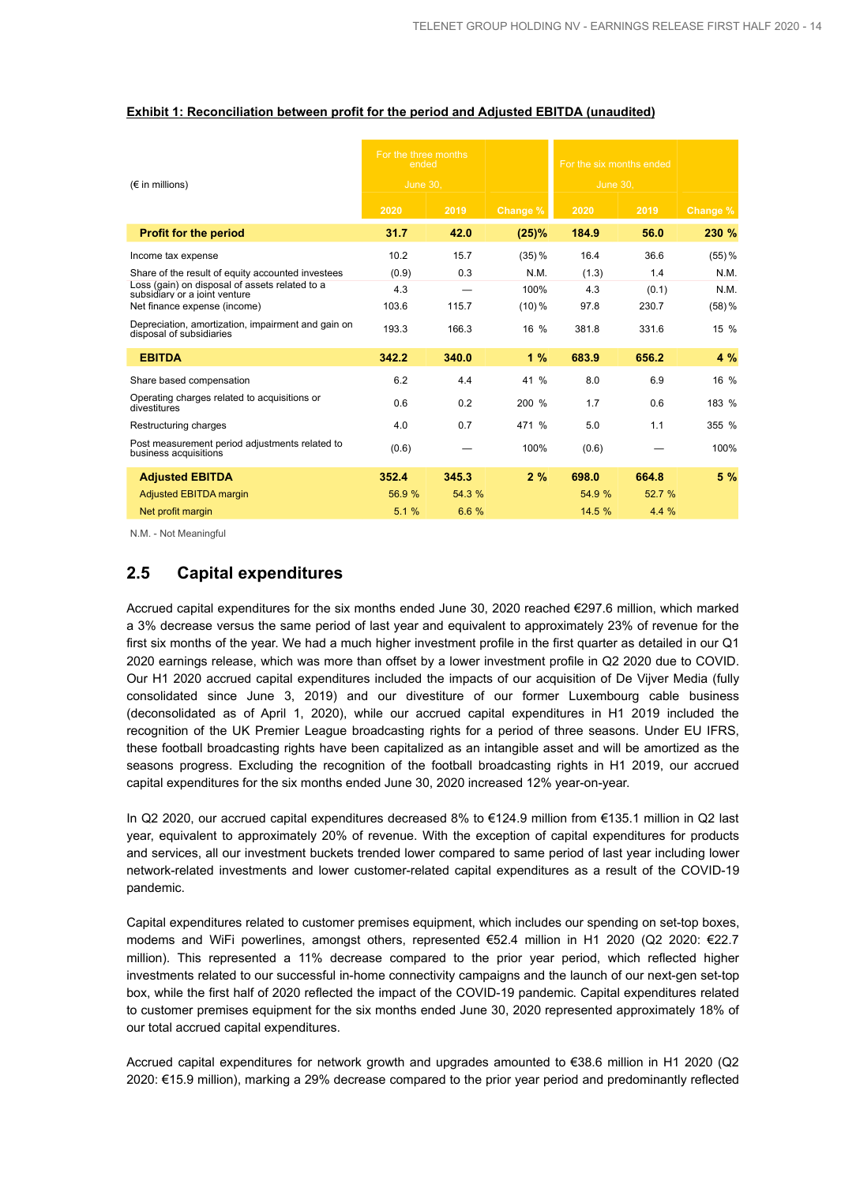|                                                                                 | For the three months<br>ended |        |           | For the six months ended |        |          |
|---------------------------------------------------------------------------------|-------------------------------|--------|-----------|--------------------------|--------|----------|
| $(\epsilon$ in millions)                                                        | <b>June 30.</b>               |        |           | June 30.                 |        |          |
|                                                                                 | 2020                          | 2019   | Change %  | 2020                     | 2019   | Change % |
| <b>Profit for the period</b>                                                    | 31.7                          | 42.0   | (25)%     | 184.9                    | 56.0   | 230 %    |
| Income tax expense                                                              | 10.2                          | 15.7   | $(35) \%$ | 16.4                     | 36.6   | $(55)$ % |
| Share of the result of equity accounted investees                               | (0.9)                         | 0.3    | N.M.      | (1.3)                    | 1.4    | N.M.     |
| Loss (gain) on disposal of assets related to a<br>subsidiary or a joint venture | 4.3                           |        | 100%      | 4.3                      | (0.1)  | N.M.     |
| Net finance expense (income)                                                    | 103.6                         | 115.7  | $(10)\%$  | 97.8                     | 230.7  | $(58)$ % |
| Depreciation, amortization, impairment and gain on<br>disposal of subsidiaries  | 193.3                         | 166.3  | 16 %      | 381.8                    | 331.6  | 15 %     |
| <b>EBITDA</b>                                                                   | 342.2                         | 340.0  | 1%        | 683.9                    | 656.2  | 4 %      |
| Share based compensation                                                        | 6.2                           | 4.4    | 41 %      | 8.0                      | 6.9    | 16 %     |
| Operating charges related to acquisitions or<br>divestitures                    | 0.6                           | 0.2    | 200 %     | 1.7                      | 0.6    | 183 %    |
| Restructuring charges                                                           | 4.0                           | 0.7    | 471 %     | 5.0                      | 1.1    | 355 %    |
| Post measurement period adjustments related to<br>business acquisitions         | (0.6)                         |        | 100%      | (0.6)                    |        | 100%     |
| <b>Adjusted EBITDA</b>                                                          | 352.4                         | 345.3  | 2%        | 698.0                    | 664.8  | 5%       |
| <b>Adjusted EBITDA margin</b>                                                   | 56.9%                         | 54.3 % |           | 54.9 %                   | 52.7 % |          |
| Net profit margin                                                               | 5.1%                          | 6.6%   |           | 14.5 %                   | 4.4%   |          |

#### **Exhibit 1: Reconciliation between profit for the period and Adjusted EBITDA (unaudited)**

N.M. - Not Meaningful

## **2.5 Capital expenditures**

Accrued capital expenditures for the six months ended June 30, 2020 reached €297.6 million, which marked a 3% decrease versus the same period of last year and equivalent to approximately 23% of revenue for the first six months of the year. We had a much higher investment profile in the first quarter as detailed in our Q1 2020 earnings release, which was more than offset by a lower investment profile in Q2 2020 due to COVID. Our H1 2020 accrued capital expenditures included the impacts of our acquisition of De Vijver Media (fully consolidated since June 3, 2019) and our divestiture of our former Luxembourg cable business (deconsolidated as of April 1, 2020), while our accrued capital expenditures in H1 2019 included the recognition of the UK Premier League broadcasting rights for a period of three seasons. Under EU IFRS, these football broadcasting rights have been capitalized as an intangible asset and will be amortized as the seasons progress. Excluding the recognition of the football broadcasting rights in H1 2019, our accrued capital expenditures for the six months ended June 30, 2020 increased 12% year-on-year.

In Q2 2020, our accrued capital expenditures decreased 8% to €124.9 million from €135.1 million in Q2 last year, equivalent to approximately 20% of revenue. With the exception of capital expenditures for products and services, all our investment buckets trended lower compared to same period of last year including lower network-related investments and lower customer-related capital expenditures as a result of the COVID-19 pandemic.

Capital expenditures related to customer premises equipment, which includes our spending on set-top boxes, modems and WiFi powerlines, amongst others, represented €52.4 million in H1 2020 (Q2 2020: €22.7 million). This represented a 11% decrease compared to the prior year period, which reflected higher investments related to our successful in-home connectivity campaigns and the launch of our next-gen set-top box, while the first half of 2020 reflected the impact of the COVID-19 pandemic. Capital expenditures related to customer premises equipment for the six months ended June 30, 2020 represented approximately 18% of our total accrued capital expenditures.

Accrued capital expenditures for network growth and upgrades amounted to €38.6 million in H1 2020 (Q2 2020: €15.9 million), marking a 29% decrease compared to the prior year period and predominantly reflected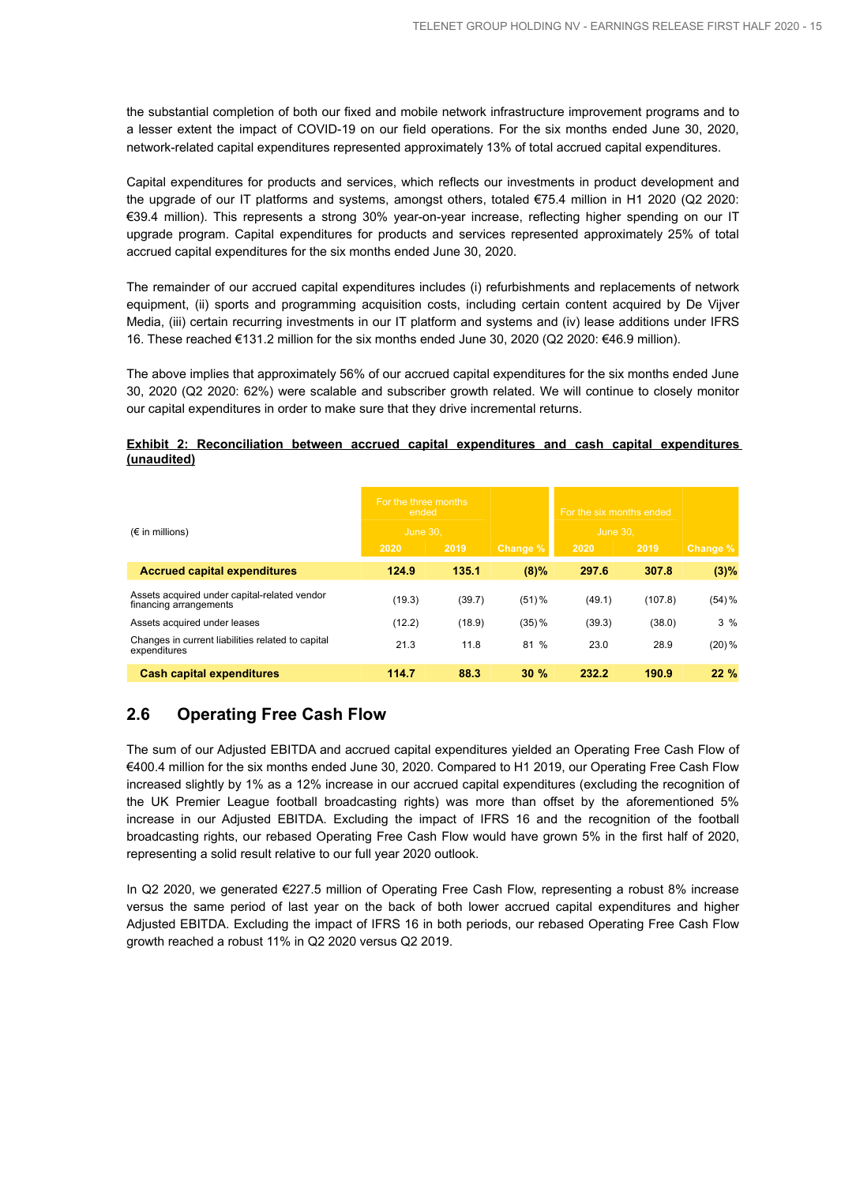the substantial completion of both our fixed and mobile network infrastructure improvement programs and to a lesser extent the impact of COVID-19 on our field operations. For the six months ended June 30, 2020, network-related capital expenditures represented approximately 13% of total accrued capital expenditures.

Capital expenditures for products and services, which reflects our investments in product development and the upgrade of our IT platforms and systems, amongst others, totaled €75.4 million in H1 2020 (Q2 2020: €39.4 million). This represents a strong 30% year-on-year increase, reflecting higher spending on our IT upgrade program. Capital expenditures for products and services represented approximately 25% of total accrued capital expenditures for the six months ended June 30, 2020.

The remainder of our accrued capital expenditures includes (i) refurbishments and replacements of network equipment, (ii) sports and programming acquisition costs, including certain content acquired by De Vijver Media, (iii) certain recurring investments in our IT platform and systems and (iv) lease additions under IFRS 16. These reached €131.2 million for the six months ended June 30, 2020 (Q2 2020: €46.9 million).

The above implies that approximately 56% of our accrued capital expenditures for the six months ended June 30, 2020 (Q2 2020: 62%) were scalable and subscriber growth related. We will continue to closely monitor our capital expenditures in order to make sure that they drive incremental returns.

## **Exhibit 2: Reconciliation between accrued capital expenditures and cash capital expenditures (unaudited)**

|                                                                        | For the three months<br>ended |        |          | For the six months ended |         |           |
|------------------------------------------------------------------------|-------------------------------|--------|----------|--------------------------|---------|-----------|
| $(\epsilon$ in millions)                                               | <b>June 30.</b>               |        |          | <b>June 30.</b>          |         |           |
|                                                                        | 2020                          | 2019   | Change % | 2020                     | 2019    | Change %  |
| <b>Accrued capital expenditures</b>                                    | 124.9                         | 135.1  | $(8)\%$  | 297.6                    | 307.8   | (3)%      |
| Assets acquired under capital-related vendor<br>financing arrangements | (19.3)                        | (39.7) | $(51)$ % | (49.1)                   | (107.8) | $(54) \%$ |
| Assets acquired under leases                                           | (12.2)                        | (18.9) | $(35)$ % | (39.3)                   | (38.0)  | 3%        |
| Changes in current liabilities related to capital<br>expenditures      | 21.3                          | 11.8   | 81 %     | 23.0                     | 28.9    | $(20)\%$  |
| <b>Cash capital expenditures</b>                                       | 114.7                         | 88.3   | 30%      | 232.2                    | 190.9   | 22%       |

## **2.6 Operating Free Cash Flow**

The sum of our Adjusted EBITDA and accrued capital expenditures yielded an Operating Free Cash Flow of €400.4 million for the six months ended June 30, 2020. Compared to H1 2019, our Operating Free Cash Flow increased slightly by 1% as a 12% increase in our accrued capital expenditures (excluding the recognition of the UK Premier League football broadcasting rights) was more than offset by the aforementioned 5% increase in our Adjusted EBITDA. Excluding the impact of IFRS 16 and the recognition of the football broadcasting rights, our rebased Operating Free Cash Flow would have grown 5% in the first half of 2020, representing a solid result relative to our full year 2020 outlook.

In Q2 2020, we generated €227.5 million of Operating Free Cash Flow, representing a robust 8% increase versus the same period of last year on the back of both lower accrued capital expenditures and higher Adjusted EBITDA. Excluding the impact of IFRS 16 in both periods, our rebased Operating Free Cash Flow growth reached a robust 11% in Q2 2020 versus Q2 2019.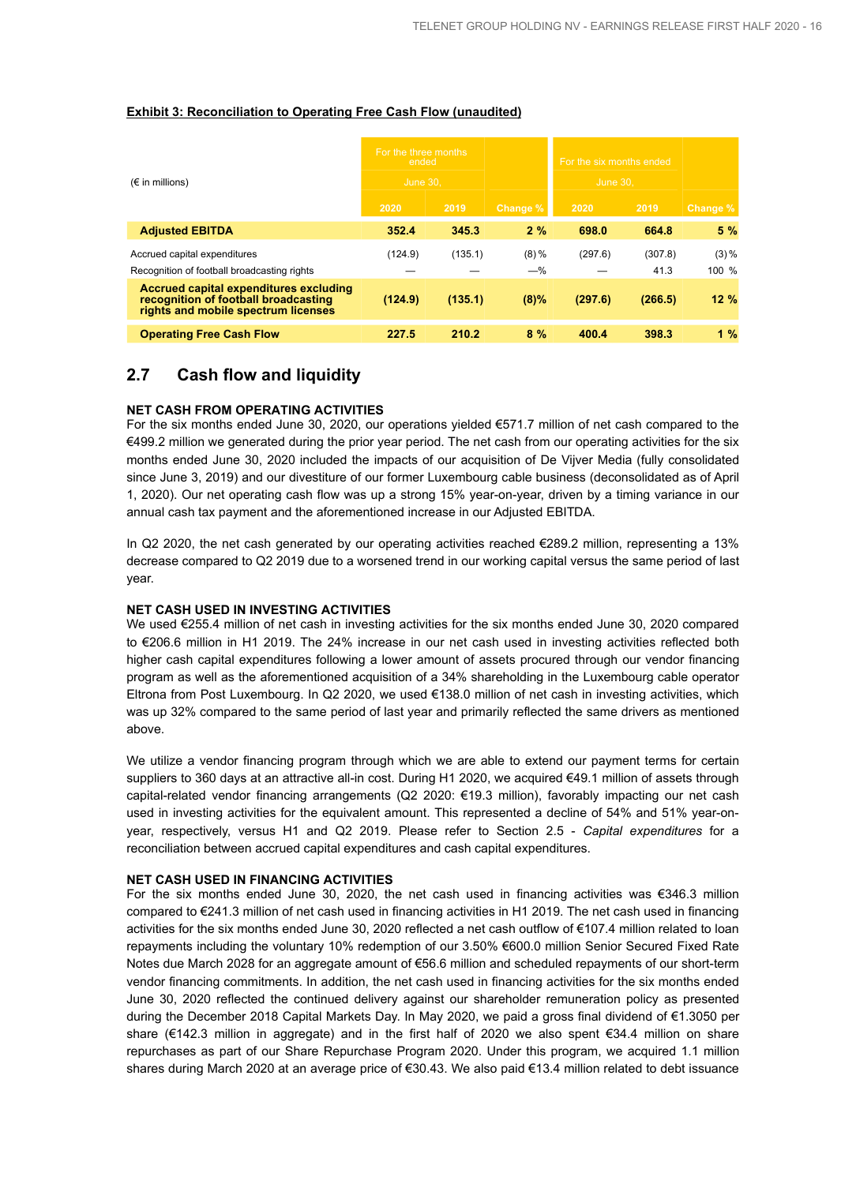|  | <b>Exhibit 3: Reconciliation to Operating Free Cash Flow (unaudited)</b> |  |  |  |  |  |
|--|--------------------------------------------------------------------------|--|--|--|--|--|
|--|--------------------------------------------------------------------------|--|--|--|--|--|

| $(\epsilon$ in millions)                                                                                              | For the three months<br>ended<br><b>June 30.</b> |         |                  | For the six months ended<br><b>June 30.</b> |                 |                      |
|-----------------------------------------------------------------------------------------------------------------------|--------------------------------------------------|---------|------------------|---------------------------------------------|-----------------|----------------------|
|                                                                                                                       | 2020                                             | 2019    | Change %         | 2020                                        | 2019            | Change %             |
| <b>Adjusted EBITDA</b>                                                                                                | 352.4                                            | 345.3   | 2%               | 698.0                                       | 664.8           | 5%                   |
| Accrued capital expenditures<br>Recognition of football broadcasting rights                                           | (124.9)                                          | (135.1) | $(8)\%$<br>$-$ % | (297.6)                                     | (307.8)<br>41.3 | $(3) \%$<br>$100 \%$ |
| Accrued capital expenditures excluding<br>recognition of football broadcasting<br>rights and mobile spectrum licenses | (124.9)                                          | (135.1) | $(8)\%$          | (297.6)                                     | (266.5)         | 12%                  |
| <b>Operating Free Cash Flow</b>                                                                                       | 227.5                                            | 210.2   | 8%               | 400.4                                       | 398.3           | 1%                   |

## **2.7 Cash flow and liquidity**

## **NET CASH FROM OPERATING ACTIVITIES**

For the six months ended June 30, 2020, our operations yielded €571.7 million of net cash compared to the €499.2 million we generated during the prior year period. The net cash from our operating activities for the six months ended June 30, 2020 included the impacts of our acquisition of De Vijver Media (fully consolidated since June 3, 2019) and our divestiture of our former Luxembourg cable business (deconsolidated as of April 1, 2020). Our net operating cash flow was up a strong 15% year-on-year, driven by a timing variance in our annual cash tax payment and the aforementioned increase in our Adjusted EBITDA.

In Q2 2020, the net cash generated by our operating activities reached €289.2 million, representing a 13% decrease compared to Q2 2019 due to a worsened trend in our working capital versus the same period of last year.

## **NET CASH USED IN INVESTING ACTIVITIES**

We used €255.4 million of net cash in investing activities for the six months ended June 30, 2020 compared to €206.6 million in H1 2019. The 24% increase in our net cash used in investing activities reflected both higher cash capital expenditures following a lower amount of assets procured through our vendor financing program as well as the aforementioned acquisition of a 34% shareholding in the Luxembourg cable operator Eltrona from Post Luxembourg. In Q2 2020, we used €138.0 million of net cash in investing activities, which was up 32% compared to the same period of last year and primarily reflected the same drivers as mentioned above.

We utilize a vendor financing program through which we are able to extend our payment terms for certain suppliers to 360 days at an attractive all-in cost. During H1 2020, we acquired €49.1 million of assets through capital-related vendor financing arrangements (Q2 2020: €19.3 million), favorably impacting our net cash used in investing activities for the equivalent amount. This represented a decline of 54% and 51% year-onyear, respectively, versus H1 and Q2 2019. Please refer to Section 2.5 - *Capital expenditures* for a reconciliation between accrued capital expenditures and cash capital expenditures.

#### **NET CASH USED IN FINANCING ACTIVITIES**

For the six months ended June 30, 2020, the net cash used in financing activities was €346.3 million compared to €241.3 million of net cash used in financing activities in H1 2019. The net cash used in financing activities for the six months ended June 30, 2020 reflected a net cash outflow of €107.4 million related to loan repayments including the voluntary 10% redemption of our 3.50% €600.0 million Senior Secured Fixed Rate Notes due March 2028 for an aggregate amount of €56.6 million and scheduled repayments of our short-term vendor financing commitments. In addition, the net cash used in financing activities for the six months ended June 30, 2020 reflected the continued delivery against our shareholder remuneration policy as presented during the December 2018 Capital Markets Day. In May 2020, we paid a gross final dividend of €1.3050 per share (€142.3 million in aggregate) and in the first half of 2020 we also spent €34.4 million on share repurchases as part of our Share Repurchase Program 2020. Under this program, we acquired 1.1 million shares during March 2020 at an average price of €30.43. We also paid €13.4 million related to debt issuance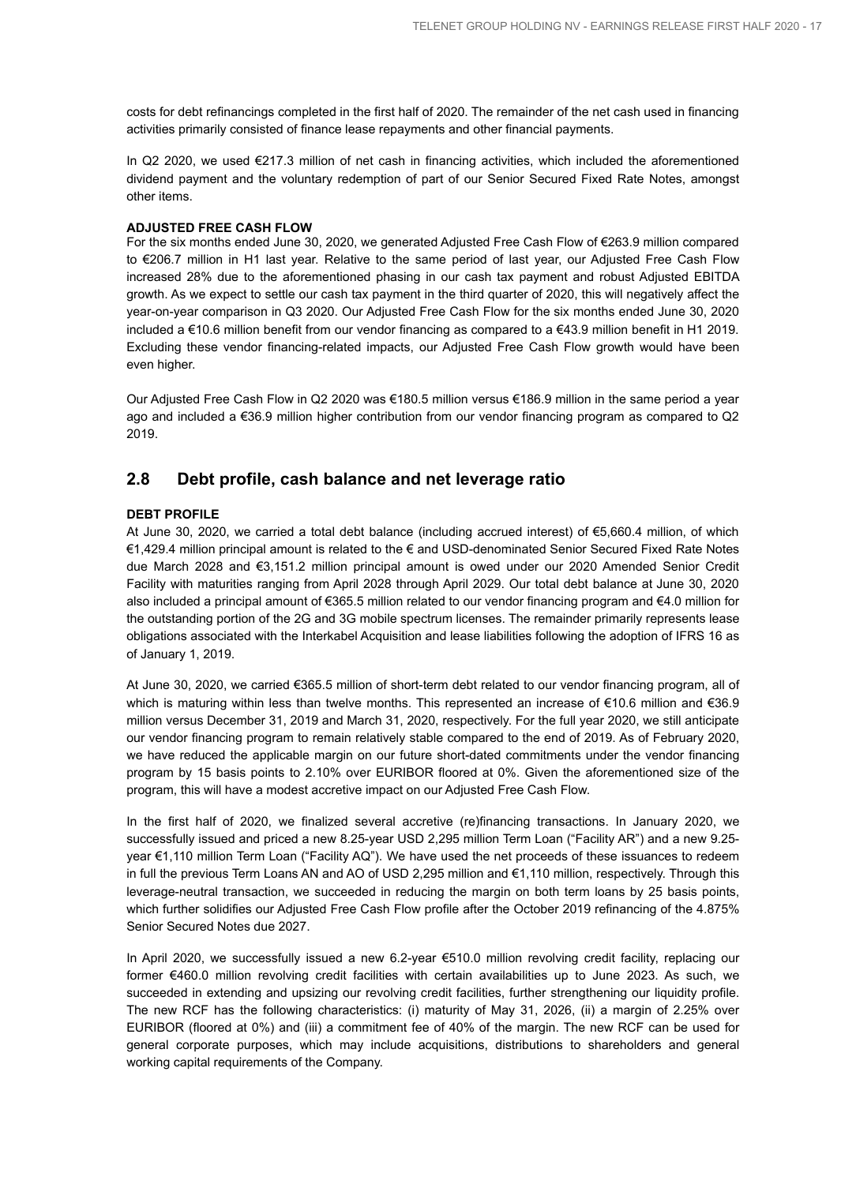costs for debt refinancings completed in the first half of 2020. The remainder of the net cash used in financing activities primarily consisted of finance lease repayments and other financial payments.

In Q2 2020, we used €217.3 million of net cash in financing activities, which included the aforementioned dividend payment and the voluntary redemption of part of our Senior Secured Fixed Rate Notes, amongst other items.

## **ADJUSTED FREE CASH FLOW**

For the six months ended June 30, 2020, we generated Adjusted Free Cash Flow of €263.9 million compared to €206.7 million in H1 last year. Relative to the same period of last year, our Adjusted Free Cash Flow increased 28% due to the aforementioned phasing in our cash tax payment and robust Adjusted EBITDA growth. As we expect to settle our cash tax payment in the third quarter of 2020, this will negatively affect the year-on-year comparison in Q3 2020. Our Adjusted Free Cash Flow for the six months ended June 30, 2020 included a €10.6 million benefit from our vendor financing as compared to a €43.9 million benefit in H1 2019. Excluding these vendor financing-related impacts, our Adjusted Free Cash Flow growth would have been even higher.

Our Adjusted Free Cash Flow in Q2 2020 was €180.5 million versus €186.9 million in the same period a year ago and included a €36.9 million higher contribution from our vendor financing program as compared to Q2 2019.

## **2.8 Debt profile, cash balance and net leverage ratio**

## **DEBT PROFILE**

At June 30, 2020, we carried a total debt balance (including accrued interest) of €5,660.4 million, of which €1,429.4 million principal amount is related to the € and USD-denominated Senior Secured Fixed Rate Notes due March 2028 and €3,151.2 million principal amount is owed under our 2020 Amended Senior Credit Facility with maturities ranging from April 2028 through April 2029. Our total debt balance at June 30, 2020 also included a principal amount of €365.5 million related to our vendor financing program and €4.0 million for the outstanding portion of the 2G and 3G mobile spectrum licenses. The remainder primarily represents lease obligations associated with the Interkabel Acquisition and lease liabilities following the adoption of IFRS 16 as of January 1, 2019.

At June 30, 2020, we carried €365.5 million of short-term debt related to our vendor financing program, all of which is maturing within less than twelve months. This represented an increase of €10.6 million and €36.9 million versus December 31, 2019 and March 31, 2020, respectively. For the full year 2020, we still anticipate our vendor financing program to remain relatively stable compared to the end of 2019. As of February 2020, we have reduced the applicable margin on our future short-dated commitments under the vendor financing program by 15 basis points to 2.10% over EURIBOR floored at 0%. Given the aforementioned size of the program, this will have a modest accretive impact on our Adjusted Free Cash Flow.

In the first half of 2020, we finalized several accretive (re)financing transactions. In January 2020, we successfully issued and priced a new 8.25-year USD 2,295 million Term Loan ("Facility AR") and a new 9.25 year €1,110 million Term Loan ("Facility AQ"). We have used the net proceeds of these issuances to redeem in full the previous Term Loans AN and AO of USD 2,295 million and €1,110 million, respectively. Through this leverage-neutral transaction, we succeeded in reducing the margin on both term loans by 25 basis points, which further solidifies our Adjusted Free Cash Flow profile after the October 2019 refinancing of the 4.875% Senior Secured Notes due 2027.

In April 2020, we successfully issued a new 6.2-year €510.0 million revolving credit facility, replacing our former €460.0 million revolving credit facilities with certain availabilities up to June 2023. As such, we succeeded in extending and upsizing our revolving credit facilities, further strengthening our liquidity profile. The new RCF has the following characteristics: (i) maturity of May 31, 2026, (ii) a margin of 2.25% over EURIBOR (floored at 0%) and (iii) a commitment fee of 40% of the margin. The new RCF can be used for general corporate purposes, which may include acquisitions, distributions to shareholders and general working capital requirements of the Company.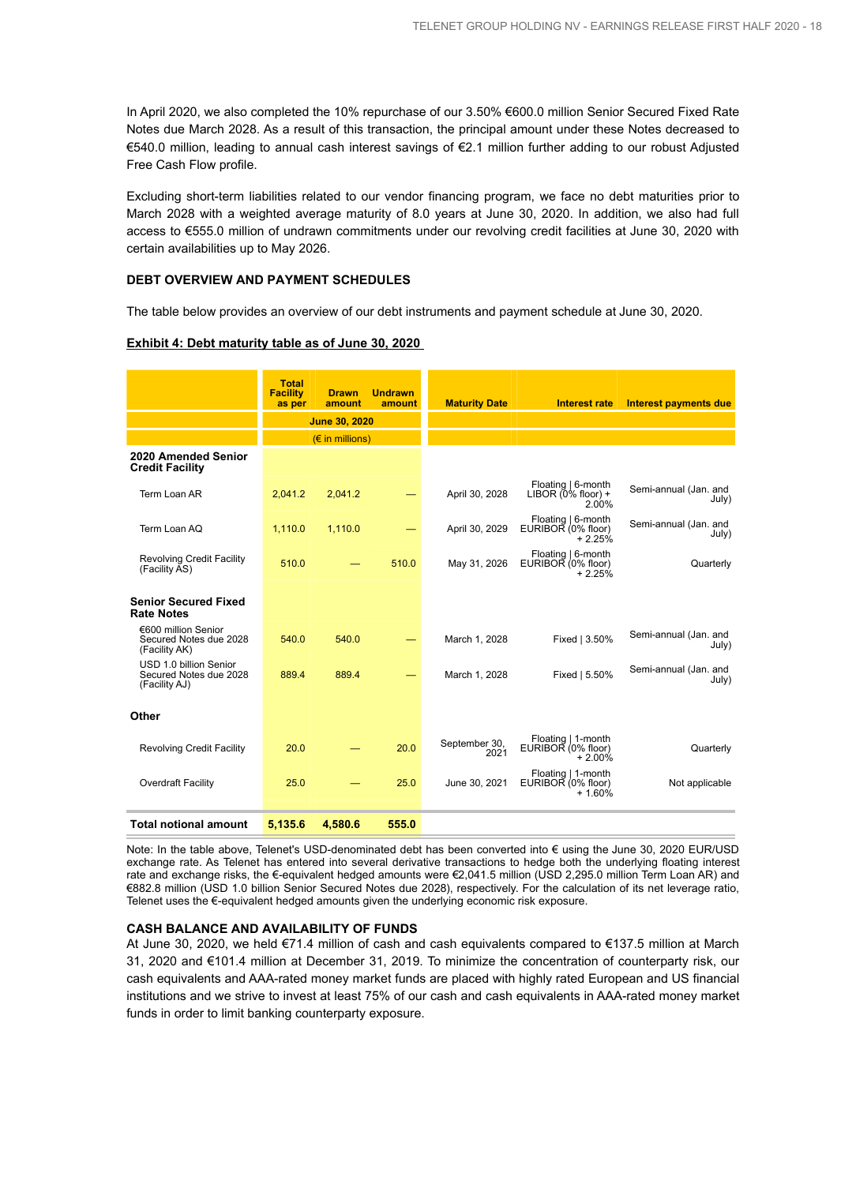In April 2020, we also completed the 10% repurchase of our 3.50% €600.0 million Senior Secured Fixed Rate Notes due March 2028. As a result of this transaction, the principal amount under these Notes decreased to €540.0 million, leading to annual cash interest savings of €2.1 million further adding to our robust Adjusted Free Cash Flow profile.

Excluding short-term liabilities related to our vendor financing program, we face no debt maturities prior to March 2028 with a weighted average maturity of 8.0 years at June 30, 2020. In addition, we also had full access to €555.0 million of undrawn commitments under our revolving credit facilities at June 30, 2020 with certain availabilities up to May 2026.

#### **DEBT OVERVIEW AND PAYMENT SCHEDULES**

The table below provides an overview of our debt instruments and payment schedule at June 30, 2020.

#### **Exhibit 4: Debt maturity table as of June 30, 2020**

|                                                                   | <b>Total</b><br><b>Facility</b><br>as per | <b>Drawn</b><br>amount            | <b>Undrawn</b><br>amount | <b>Maturity Date</b>  | <b>Interest rate</b>                                 | Interest payments due          |
|-------------------------------------------------------------------|-------------------------------------------|-----------------------------------|--------------------------|-----------------------|------------------------------------------------------|--------------------------------|
|                                                                   |                                           | <b>June 30, 2020</b>              |                          |                       |                                                      |                                |
|                                                                   |                                           | $(E \in \mathbb{R})$ in millions) |                          |                       |                                                      |                                |
| 2020 Amended Senior<br><b>Credit Facility</b>                     |                                           |                                   |                          |                       |                                                      |                                |
| Term Loan AR                                                      | 2.041.2                                   | 2.041.2                           |                          | April 30, 2028        | Floating   6-month<br>LIBOR $(0\%$ floor) +<br>2.00% | Semi-annual (Jan. and<br>July) |
| Term Loan AQ                                                      | 1,110.0                                   | 1,110.0                           |                          | April 30, 2029        | Floating   6-month<br>EURIBOR (0% floor)<br>$+2.25%$ | Semi-annual (Jan. and<br>July) |
| <b>Revolving Credit Facility</b><br>(Facility AS)                 | 510.0                                     |                                   | 510.0                    | May 31, 2026          | Floating   6-month<br>EURIBOR (0% floor)<br>$+2.25%$ | Quarterly                      |
| <b>Senior Secured Fixed</b><br><b>Rate Notes</b>                  |                                           |                                   |                          |                       |                                                      |                                |
| €600 million Senior<br>Secured Notes due 2028<br>(Facility AK)    | 540.0                                     | 540.0                             |                          | March 1, 2028         | Fixed   3.50%                                        | Semi-annual (Jan. and<br>July) |
| USD 1.0 billion Senior<br>Secured Notes due 2028<br>(Facility AJ) | 889.4                                     | 889.4                             |                          | March 1, 2028         | Fixed   5.50%                                        | Semi-annual (Jan. and<br>July) |
| Other                                                             |                                           |                                   |                          |                       |                                                      |                                |
| <b>Revolving Credit Facility</b>                                  | 20.0                                      |                                   | 20.0                     | September 30,<br>2021 | Floating   1-month<br>EURIBOR (0% floor)<br>$+2.00%$ | Quarterly                      |
| Overdraft Facility                                                | 25.0                                      |                                   | 25.0                     | June 30, 2021         | Floating   1-month<br>EURIBOR (0% floor)<br>$+1.60%$ | Not applicable                 |
| <b>Total notional amount</b>                                      | 5,135.6                                   | 4.580.6                           | 555.0                    |                       |                                                      |                                |

Note: In the table above, Telenet's USD-denominated debt has been converted into € using the June 30, 2020 EUR/USD exchange rate. As Telenet has entered into several derivative transactions to hedge both the underlying floating interest rate and exchange risks, the €-equivalent hedged amounts were €2,041.5 million (USD 2,295.0 million Term Loan AR) and €882.8 million (USD 1.0 billion Senior Secured Notes due 2028), respectively. For the calculation of its net leverage ratio, Telenet uses the €-equivalent hedged amounts given the underlying economic risk exposure.

## **CASH BALANCE AND AVAILABILITY OF FUNDS**

At June 30, 2020, we held €71.4 million of cash and cash equivalents compared to €137.5 million at March 31, 2020 and €101.4 million at December 31, 2019. To minimize the concentration of counterparty risk, our cash equivalents and AAA-rated money market funds are placed with highly rated European and US financial institutions and we strive to invest at least 75% of our cash and cash equivalents in AAA-rated money market funds in order to limit banking counterparty exposure.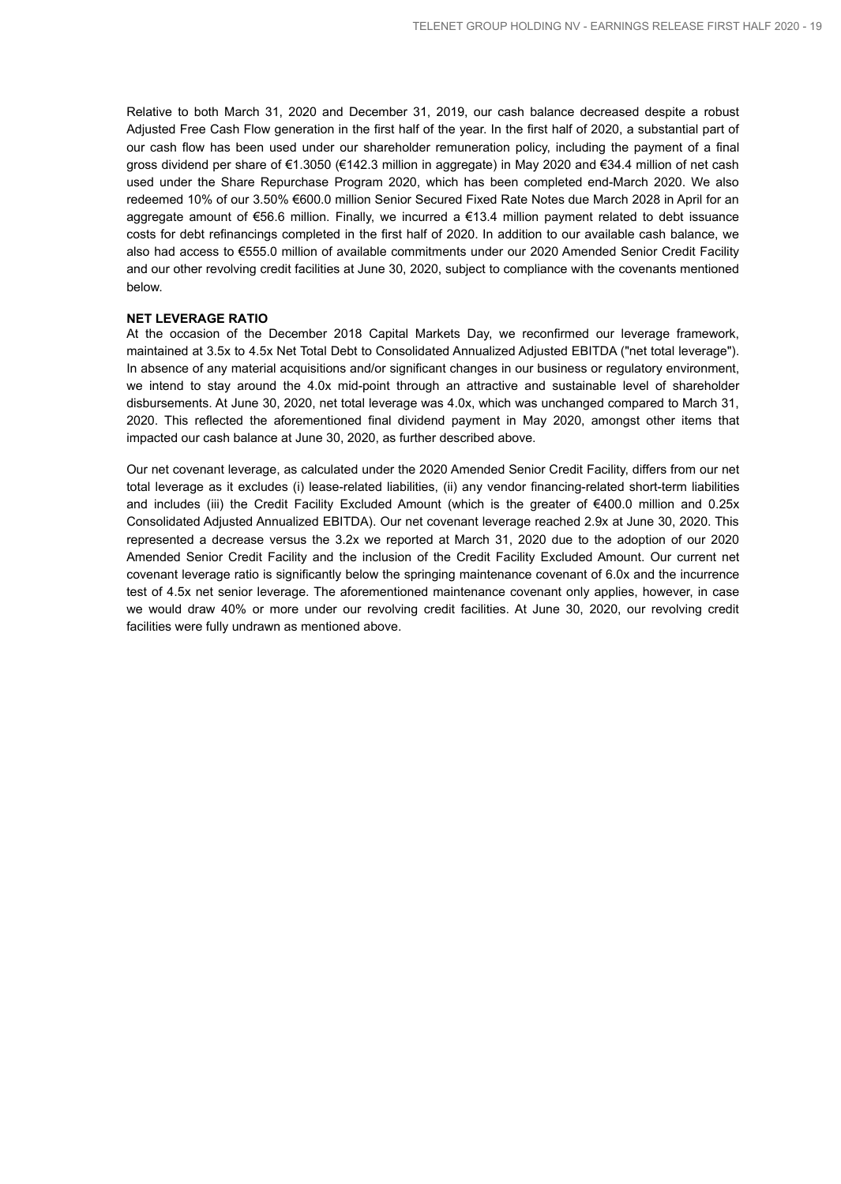Relative to both March 31, 2020 and December 31, 2019, our cash balance decreased despite a robust Adjusted Free Cash Flow generation in the first half of the year. In the first half of 2020, a substantial part of our cash flow has been used under our shareholder remuneration policy, including the payment of a final gross dividend per share of €1.3050 (€142.3 million in aggregate) in May 2020 and €34.4 million of net cash used under the Share Repurchase Program 2020, which has been completed end-March 2020. We also redeemed 10% of our 3.50% €600.0 million Senior Secured Fixed Rate Notes due March 2028 in April for an aggregate amount of €56.6 million. Finally, we incurred a €13.4 million payment related to debt issuance costs for debt refinancings completed in the first half of 2020. In addition to our available cash balance, we also had access to €555.0 million of available commitments under our 2020 Amended Senior Credit Facility and our other revolving credit facilities at June 30, 2020, subject to compliance with the covenants mentioned below.

#### **NET LEVERAGE RATIO**

At the occasion of the December 2018 Capital Markets Day, we reconfirmed our leverage framework, maintained at 3.5x to 4.5x Net Total Debt to Consolidated Annualized Adjusted EBITDA ("net total leverage"). In absence of any material acquisitions and/or significant changes in our business or regulatory environment, we intend to stay around the 4.0x mid-point through an attractive and sustainable level of shareholder disbursements. At June 30, 2020, net total leverage was 4.0x, which was unchanged compared to March 31, 2020. This reflected the aforementioned final dividend payment in May 2020, amongst other items that impacted our cash balance at June 30, 2020, as further described above.

Our net covenant leverage, as calculated under the 2020 Amended Senior Credit Facility, differs from our net total leverage as it excludes (i) lease-related liabilities, (ii) any vendor financing-related short-term liabilities and includes (iii) the Credit Facility Excluded Amount (which is the greater of €400.0 million and 0.25x Consolidated Adjusted Annualized EBITDA). Our net covenant leverage reached 2.9x at June 30, 2020. This represented a decrease versus the 3.2x we reported at March 31, 2020 due to the adoption of our 2020 Amended Senior Credit Facility and the inclusion of the Credit Facility Excluded Amount. Our current net covenant leverage ratio is significantly below the springing maintenance covenant of 6.0x and the incurrence test of 4.5x net senior leverage. The aforementioned maintenance covenant only applies, however, in case we would draw 40% or more under our revolving credit facilities. At June 30, 2020, our revolving credit facilities were fully undrawn as mentioned above.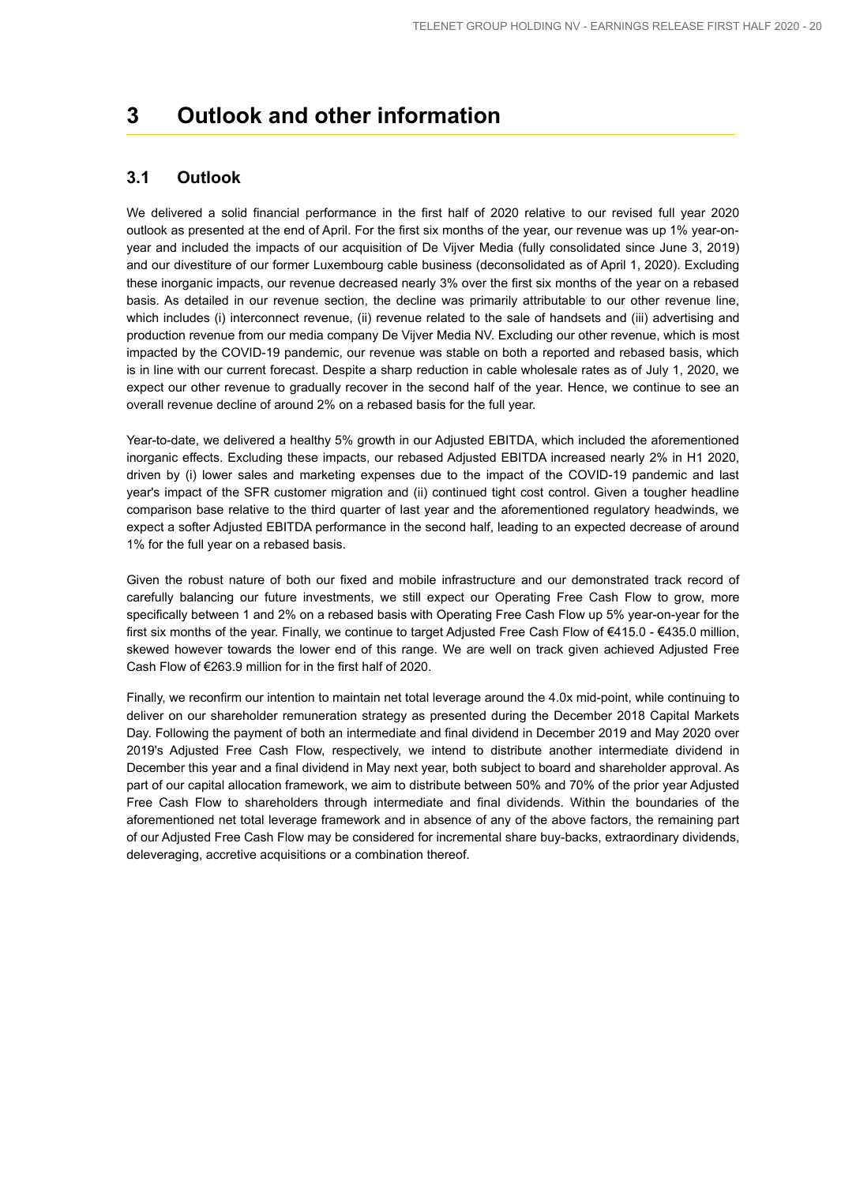## **3 Outlook and other information**

## **3.1 Outlook**

We delivered a solid financial performance in the first half of 2020 relative to our revised full year 2020 outlook as presented at the end of April. For the first six months of the year, our revenue was up 1% year-onyear and included the impacts of our acquisition of De Vijver Media (fully consolidated since June 3, 2019) and our divestiture of our former Luxembourg cable business (deconsolidated as of April 1, 2020). Excluding these inorganic impacts, our revenue decreased nearly 3% over the first six months of the year on a rebased basis. As detailed in our revenue section, the decline was primarily attributable to our other revenue line, which includes (i) interconnect revenue, (ii) revenue related to the sale of handsets and (iii) advertising and production revenue from our media company De Vijver Media NV. Excluding our other revenue, which is most impacted by the COVID-19 pandemic, our revenue was stable on both a reported and rebased basis, which is in line with our current forecast. Despite a sharp reduction in cable wholesale rates as of July 1, 2020, we expect our other revenue to gradually recover in the second half of the year. Hence, we continue to see an overall revenue decline of around 2% on a rebased basis for the full year.

Year-to-date, we delivered a healthy 5% growth in our Adjusted EBITDA, which included the aforementioned inorganic effects. Excluding these impacts, our rebased Adjusted EBITDA increased nearly 2% in H1 2020, driven by (i) lower sales and marketing expenses due to the impact of the COVID-19 pandemic and last year's impact of the SFR customer migration and (ii) continued tight cost control. Given a tougher headline comparison base relative to the third quarter of last year and the aforementioned regulatory headwinds, we expect a softer Adjusted EBITDA performance in the second half, leading to an expected decrease of around 1% for the full year on a rebased basis.

Given the robust nature of both our fixed and mobile infrastructure and our demonstrated track record of carefully balancing our future investments, we still expect our Operating Free Cash Flow to grow, more specifically between 1 and 2% on a rebased basis with Operating Free Cash Flow up 5% year-on-year for the first six months of the year. Finally, we continue to target Adjusted Free Cash Flow of €415.0 - €435.0 million, skewed however towards the lower end of this range. We are well on track given achieved Adjusted Free Cash Flow of €263.9 million for in the first half of 2020.

Finally, we reconfirm our intention to maintain net total leverage around the 4.0x mid-point, while continuing to deliver on our shareholder remuneration strategy as presented during the December 2018 Capital Markets Day. Following the payment of both an intermediate and final dividend in December 2019 and May 2020 over 2019's Adjusted Free Cash Flow, respectively, we intend to distribute another intermediate dividend in December this year and a final dividend in May next year, both subject to board and shareholder approval. As part of our capital allocation framework, we aim to distribute between 50% and 70% of the prior year Adjusted Free Cash Flow to shareholders through intermediate and final dividends. Within the boundaries of the aforementioned net total leverage framework and in absence of any of the above factors, the remaining part of our Adjusted Free Cash Flow may be considered for incremental share buy-backs, extraordinary dividends, deleveraging, accretive acquisitions or a combination thereof.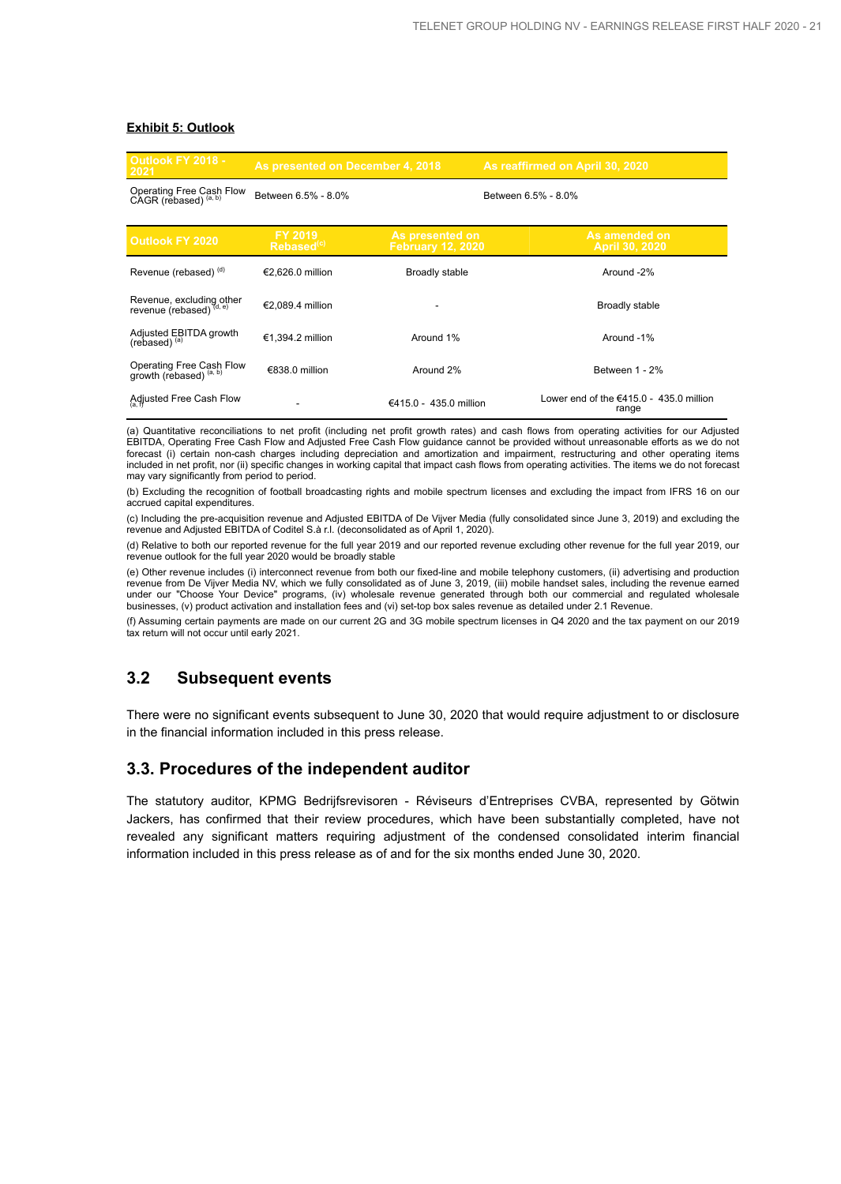## **Exhibit 5: Outlook**

| <b>Outlook FY 2018 -</b><br>2021                               | As presented on December 4, 2018  |                                             | As reaffirmed on April 30, 2020                    |
|----------------------------------------------------------------|-----------------------------------|---------------------------------------------|----------------------------------------------------|
| Operating Free Cash Flow<br>CAGR (rebased) (a, b)              | Between 6.5% - 8.0%               |                                             | Between 6.5% - 8.0%                                |
| <b>Outlook FY 2020</b>                                         | FY 2019<br>Rebased <sup>(c)</sup> | As presented on<br><b>February 12, 2020</b> | As amended on<br>April 30, 2020                    |
| Revenue (rebased) <sup>(d)</sup>                               | €2.626.0 million                  | <b>Broadly stable</b>                       | Around -2%                                         |
| Revenue, excluding other<br>revenue (rebased) (d, e)           | €2,089.4 million                  |                                             | Broadly stable                                     |
| Adjusted EBITDA growth<br>(rebased) $(a)$                      | €1.394.2 million                  | Around 1%                                   | Around -1%                                         |
| Operating Free Cash Flow<br>growth (rebased) <sup>(a, b)</sup> | €838.0 million                    | Around 2%                                   | Between 1 - 2%                                     |
| Adjusted Free Cash Flow                                        |                                   | €415.0 - 435.0 million                      | Lower end of the $€415.0 - 435.0$ million<br>range |

(a) Quantitative reconciliations to net profit (including net profit growth rates) and cash flows from operating activities for our Adjusted EBITDA, Operating Free Cash Flow and Adjusted Free Cash Flow guidance cannot be provided without unreasonable efforts as we do not forecast (i) certain non-cash charges including depreciation and amortization and impairment, restructuring and other operating items included in net profit, nor (ii) specific changes in working capital that impact cash flows from operating activities. The items we do not forecast may vary significantly from period to period.

(b) Excluding the recognition of football broadcasting rights and mobile spectrum licenses and excluding the impact from IFRS 16 on our accrued capital expenditures.

(c) Including the pre-acquisition revenue and Adjusted EBITDA of De Vijver Media (fully consolidated since June 3, 2019) and excluding the revenue and Adjusted EBITDA of Coditel S.à r.l. (deconsolidated as of April 1, 2020).

(d) Relative to both our reported revenue for the full year 2019 and our reported revenue excluding other revenue for the full year 2019, our revenue outlook for the full year 2020 would be broadly stable

(e) Other revenue includes (i) interconnect revenue from both our fixed-line and mobile telephony customers, (ii) advertising and production revenue from De Vijver Media NV, which we fully consolidated as of June 3, 2019, (iii) mobile handset sales, including the revenue earned under our "Choose Your Device" programs, (iv) wholesale revenue generated through both our commercial and regulated wholesale businesses, (v) product activation and installation fees and (vi) set-top box sales revenue as detailed under 2.1 Revenue.

(f) Assuming certain payments are made on our current 2G and 3G mobile spectrum licenses in Q4 2020 and the tax payment on our 2019 tax return will not occur until early 2021.

## **3.2 Subsequent events**

There were no significant events subsequent to June 30, 2020 that would require adjustment to or disclosure in the financial information included in this press release.

## **3.3. Procedures of the independent auditor**

The statutory auditor, KPMG Bedrijfsrevisoren - Réviseurs d'Entreprises CVBA, represented by Götwin Jackers, has confirmed that their review procedures, which have been substantially completed, have not revealed any significant matters requiring adjustment of the condensed consolidated interim financial information included in this press release as of and for the six months ended June 30, 2020.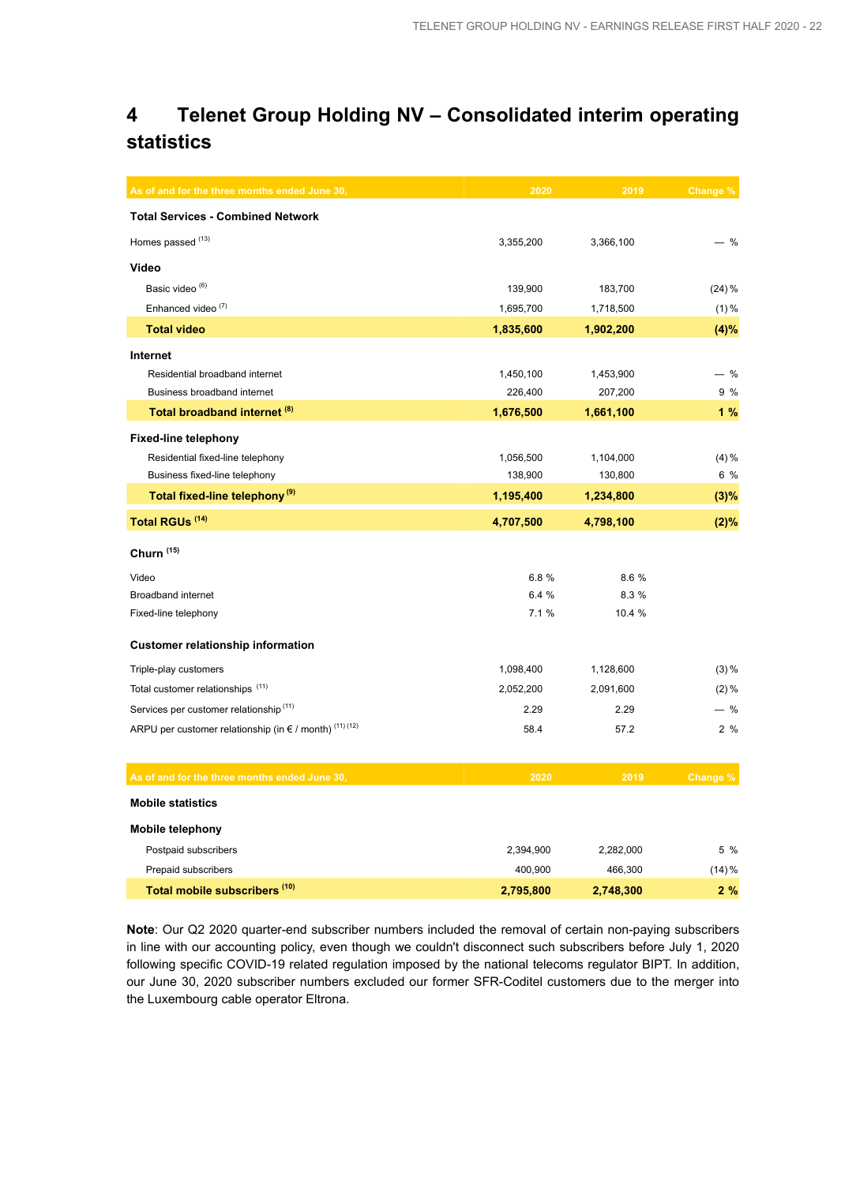## **4 Telenet Group Holding NV – Consolidated interim operating statistics**

| As of and for the three months ended June 30,                    | 2020      | 2019      | <b>Change %</b> |
|------------------------------------------------------------------|-----------|-----------|-----------------|
| <b>Total Services - Combined Network</b>                         |           |           |                 |
| Homes passed (13)                                                | 3,355,200 | 3,366,100 | - %             |
| Video                                                            |           |           |                 |
| Basic video <sup>(6)</sup>                                       | 139,900   | 183,700   | $(24) \%$       |
| Enhanced video <sup>(7)</sup>                                    | 1,695,700 | 1,718,500 | $(1) \%$        |
| <b>Total video</b>                                               | 1,835,600 | 1,902,200 | (4)%            |
| Internet                                                         |           |           |                 |
| Residential broadband internet                                   | 1,450,100 | 1,453,900 | — %             |
| Business broadband internet                                      | 226,400   | 207,200   | 9 %             |
| Total broadband internet (8)                                     | 1,676,500 | 1,661,100 | 1%              |
| <b>Fixed-line telephony</b>                                      |           |           |                 |
| Residential fixed-line telephony                                 | 1,056,500 | 1,104,000 | $(4) \%$        |
| Business fixed-line telephony                                    | 138,900   | 130,800   | 6 %             |
| Total fixed-line telephony <sup>(9)</sup>                        | 1,195,400 | 1,234,800 | (3)%            |
| Total RGUs <sup>(14)</sup>                                       | 4,707,500 | 4,798,100 | $(2)\%$         |
| Churn <sup>(15)</sup>                                            |           |           |                 |
| Video                                                            | 6.8%      | 8.6 %     |                 |
| <b>Broadband internet</b>                                        | 6.4 %     | 8.3 %     |                 |
| Fixed-line telephony                                             | 7.1%      | 10.4 %    |                 |
| <b>Customer relationship information</b>                         |           |           |                 |
| Triple-play customers                                            | 1,098,400 | 1,128,600 | $(3) \%$        |
| Total customer relationships (11)                                | 2,052,200 | 2,091,600 | $(2) \%$        |
| Services per customer relationship <sup>(11)</sup>               | 2.29      | 2.29      | $-$ %           |
| ARPU per customer relationship (in $\epsilon$ / month) (11) (12) | 58.4      | 57.2      | 2%              |
| As of and for the three months ended June 30,                    | 2020      | 2019      | Change %        |
| <b>Mobile statistics</b>                                         |           |           |                 |
| <b>Mobile telephony</b>                                          |           |           |                 |
| Postpaid subscribers                                             | 2,394,900 | 2,282,000 | 5 %             |
| Prepaid subscribers                                              | 400,900   | 466,300   | $(14) \%$       |
| Total mobile subscribers (10)                                    | 2,795,800 | 2,748,300 | 2%              |

**Note**: Our Q2 2020 quarter-end subscriber numbers included the removal of certain non-paying subscribers in line with our accounting policy, even though we couldn't disconnect such subscribers before July 1, 2020 following specific COVID-19 related regulation imposed by the national telecoms regulator BIPT. In addition, our June 30, 2020 subscriber numbers excluded our former SFR-Coditel customers due to the merger into the Luxembourg cable operator Eltrona.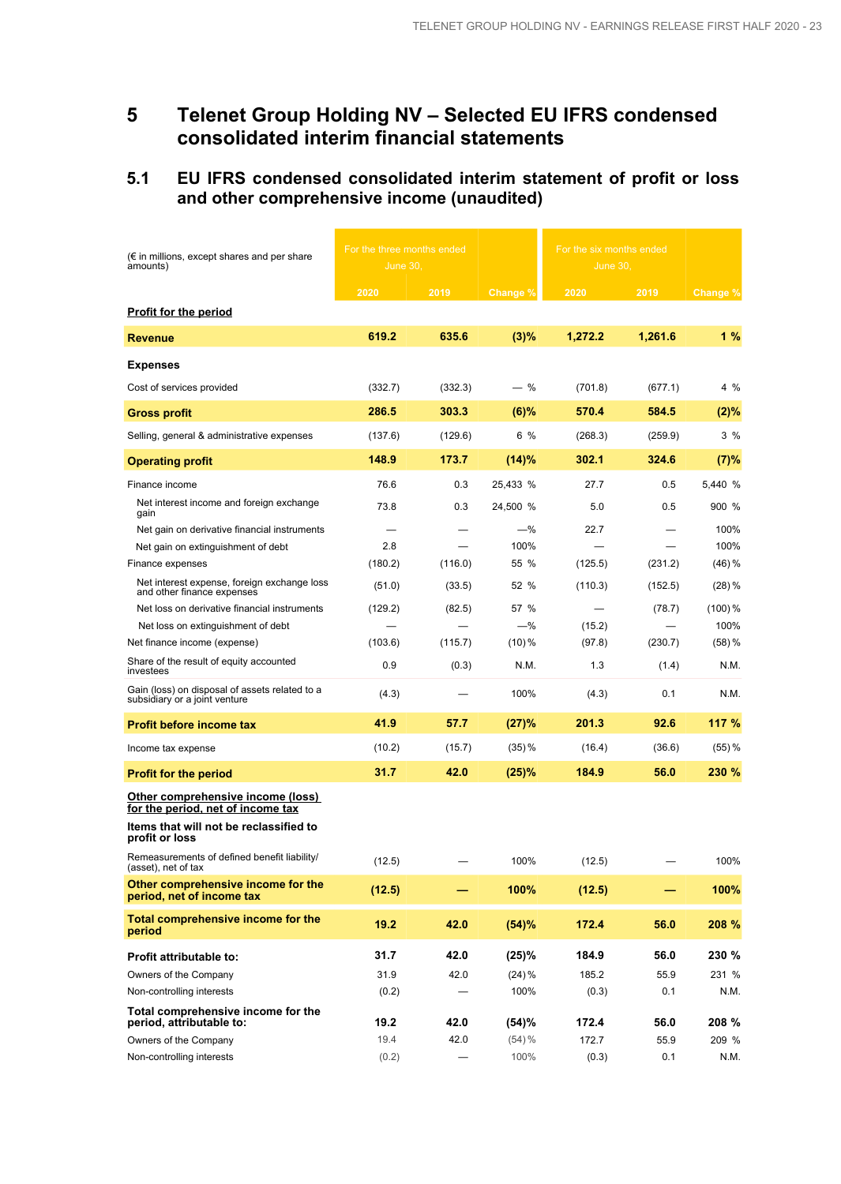## **5 Telenet Group Holding NV – Selected EU IFRS condensed consolidated interim financial statements**

## **5.1 EU IFRS condensed consolidated interim statement of profit or loss and other comprehensive income (unaudited)**

| $(\epsilon$ in millions, except shares and per share<br>amounts)                                                 | For the three months ended<br><b>June 30,</b> |         |           |         | For the six months ended<br><b>June 30,</b> |           |
|------------------------------------------------------------------------------------------------------------------|-----------------------------------------------|---------|-----------|---------|---------------------------------------------|-----------|
| <b>Profit for the period</b>                                                                                     | 2020                                          | 2019    | Change %  | 2020    | 2019                                        | Change %  |
|                                                                                                                  | 619.2                                         | 635.6   | (3)%      | 1,272.2 | 1,261.6                                     | 1%        |
| <b>Revenue</b>                                                                                                   |                                               |         |           |         |                                             |           |
| <b>Expenses</b>                                                                                                  |                                               |         |           |         |                                             |           |
| Cost of services provided                                                                                        | (332.7)                                       | (332.3) | $-$ %     | (701.8) | (677.1)                                     | 4 %       |
| <b>Gross profit</b>                                                                                              | 286.5                                         | 303.3   | $(6)$ %   | 570.4   | 584.5                                       | (2)%      |
| Selling, general & administrative expenses                                                                       | (137.6)                                       | (129.6) | 6 %       | (268.3) | (259.9)                                     | 3%        |
| <b>Operating profit</b>                                                                                          | 148.9                                         | 173.7   | (14)%     | 302.1   | 324.6                                       | (7)%      |
| Finance income                                                                                                   | 76.6                                          | 0.3     | 25,433 %  | 27.7    | 0.5                                         | 5,440 %   |
| Net interest income and foreign exchange                                                                         |                                               |         |           |         |                                             |           |
| gain                                                                                                             | 73.8                                          | 0.3     | 24,500 %  | 5.0     | 0.5                                         | 900 %     |
| Net gain on derivative financial instruments                                                                     |                                               |         | $-\%$     | 22.7    |                                             | 100%      |
| Net gain on extinguishment of debt                                                                               | 2.8                                           |         | 100%      |         |                                             | 100%      |
| Finance expenses                                                                                                 | (180.2)                                       | (116.0) | 55 %      | (125.5) | (231.2)                                     | $(46)$ %  |
| Net interest expense, foreign exchange loss<br>and other finance expenses                                        | (51.0)                                        | (33.5)  | 52 %      | (110.3) | (152.5)                                     | $(28)$ %  |
| Net loss on derivative financial instruments                                                                     | (129.2)                                       | (82.5)  | 57 %      |         | (78.7)                                      | $(100)\%$ |
| Net loss on extinguishment of debt                                                                               |                                               |         | $-\%$     | (15.2)  |                                             | 100%      |
| Net finance income (expense)                                                                                     | (103.6)                                       | (115.7) | $(10)\%$  | (97.8)  | (230.7)                                     | $(58)$ %  |
| Share of the result of equity accounted<br>investees                                                             | 0.9                                           | (0.3)   | N.M.      | 1.3     | (1.4)                                       | N.M.      |
| Gain (loss) on disposal of assets related to a<br>subsidiary or a joint venture                                  | (4.3)                                         |         | 100%      | (4.3)   | 0.1                                         | N.M.      |
| <b>Profit before income tax</b>                                                                                  | 41.9                                          | 57.7    | (27)%     | 201.3   | 92.6                                        | 117 %     |
| Income tax expense                                                                                               | (10.2)                                        | (15.7)  | $(35)$ %  | (16.4)  | (36.6)                                      | $(55)$ %  |
| <b>Profit for the period</b>                                                                                     | 31.7                                          | 42.0    | (25)%     | 184.9   | 56.0                                        | 230 %     |
| Other comprehensive income (loss)<br>for the period, net of income tax<br>Items that will not be reclassified to |                                               |         |           |         |                                             |           |
| profit or loss                                                                                                   |                                               |         |           |         |                                             |           |
| Remeasurements of defined benefit liability/<br>(asset), net of tax                                              | (12.5)                                        |         | 100%      | (12.5)  |                                             | 100%      |
| Other comprehensive income for the<br>period, net of income tax                                                  | (12.5)                                        |         | 100%      | (12.5)  |                                             | 100%      |
| Total comprehensive income for the<br>period                                                                     | 19.2                                          | 42.0    | (54)%     | 172.4   | 56.0                                        | 208 %     |
| Profit attributable to:                                                                                          | 31.7                                          | 42.0    | (25)%     | 184.9   | 56.0                                        | 230 %     |
| Owners of the Company                                                                                            | 31.9                                          | 42.0    | $(24) \%$ | 185.2   | 55.9                                        | 231 %     |
| Non-controlling interests                                                                                        | (0.2)                                         |         | 100%      | (0.3)   | 0.1                                         | N.M.      |
| Total comprehensive income for the<br>period, attributable to:                                                   | 19.2                                          | 42.0    | (54)%     | 172.4   | 56.0                                        | 208 %     |
| Owners of the Company                                                                                            | 19.4                                          | 42.0    | $(54) \%$ | 172.7   | 55.9                                        | 209 %     |
| Non-controlling interests                                                                                        | (0.2)                                         |         | 100%      | (0.3)   | 0.1                                         | N.M.      |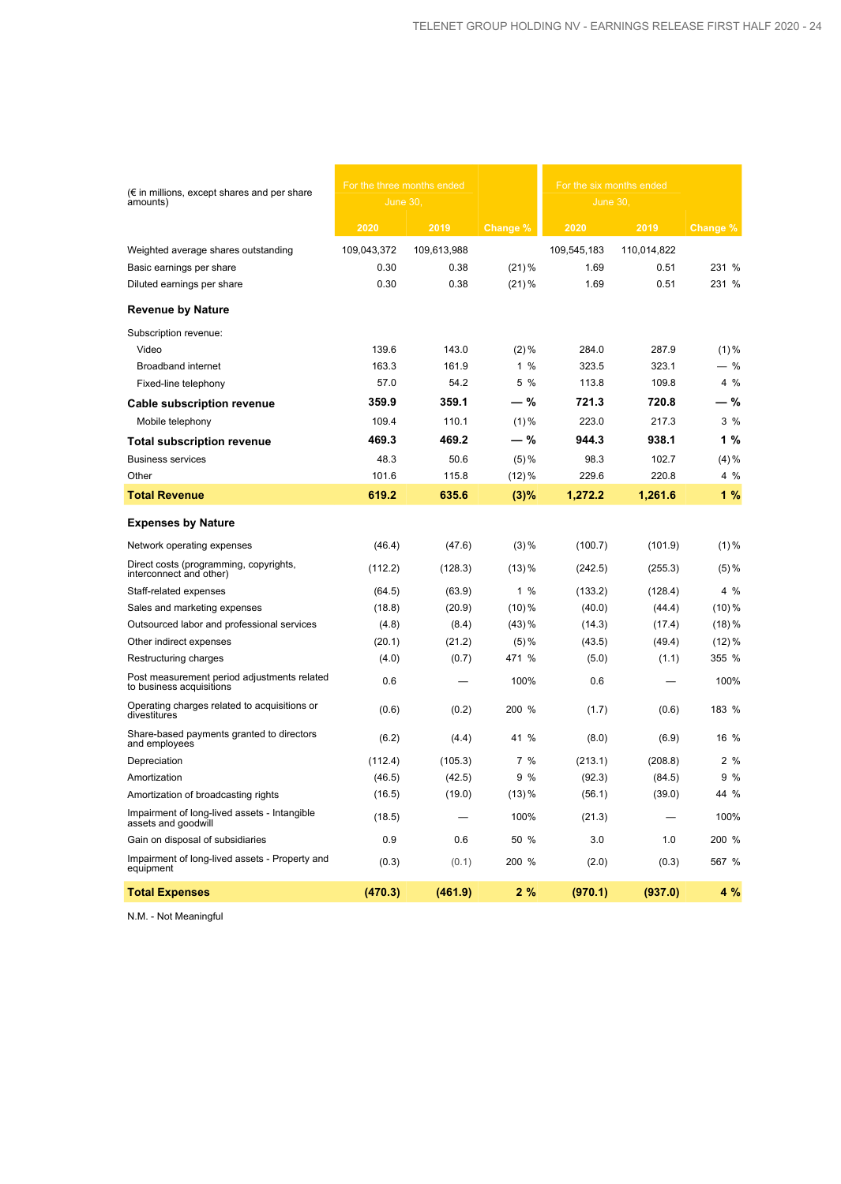| $(\epsilon$ in millions, except shares and per share<br>amounts)        | For the three months ended<br>June 30, |             |           | For the six months ended<br>June 30, |             |          |
|-------------------------------------------------------------------------|----------------------------------------|-------------|-----------|--------------------------------------|-------------|----------|
|                                                                         | 2020                                   | 2019        | Change %  | 2020                                 | 2019        | Change % |
| Weighted average shares outstanding                                     | 109,043,372                            | 109,613,988 |           | 109,545,183                          | 110,014,822 |          |
| Basic earnings per share                                                | 0.30                                   | 0.38        | $(21)\%$  | 1.69                                 | 0.51        | 231 %    |
| Diluted earnings per share                                              | 0.30                                   | 0.38        | $(21)$ %  | 1.69                                 | 0.51        | 231 %    |
| <b>Revenue by Nature</b>                                                |                                        |             |           |                                      |             |          |
| Subscription revenue:                                                   |                                        |             |           |                                      |             |          |
| Video                                                                   | 139.6                                  | 143.0       | $(2)\%$   | 284.0                                | 287.9       | $(1)\%$  |
| Broadband internet                                                      | 163.3                                  | 161.9       | $1\%$     | 323.5                                | 323.1       | - %      |
| Fixed-line telephony                                                    | 57.0                                   | 54.2        | 5 %       | 113.8                                | 109.8       | 4 %      |
| <b>Cable subscription revenue</b>                                       | 359.9                                  | 359.1       | — %       | 721.3                                | 720.8       | - %      |
| Mobile telephony                                                        | 109.4                                  | 110.1       | $(1)\%$   | 223.0                                | 217.3       | 3%       |
| <b>Total subscription revenue</b>                                       | 469.3                                  | 469.2       | — %       | 944.3                                | 938.1       | 1%       |
| <b>Business services</b>                                                | 48.3                                   | 50.6        | $(5) \%$  | 98.3                                 | 102.7       | $(4) \%$ |
| Other                                                                   | 101.6                                  | 115.8       | $(12)\%$  | 229.6                                | 220.8       | 4 %      |
| <b>Total Revenue</b>                                                    | 619.2                                  | 635.6       | (3)%      | 1,272.2                              | 1,261.6     | 1%       |
| <b>Expenses by Nature</b>                                               |                                        |             |           |                                      |             |          |
| Network operating expenses                                              | (46.4)                                 | (47.6)      | $(3) \%$  | (100.7)                              | (101.9)     | $(1) \%$ |
| Direct costs (programming, copyrights,<br>interconnect and other)       | (112.2)                                | (128.3)     | $(13)$ %  | (242.5)                              | (255.3)     | $(5) \%$ |
| Staff-related expenses                                                  | (64.5)                                 | (63.9)      | $1\%$     | (133.2)                              | (128.4)     | $4\%$    |
| Sales and marketing expenses                                            | (18.8)                                 | (20.9)      | $(10)\%$  | (40.0)                               | (44.4)      | $(10)\%$ |
| Outsourced labor and professional services                              | (4.8)                                  | (8.4)       | $(43)$ %  | (14.3)                               | (17.4)      | $(18)$ % |
| Other indirect expenses                                                 | (20.1)                                 | (21.2)      | $(5) \%$  | (43.5)                               | (49.4)      | $(12)\%$ |
| Restructuring charges                                                   | (4.0)                                  | (0.7)       | 471 %     | (5.0)                                | (1.1)       | 355 %    |
| Post measurement period adjustments related<br>to business acquisitions | 0.6                                    |             | 100%      | 0.6                                  |             | 100%     |
| Operating charges related to acquisitions or<br>divestitures            | (0.6)                                  | (0.2)       | 200 %     | (1.7)                                | (0.6)       | 183 %    |
| Share-based payments granted to directors<br>and employees              | (6.2)                                  | (4.4)       | 41 %      | (8.0)                                | (6.9)       | 16 %     |
| Depreciation                                                            | (112.4)                                | (105.3)     | 7%        | (213.1)                              | (208.8)     | 2%       |
| Amortization                                                            | (46.5)                                 | (42.5)      | 9<br>$\%$ | (92.3)                               | (84.5)      | 9%       |
| Amortization of broadcasting rights                                     | (16.5)                                 | (19.0)      | (13) %    | (56.1)                               | (39.0)      | 44 %     |
| Impairment of long-lived assets - Intangible<br>assets and goodwill     | (18.5)                                 |             | 100%      | (21.3)                               |             | 100%     |
| Gain on disposal of subsidiaries                                        | 0.9                                    | 0.6         | 50 %      | 3.0                                  | 1.0         | 200 %    |
| Impairment of long-lived assets - Property and<br>equipment             | (0.3)                                  | (0.1)       | 200 %     | (2.0)                                | (0.3)       | 567 %    |
| <b>Total Expenses</b>                                                   | (470.3)                                | (461.9)     | 2%        | (970.1)                              | (937.0)     | 4 %      |

N.M. - Not Meaningful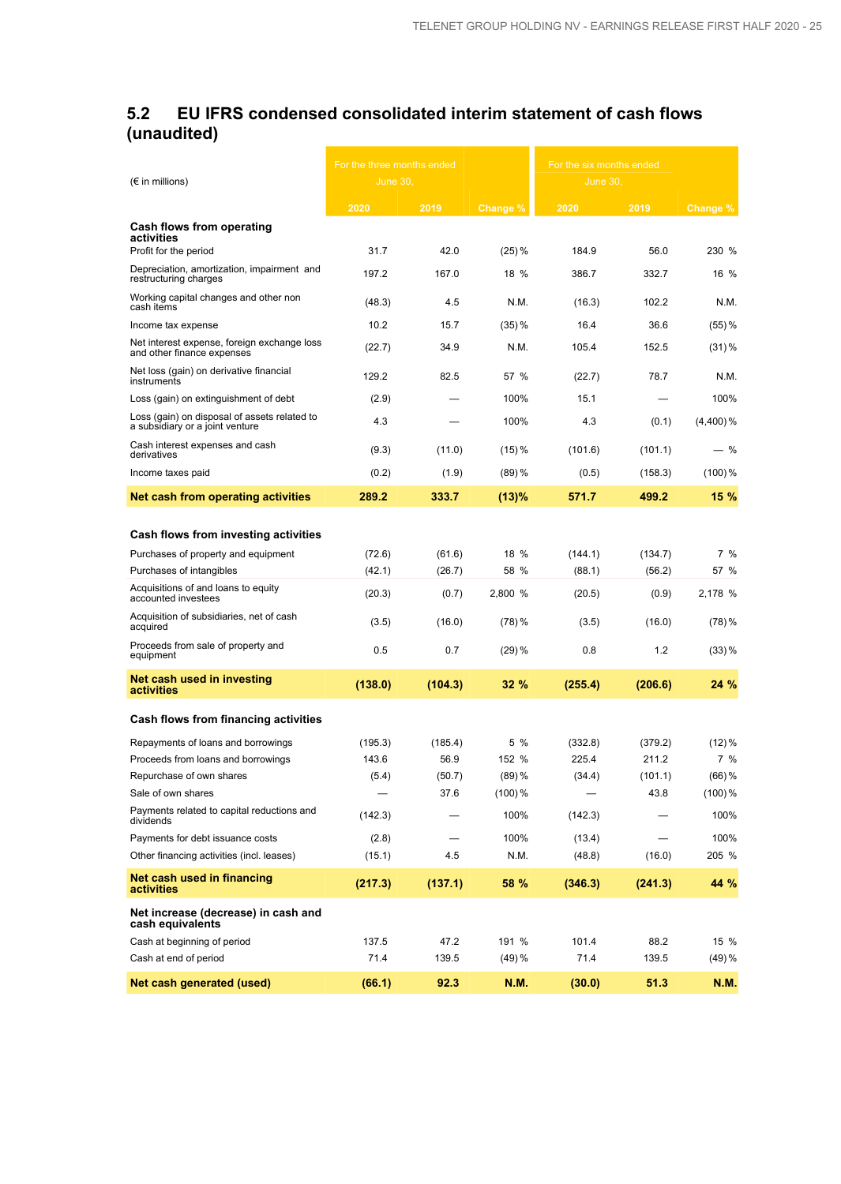## **5.2 EU IFRS condensed consolidated interim statement of cash flows (unaudited)**

|                                                                                 | For the three months ended |         |           | For the six months ended |         |             |
|---------------------------------------------------------------------------------|----------------------------|---------|-----------|--------------------------|---------|-------------|
| $(\epsilon$ in millions)                                                        | June 30.                   |         |           | June 30                  |         |             |
|                                                                                 | 2020                       | 2019    | Change %  | 2020                     | 2019    | Change %    |
| Cash flows from operating                                                       |                            |         |           |                          |         |             |
| activities<br>Profit for the period                                             | 31.7                       | 42.0    | (25) %    | 184.9                    | 56.0    | 230 %       |
| Depreciation, amortization, impairment and<br>restructuring charges             | 197.2                      | 167.0   | $18\%$    | 386.7                    | 332.7   | 16 %        |
| Working capital changes and other non<br>cash items                             | (48.3)                     | 4.5     | N.M.      | (16.3)                   | 102.2   | N.M.        |
| Income tax expense                                                              | 10.2                       | 15.7    | $(35)$ %  | 16.4                     | 36.6    | $(55)$ %    |
| Net interest expense, foreign exchange loss<br>and other finance expenses       | (22.7)                     | 34.9    | N.M.      | 105.4                    | 152.5   | $(31)$ %    |
| Net loss (gain) on derivative financial<br>instruments                          | 129.2                      | 82.5    | 57 %      | (22.7)                   | 78.7    | N.M.        |
| Loss (gain) on extinguishment of debt                                           | (2.9)                      |         | 100%      | 15.1                     |         | 100%        |
| Loss (gain) on disposal of assets related to<br>a subsidiary or a joint venture | 4.3                        |         | 100%      | 4.3                      | (0.1)   | $(4,400)\%$ |
| Cash interest expenses and cash<br>derivatives                                  | (9.3)                      | (11.0)  | (15) %    | (101.6)                  | (101.1) | $-$ %       |
| Income taxes paid                                                               | (0.2)                      | (1.9)   | $(89)$ %  | (0.5)                    | (158.3) | $(100)$ %   |
| Net cash from operating activities                                              | 289.2                      | 333.7   | (13)%     | 571.7                    | 499.2   | 15 %        |
|                                                                                 |                            |         |           |                          |         |             |
| Cash flows from investing activities                                            |                            |         |           |                          |         |             |
| Purchases of property and equipment                                             | (72.6)                     | (61.6)  | $18\%$    | (144.1)                  | (134.7) | 7%          |
| Purchases of intangibles                                                        | (42.1)                     | (26.7)  | 58 %      | (88.1)                   | (56.2)  | 57 %        |
| Acquisitions of and loans to equity<br>accounted investees                      | (20.3)                     | (0.7)   | 2,800 %   | (20.5)                   | (0.9)   | 2,178 %     |
| Acquisition of subsidiaries, net of cash<br>acquired                            | (3.5)                      | (16.0)  | (78)%     | (3.5)                    | (16.0)  | (78) %      |
| Proceeds from sale of property and<br>equipment                                 | 0.5                        | 0.7     | $(29)$ %  | 0.8                      | 1.2     | $(33)$ %    |
| Net cash used in investing<br>activities                                        | (138.0)                    | (104.3) | 32%       | (255.4)                  | (206.6) | 24 %        |
| Cash flows from financing activities                                            |                            |         |           |                          |         |             |
| Repayments of loans and borrowings                                              | (195.3)                    | (185.4) | 5 %       | (332.8)                  | (379.2) | $(12)\%$    |
| Proceeds from loans and borrowings                                              | 143.6                      | 56.9    | 152 %     | 225.4                    | 211.2   | 7 %         |
| Repurchase of own shares                                                        | (5.4)                      | (50.7)  | $(89)$ %  | (34.4)                   | (101.1) | $(66)$ %    |
| Sale of own shares                                                              |                            | 37.6    | $(100)\%$ |                          | 43.8    | $(100)\%$   |
| Payments related to capital reductions and<br>dividends                         | (142.3)                    |         | 100%      | (142.3)                  |         | 100%        |
| Payments for debt issuance costs                                                | (2.8)                      |         | 100%      | (13.4)                   |         | 100%        |
| Other financing activities (incl. leases)                                       | (15.1)                     | 4.5     | N.M.      | (48.8)                   | (16.0)  | 205 %       |
| Net cash used in financing<br>activities                                        | (217.3)                    | (137.1) | 58 %      | (346.3)                  | (241.3) | 44 %        |
| Net increase (decrease) in cash and<br>cash equivalents                         |                            |         |           |                          |         |             |
| Cash at beginning of period                                                     | 137.5                      | 47.2    | 191 %     | 101.4                    | 88.2    | 15 %        |
| Cash at end of period                                                           | 71.4                       | 139.5   | (49) %    | 71.4                     | 139.5   | (49) %      |
| Net cash generated (used)                                                       | (66.1)                     | 92.3    | N.M.      | (30.0)                   | 51.3    | <b>N.M.</b> |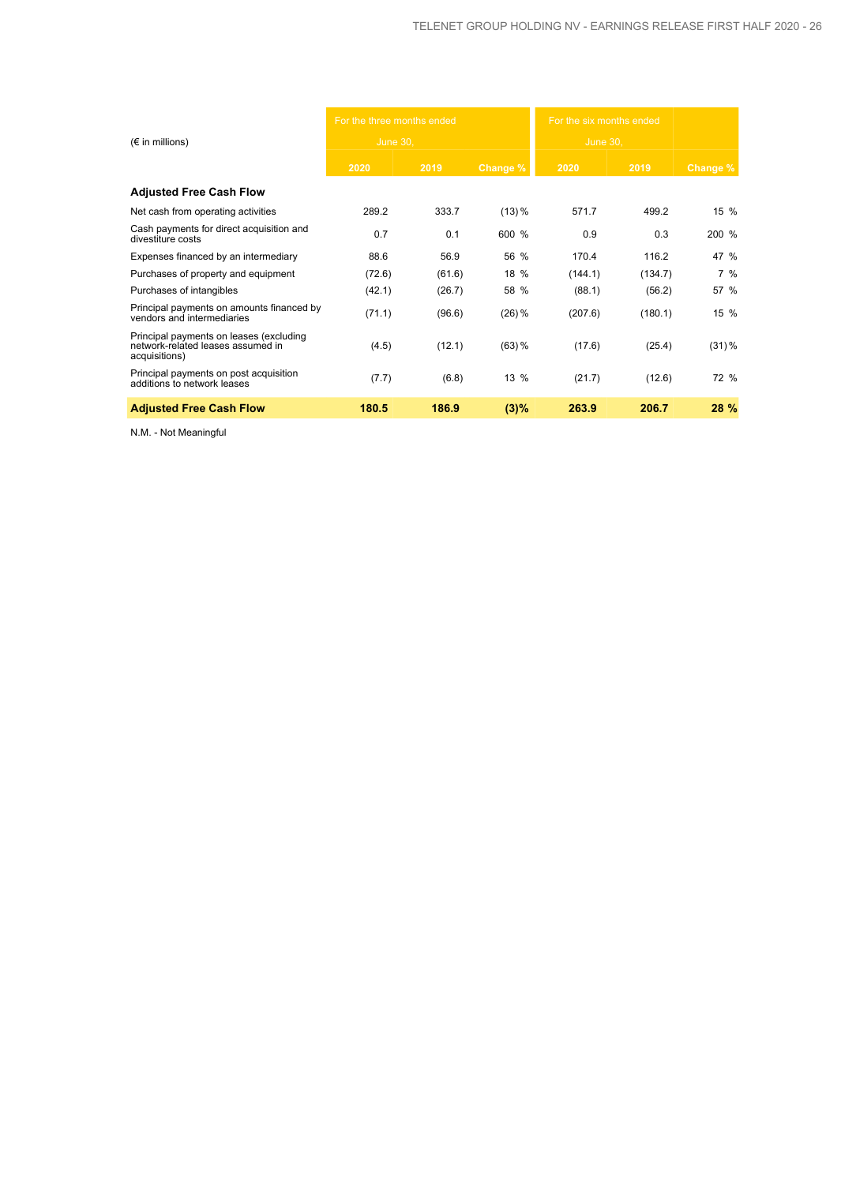|                                                                                               | For the three months ended |        |           | For the six months ended |         |          |
|-----------------------------------------------------------------------------------------------|----------------------------|--------|-----------|--------------------------|---------|----------|
| $(\epsilon$ in millions)                                                                      | <b>June 30,</b>            |        |           | <b>June 30,</b>          |         |          |
|                                                                                               | 2020                       | 2019   | Change %  | 2020                     | 2019    | Change % |
| <b>Adjusted Free Cash Flow</b>                                                                |                            |        |           |                          |         |          |
| Net cash from operating activities                                                            | 289.2                      | 333.7  | $(13) \%$ | 571.7                    | 499.2   | 15 %     |
| Cash payments for direct acquisition and<br>divestiture costs                                 | 0.7                        | 0.1    | 600 %     | 0.9                      | 0.3     | 200 %    |
| Expenses financed by an intermediary                                                          | 88.6                       | 56.9   | 56 %      | 170.4                    | 116.2   | 47 %     |
| Purchases of property and equipment                                                           | (72.6)                     | (61.6) | 18 %      | (144.1)                  | (134.7) | 7%       |
| Purchases of intangibles                                                                      | (42.1)                     | (26.7) | 58 %      | (88.1)                   | (56.2)  | 57 %     |
| Principal payments on amounts financed by<br>vendors and intermediaries                       | (71.1)                     | (96.6) | $(26)$ %  | (207.6)                  | (180.1) | 15 %     |
| Principal payments on leases (excluding<br>network-related leases assumed in<br>acquisitions) | (4.5)                      | (12.1) | $(63)$ %  | (17.6)                   | (25.4)  | $(31)\%$ |
| Principal payments on post acquisition<br>additions to network leases                         | (7.7)                      | (6.8)  | 13 %      | (21.7)                   | (12.6)  | 72 %     |
| <b>Adjusted Free Cash Flow</b>                                                                | 180.5                      | 186.9  | (3)%      | 263.9                    | 206.7   | 28 %     |

N.M. - Not Meaningful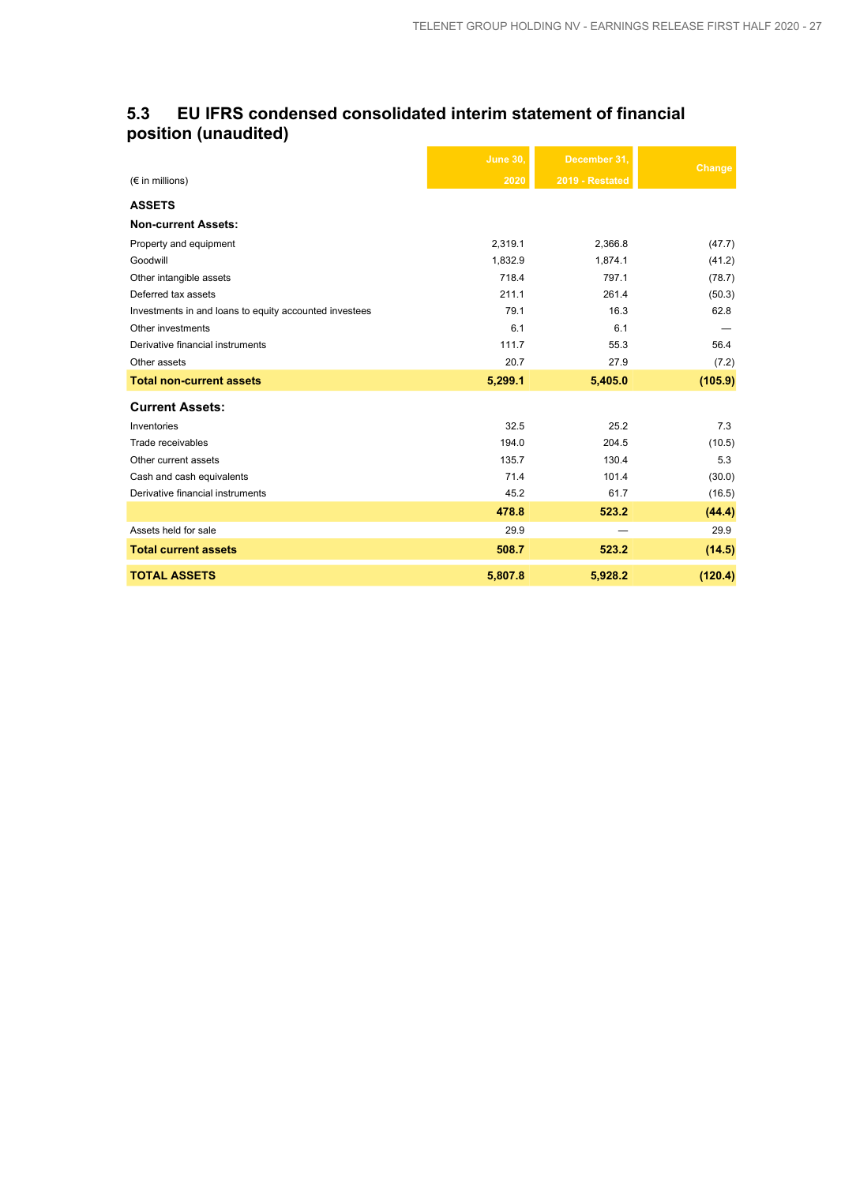## **5.3 EU IFRS condensed consolidated interim statement of financial position (unaudited)**

|                                                        | <b>June 30.</b> | December 31.    | Change  |
|--------------------------------------------------------|-----------------|-----------------|---------|
| $(\epsilon$ in millions)                               | 2020            | 2019 - Restated |         |
| <b>ASSETS</b>                                          |                 |                 |         |
| <b>Non-current Assets:</b>                             |                 |                 |         |
| Property and equipment                                 | 2,319.1         | 2,366.8         | (47.7)  |
| Goodwill                                               | 1,832.9         | 1,874.1         | (41.2)  |
| Other intangible assets                                | 718.4           | 797.1           | (78.7)  |
| Deferred tax assets                                    | 211.1           | 261.4           | (50.3)  |
| Investments in and loans to equity accounted investees | 79.1            | 16.3            | 62.8    |
| Other investments                                      | 6.1             | 6.1             |         |
| Derivative financial instruments                       | 111.7           | 55.3            | 56.4    |
| Other assets                                           | 20.7            | 27.9            | (7.2)   |
| <b>Total non-current assets</b>                        | 5,299.1         | 5,405.0         | (105.9) |
| <b>Current Assets:</b>                                 |                 |                 |         |
| Inventories                                            | 32.5            | 25.2            | 7.3     |
| Trade receivables                                      | 194.0           | 204.5           | (10.5)  |
| Other current assets                                   | 135.7           | 130.4           | 5.3     |
| Cash and cash equivalents                              | 71.4            | 101.4           | (30.0)  |
| Derivative financial instruments                       | 45.2            | 61.7            | (16.5)  |
|                                                        | 478.8           | 523.2           | (44.4)  |
| Assets held for sale                                   | 29.9            |                 | 29.9    |
| <b>Total current assets</b>                            | 508.7           | 523.2           | (14.5)  |
| <b>TOTAL ASSETS</b>                                    | 5,807.8         | 5,928.2         | (120.4) |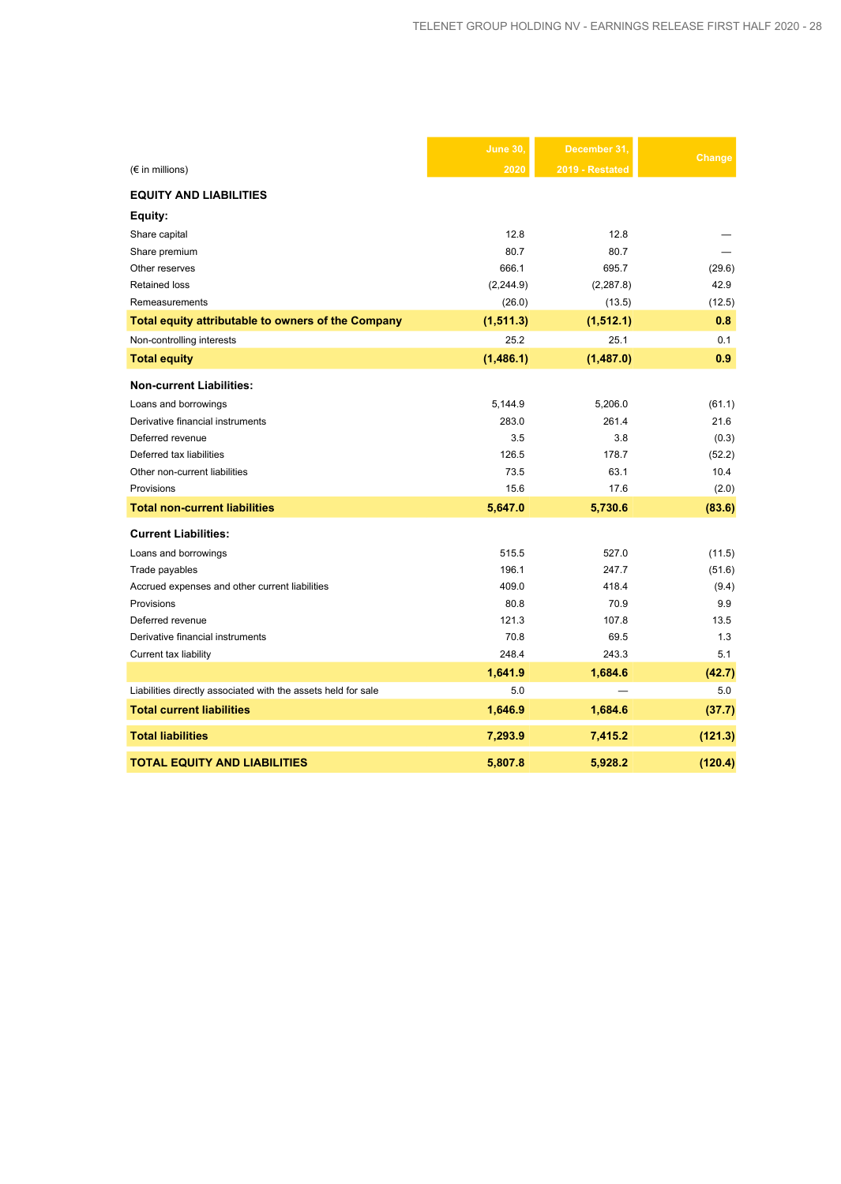|                                                               | June 30,   | December 31     | Change  |
|---------------------------------------------------------------|------------|-----------------|---------|
| $(\epsilon$ in millions)                                      | 2020       | 2019 - Restated |         |
| <b>EQUITY AND LIABILITIES</b>                                 |            |                 |         |
| Equity:                                                       |            |                 |         |
| Share capital                                                 | 12.8       | 12.8            |         |
| Share premium                                                 | 80.7       | 80.7            |         |
| Other reserves                                                | 666.1      | 695.7           | (29.6)  |
| <b>Retained loss</b>                                          | (2, 244.9) | (2, 287.8)      | 42.9    |
| Remeasurements                                                | (26.0)     | (13.5)          | (12.5)  |
| Total equity attributable to owners of the Company            | (1, 511.3) | (1, 512.1)      | 0.8     |
| Non-controlling interests                                     | 25.2       | 25.1            | 0.1     |
| <b>Total equity</b>                                           | (1,486.1)  | (1,487.0)       | 0.9     |
| <b>Non-current Liabilities:</b>                               |            |                 |         |
| Loans and borrowings                                          | 5,144.9    | 5,206.0         | (61.1)  |
| Derivative financial instruments                              | 283.0      | 261.4           | 21.6    |
| Deferred revenue                                              | 3.5        | 3.8             | (0.3)   |
| Deferred tax liabilities                                      | 126.5      | 178.7           | (52.2)  |
| Other non-current liabilities                                 | 73.5       | 63.1            | 10.4    |
| Provisions                                                    | 15.6       | 17.6            | (2.0)   |
| <b>Total non-current liabilities</b>                          | 5,647.0    | 5,730.6         | (83.6)  |
| <b>Current Liabilities:</b>                                   |            |                 |         |
| Loans and borrowings                                          | 515.5      | 527.0           | (11.5)  |
| Trade payables                                                | 196.1      | 247.7           | (51.6)  |
| Accrued expenses and other current liabilities                | 409.0      | 418.4           | (9.4)   |
| Provisions                                                    | 80.8       | 70.9            | 9.9     |
| Deferred revenue                                              | 121.3      | 107.8           | 13.5    |
| Derivative financial instruments                              | 70.8       | 69.5            | 1.3     |
| Current tax liability                                         | 248.4      | 243.3           | 5.1     |
|                                                               | 1,641.9    | 1,684.6         | (42.7)  |
| Liabilities directly associated with the assets held for sale | 5.0        |                 | 5.0     |
| <b>Total current liabilities</b>                              | 1,646.9    | 1,684.6         | (37.7)  |
| <b>Total liabilities</b>                                      | 7,293.9    | 7,415.2         | (121.3) |
| <b>TOTAL EQUITY AND LIABILITIES</b>                           | 5,807.8    | 5,928.2         | (120.4) |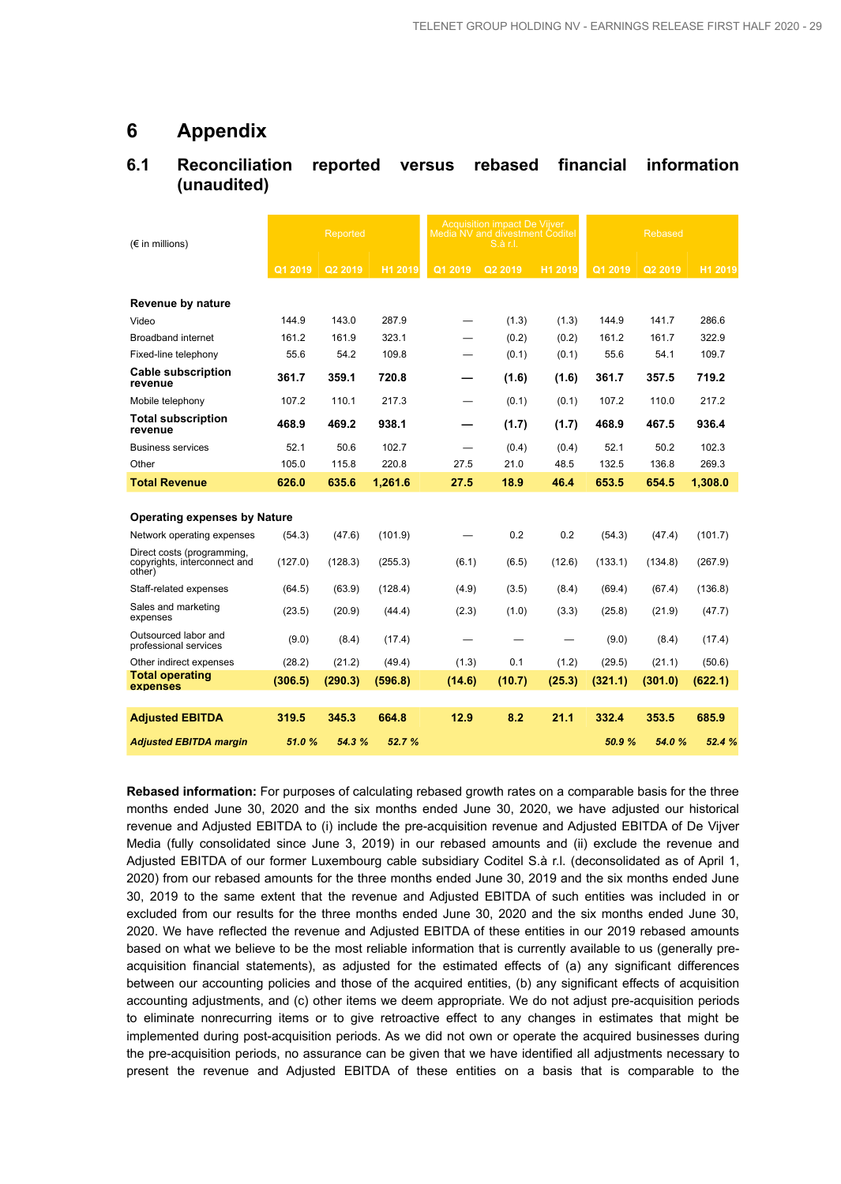## **6 Appendix**

## **6.1 Reconciliation reported versus rebased financial information (unaudited)**

| $(\epsilon$ in millions)                                             |         | Reported |         |                          | <b>Acquisition impact De Vijver</b><br>Media NV and divestment Coditel<br>S.à r.l. |         |         | <b>Rebased</b> |         |
|----------------------------------------------------------------------|---------|----------|---------|--------------------------|------------------------------------------------------------------------------------|---------|---------|----------------|---------|
|                                                                      | Q1 2019 | Q2 2019  | H1 2019 | Q1 2019                  | Q2 2019                                                                            | H1 2019 | Q1 2019 | Q2 2019        | H1 2019 |
| Revenue by nature                                                    |         |          |         |                          |                                                                                    |         |         |                |         |
| Video                                                                | 144.9   | 143.0    | 287.9   |                          | (1.3)                                                                              | (1.3)   | 144.9   | 141.7          | 286.6   |
| <b>Broadband internet</b>                                            | 161.2   | 161.9    | 323.1   |                          | (0.2)                                                                              | (0.2)   | 161.2   | 161.7          | 322.9   |
| Fixed-line telephony                                                 | 55.6    | 54.2     | 109.8   |                          | (0.1)                                                                              | (0.1)   | 55.6    | 54.1           | 109.7   |
| <b>Cable subscription</b><br>revenue                                 | 361.7   | 359.1    | 720.8   |                          | (1.6)                                                                              | (1.6)   | 361.7   | 357.5          | 719.2   |
| Mobile telephony                                                     | 107.2   | 110.1    | 217.3   | $\overline{\phantom{0}}$ | (0.1)                                                                              | (0.1)   | 107.2   | 110.0          | 217.2   |
| <b>Total subscription</b><br>revenue                                 | 468.9   | 469.2    | 938.1   |                          | (1.7)                                                                              | (1.7)   | 468.9   | 467.5          | 936.4   |
| <b>Business services</b>                                             | 52.1    | 50.6     | 102.7   |                          | (0.4)                                                                              | (0.4)   | 52.1    | 50.2           | 102.3   |
| Other                                                                | 105.0   | 115.8    | 220.8   | 27.5                     | 21.0                                                                               | 48.5    | 132.5   | 136.8          | 269.3   |
| <b>Total Revenue</b>                                                 | 626.0   | 635.6    | 1,261.6 | 27.5                     | 18.9                                                                               | 46.4    | 653.5   | 654.5          | 1,308.0 |
| <b>Operating expenses by Nature</b>                                  |         |          |         |                          |                                                                                    |         |         |                |         |
| Network operating expenses                                           | (54.3)  | (47.6)   | (101.9) |                          | 0.2                                                                                | 0.2     | (54.3)  | (47.4)         | (101.7) |
| Direct costs (programming,<br>copyrights, interconnect and<br>other) | (127.0) | (128.3)  | (255.3) | (6.1)                    | (6.5)                                                                              | (12.6)  | (133.1) | (134.8)        | (267.9) |
| Staff-related expenses                                               | (64.5)  | (63.9)   | (128.4) | (4.9)                    | (3.5)                                                                              | (8.4)   | (69.4)  | (67.4)         | (136.8) |
| Sales and marketing<br>expenses                                      | (23.5)  | (20.9)   | (44.4)  | (2.3)                    | (1.0)                                                                              | (3.3)   | (25.8)  | (21.9)         | (47.7)  |
| Outsourced labor and<br>professional services                        | (9.0)   | (8.4)    | (17.4)  |                          |                                                                                    |         | (9.0)   | (8.4)          | (17.4)  |
| Other indirect expenses                                              | (28.2)  | (21.2)   | (49.4)  | (1.3)                    | 0.1                                                                                | (1.2)   | (29.5)  | (21.1)         | (50.6)  |
| <b>Total operating</b><br>expenses                                   | (306.5) | (290.3)  | (596.8) | (14.6)                   | (10.7)                                                                             | (25.3)  | (321.1) | (301.0)        | (622.1) |
|                                                                      |         |          |         |                          |                                                                                    |         |         |                |         |
| <b>Adiusted EBITDA</b>                                               | 319.5   | 345.3    | 664.8   | 12.9                     | 8.2                                                                                | 21.1    | 332.4   | 353.5          | 685.9   |
| <b>Adjusted EBITDA margin</b>                                        | 51.0%   | 54.3%    | 52.7 %  |                          |                                                                                    |         | 50.9%   | 54.0%          | 52.4 %  |

**Rebased information:** For purposes of calculating rebased growth rates on a comparable basis for the three months ended June 30, 2020 and the six months ended June 30, 2020, we have adjusted our historical revenue and Adjusted EBITDA to (i) include the pre-acquisition revenue and Adjusted EBITDA of De Vijver Media (fully consolidated since June 3, 2019) in our rebased amounts and (ii) exclude the revenue and Adjusted EBITDA of our former Luxembourg cable subsidiary Coditel S.à r.l. (deconsolidated as of April 1, 2020) from our rebased amounts for the three months ended June 30, 2019 and the six months ended June 30, 2019 to the same extent that the revenue and Adjusted EBITDA of such entities was included in or excluded from our results for the three months ended June 30, 2020 and the six months ended June 30, 2020. We have reflected the revenue and Adjusted EBITDA of these entities in our 2019 rebased amounts based on what we believe to be the most reliable information that is currently available to us (generally preacquisition financial statements), as adjusted for the estimated effects of (a) any significant differences between our accounting policies and those of the acquired entities, (b) any significant effects of acquisition accounting adjustments, and (c) other items we deem appropriate. We do not adjust pre-acquisition periods to eliminate nonrecurring items or to give retroactive effect to any changes in estimates that might be implemented during post-acquisition periods. As we did not own or operate the acquired businesses during the pre-acquisition periods, no assurance can be given that we have identified all adjustments necessary to present the revenue and Adjusted EBITDA of these entities on a basis that is comparable to the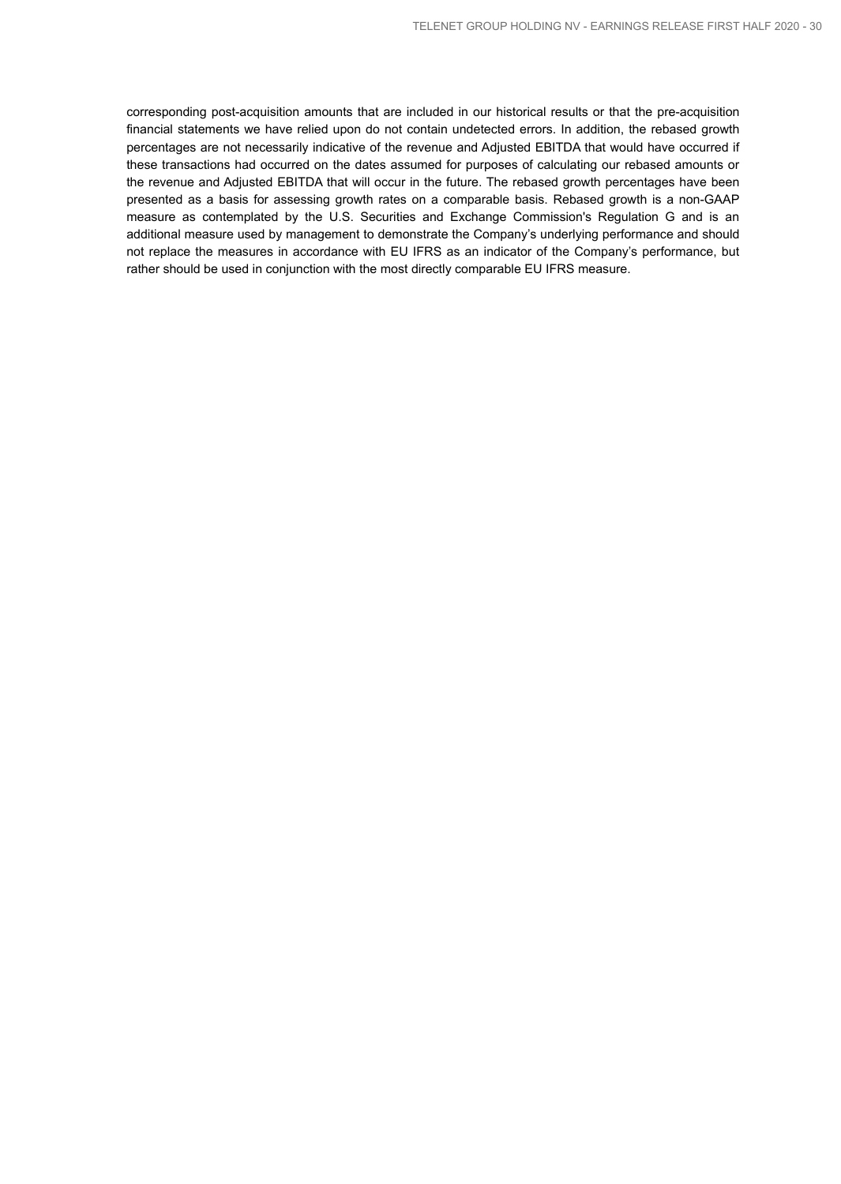corresponding post-acquisition amounts that are included in our historical results or that the pre-acquisition financial statements we have relied upon do not contain undetected errors. In addition, the rebased growth percentages are not necessarily indicative of the revenue and Adjusted EBITDA that would have occurred if these transactions had occurred on the dates assumed for purposes of calculating our rebased amounts or the revenue and Adjusted EBITDA that will occur in the future. The rebased growth percentages have been presented as a basis for assessing growth rates on a comparable basis. Rebased growth is a non-GAAP measure as contemplated by the U.S. Securities and Exchange Commission's Regulation G and is an additional measure used by management to demonstrate the Company's underlying performance and should not replace the measures in accordance with EU IFRS as an indicator of the Company's performance, but rather should be used in conjunction with the most directly comparable EU IFRS measure.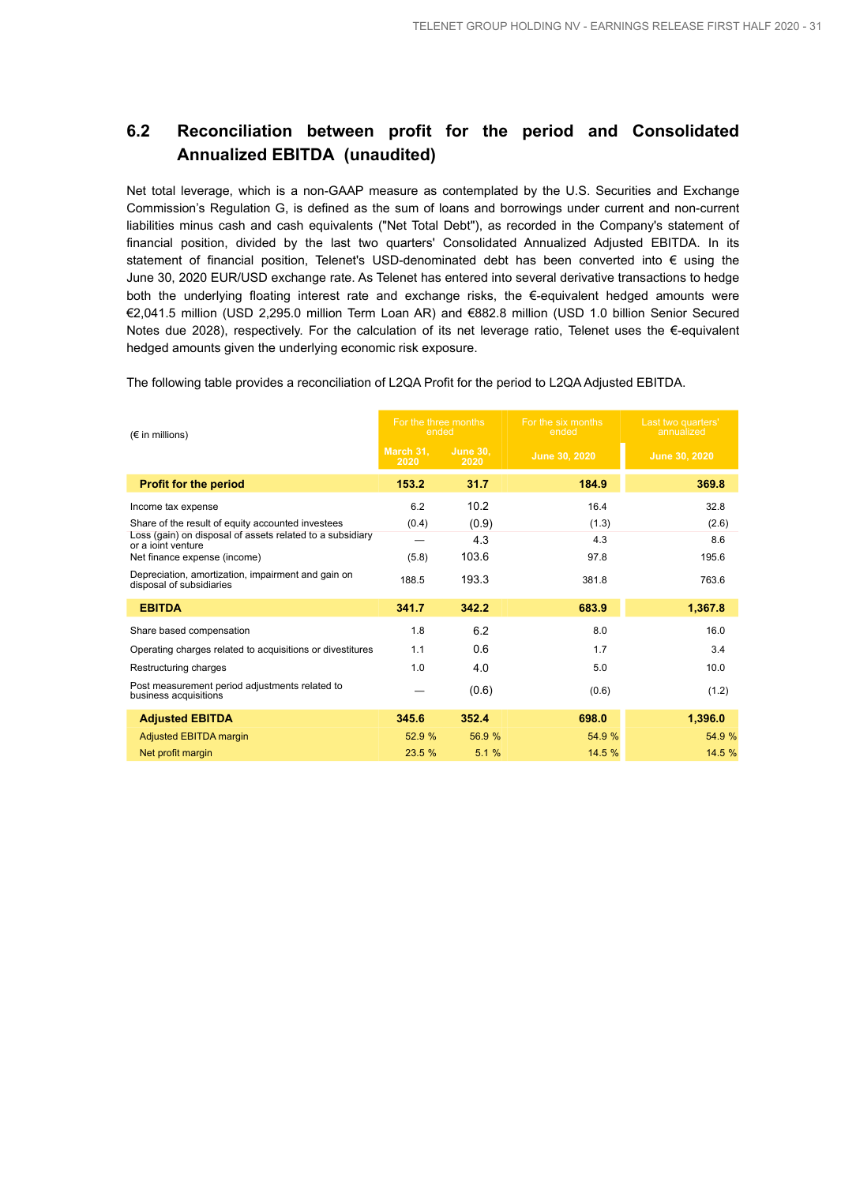## **6.2 Reconciliation between profit for the period and Consolidated Annualized EBITDA (unaudited)**

Net total leverage, which is a non-GAAP measure as contemplated by the U.S. Securities and Exchange Commission's Regulation G, is defined as the sum of loans and borrowings under current and non-current liabilities minus cash and cash equivalents ("Net Total Debt"), as recorded in the Company's statement of financial position, divided by the last two quarters' Consolidated Annualized Adjusted EBITDA. In its statement of financial position, Telenet's USD-denominated debt has been converted into € using the June 30, 2020 EUR/USD exchange rate. As Telenet has entered into several derivative transactions to hedge both the underlying floating interest rate and exchange risks, the  $\epsilon$ -equivalent hedged amounts were €2,041.5 million (USD 2,295.0 million Term Loan AR) and €882.8 million (USD 1.0 billion Senior Secured Notes due 2028), respectively. For the calculation of its net leverage ratio, Telenet uses the €-equivalent hedged amounts given the underlying economic risk exposure.

The following table provides a reconciliation of L2QA Profit for the period to L2QA Adjusted EBITDA.

| $(\epsilon$ in millions)                                                        | For the three months<br>ended |                         | For the six months<br>ended | Last two quarters'<br>annualized |  |
|---------------------------------------------------------------------------------|-------------------------------|-------------------------|-----------------------------|----------------------------------|--|
|                                                                                 | March 31,<br>2020             | <b>June 30.</b><br>2020 | June 30, 2020               | June 30, 2020                    |  |
| <b>Profit for the period</b>                                                    | 153.2                         | 31.7                    | 184.9                       | 369.8                            |  |
| Income tax expense                                                              | 6.2                           | 10.2                    | 16.4                        | 32.8                             |  |
| Share of the result of equity accounted investees                               | (0.4)                         | (0.9)                   | (1.3)                       | (2.6)                            |  |
| Loss (gain) on disposal of assets related to a subsidiary<br>or a joint venture |                               | 4.3                     | 4.3                         | 8.6                              |  |
| Net finance expense (income)                                                    | (5.8)                         | 103.6                   | 97.8                        | 195.6                            |  |
| Depreciation, amortization, impairment and gain on<br>disposal of subsidiaries  | 188.5                         | 193.3                   | 381.8                       | 763.6                            |  |
| <b>EBITDA</b>                                                                   | 341.7                         | 342.2                   | 683.9                       | 1,367.8                          |  |
| Share based compensation                                                        | 1.8                           | 6.2                     | 8.0                         | 16.0                             |  |
| Operating charges related to acquisitions or divestitures                       | 1.1                           | 0.6                     | 1.7                         | 3.4                              |  |
| Restructuring charges                                                           | 1.0                           | 4.0                     | 5.0                         | 10.0                             |  |
| Post measurement period adjustments related to<br>business acquisitions         |                               | (0.6)                   | (0.6)                       | (1.2)                            |  |
| <b>Adjusted EBITDA</b>                                                          | 345.6                         | 352.4                   | 698.0                       | 1,396.0                          |  |
| <b>Adjusted EBITDA margin</b>                                                   | 52.9 %                        | 56.9 %                  | 54.9 %                      | 54.9 %                           |  |
| Net profit margin                                                               | 23.5 %                        | 5.1%                    | 14.5 %                      | 14.5 %                           |  |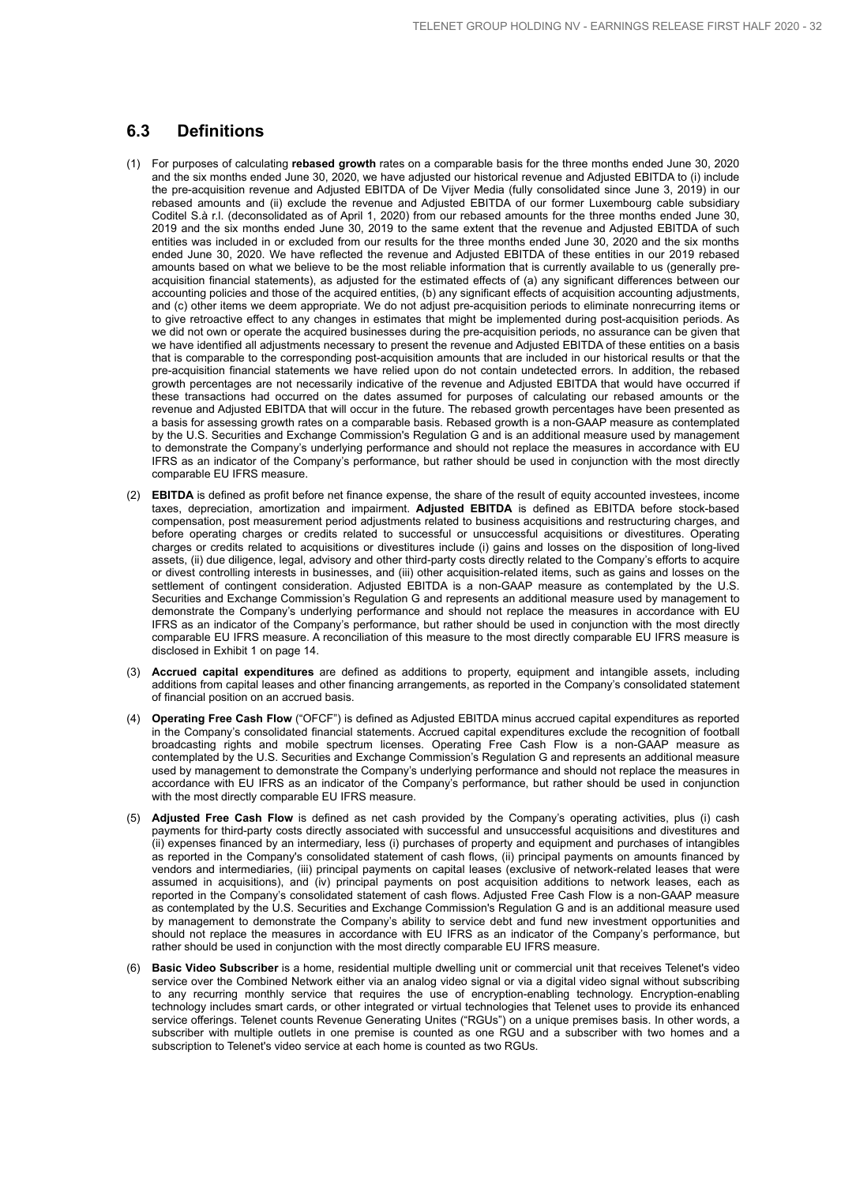## **6.3 Definitions**

- (1) For purposes of calculating **rebased growth** rates on a comparable basis for the three months ended June 30, 2020 and the six months ended June 30, 2020, we have adjusted our historical revenue and Adjusted EBITDA to (i) include the pre-acquisition revenue and Adjusted EBITDA of De Vijver Media (fully consolidated since June 3, 2019) in our rebased amounts and (ii) exclude the revenue and Adjusted EBITDA of our former Luxembourg cable subsidiary Coditel S.à r.l. (deconsolidated as of April 1, 2020) from our rebased amounts for the three months ended June 30, 2019 and the six months ended June 30, 2019 to the same extent that the revenue and Adjusted EBITDA of such entities was included in or excluded from our results for the three months ended June 30, 2020 and the six months ended June 30, 2020. We have reflected the revenue and Adjusted EBITDA of these entities in our 2019 rebased amounts based on what we believe to be the most reliable information that is currently available to us (generally preacquisition financial statements), as adjusted for the estimated effects of (a) any significant differences between our accounting policies and those of the acquired entities, (b) any significant effects of acquisition accounting adjustments, and (c) other items we deem appropriate. We do not adjust pre-acquisition periods to eliminate nonrecurring items or to give retroactive effect to any changes in estimates that might be implemented during post-acquisition periods. As we did not own or operate the acquired businesses during the pre-acquisition periods, no assurance can be given that we have identified all adjustments necessary to present the revenue and Adjusted EBITDA of these entities on a basis that is comparable to the corresponding post-acquisition amounts that are included in our historical results or that the pre-acquisition financial statements we have relied upon do not contain undetected errors. In addition, the rebased growth percentages are not necessarily indicative of the revenue and Adjusted EBITDA that would have occurred if these transactions had occurred on the dates assumed for purposes of calculating our rebased amounts or the revenue and Adjusted EBITDA that will occur in the future. The rebased growth percentages have been presented as a basis for assessing growth rates on a comparable basis. Rebased growth is a non-GAAP measure as contemplated by the U.S. Securities and Exchange Commission's Regulation G and is an additional measure used by management to demonstrate the Company's underlying performance and should not replace the measures in accordance with EU IFRS as an indicator of the Company's performance, but rather should be used in conjunction with the most directly comparable EU IFRS measure.
- (2) **EBITDA** is defined as profit before net finance expense, the share of the result of equity accounted investees, income taxes, depreciation, amortization and impairment. **Adjusted EBITDA** is defined as EBITDA before stock-based compensation, post measurement period adjustments related to business acquisitions and restructuring charges, and before operating charges or credits related to successful or unsuccessful acquisitions or divestitures. Operating charges or credits related to acquisitions or divestitures include (i) gains and losses on the disposition of long-lived assets, (ii) due diligence, legal, advisory and other third-party costs directly related to the Company's efforts to acquire or divest controlling interests in businesses, and (iii) other acquisition-related items, such as gains and losses on the settlement of contingent consideration. Adjusted EBITDA is a non-GAAP measure as contemplated by the U.S. Securities and Exchange Commission's Regulation G and represents an additional measure used by management to demonstrate the Company's underlying performance and should not replace the measures in accordance with EU IFRS as an indicator of the Company's performance, but rather should be used in conjunction with the most directly comparable EU IFRS measure. A reconciliation of this measure to the most directly comparable EU IFRS measure is disclosed in Exhibit 1 on page 14.
- (3) **Accrued capital expenditures** are defined as additions to property, equipment and intangible assets, including additions from capital leases and other financing arrangements, as reported in the Company's consolidated statement of financial position on an accrued basis.
- (4) **Operating Free Cash Flow** ("OFCF") is defined as Adjusted EBITDA minus accrued capital expenditures as reported in the Company's consolidated financial statements. Accrued capital expenditures exclude the recognition of football broadcasting rights and mobile spectrum licenses. Operating Free Cash Flow is a non-GAAP measure as contemplated by the U.S. Securities and Exchange Commission's Regulation G and represents an additional measure used by management to demonstrate the Company's underlying performance and should not replace the measures in accordance with EU IFRS as an indicator of the Company's performance, but rather should be used in conjunction with the most directly comparable EU IFRS measure.
- (5) **Adjusted Free Cash Flow** is defined as net cash provided by the Company's operating activities, plus (i) cash payments for third-party costs directly associated with successful and unsuccessful acquisitions and divestitures and (ii) expenses financed by an intermediary, less (i) purchases of property and equipment and purchases of intangibles as reported in the Company's consolidated statement of cash flows, (ii) principal payments on amounts financed by vendors and intermediaries, (iii) principal payments on capital leases (exclusive of network-related leases that were assumed in acquisitions), and (iv) principal payments on post acquisition additions to network leases, each as reported in the Company's consolidated statement of cash flows. Adjusted Free Cash Flow is a non-GAAP measure as contemplated by the U.S. Securities and Exchange Commission's Regulation G and is an additional measure used by management to demonstrate the Company's ability to service debt and fund new investment opportunities and should not replace the measures in accordance with EU IFRS as an indicator of the Company's performance, but rather should be used in conjunction with the most directly comparable EU IFRS measure.
- (6) **Basic Video Subscriber** is a home, residential multiple dwelling unit or commercial unit that receives Telenet's video service over the Combined Network either via an analog video signal or via a digital video signal without subscribing to any recurring monthly service that requires the use of encryption-enabling technology. Encryption-enabling technology includes smart cards, or other integrated or virtual technologies that Telenet uses to provide its enhanced service offerings. Telenet counts Revenue Generating Unites ("RGUs") on a unique premises basis. In other words, a subscriber with multiple outlets in one premise is counted as one RGU and a subscriber with two homes and a subscription to Telenet's video service at each home is counted as two RGUs.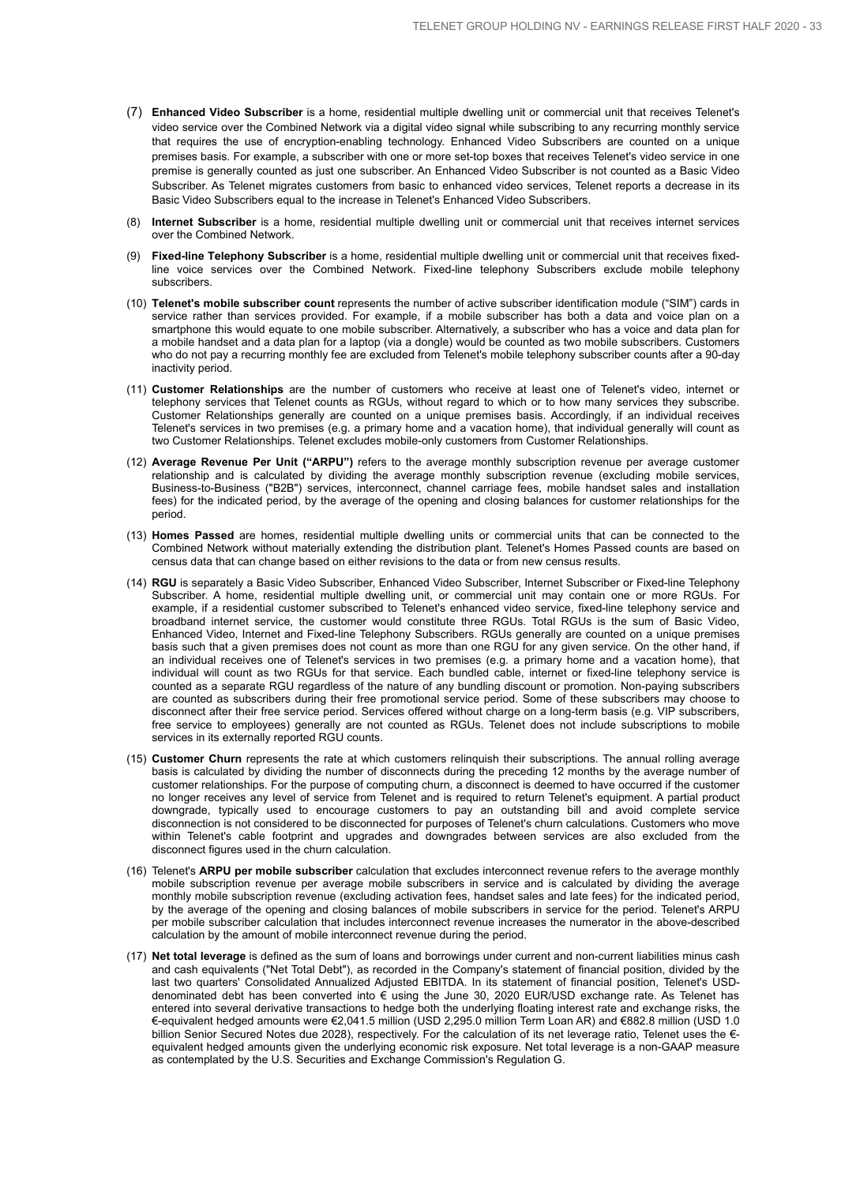- (7) **Enhanced Video Subscriber** is a home, residential multiple dwelling unit or commercial unit that receives Telenet's video service over the Combined Network via a digital video signal while subscribing to any recurring monthly service that requires the use of encryption-enabling technology. Enhanced Video Subscribers are counted on a unique premises basis. For example, a subscriber with one or more set-top boxes that receives Telenet's video service in one premise is generally counted as just one subscriber. An Enhanced Video Subscriber is not counted as a Basic Video Subscriber. As Telenet migrates customers from basic to enhanced video services, Telenet reports a decrease in its Basic Video Subscribers equal to the increase in Telenet's Enhanced Video Subscribers.
- (8) **Internet Subscriber** is a home, residential multiple dwelling unit or commercial unit that receives internet services over the Combined Network.
- (9) **Fixed-line Telephony Subscriber** is a home, residential multiple dwelling unit or commercial unit that receives fixedline voice services over the Combined Network. Fixed-line telephony Subscribers exclude mobile telephony subscribers.
- (10) **Telenet's mobile subscriber count** represents the number of active subscriber identification module ("SIM") cards in service rather than services provided. For example, if a mobile subscriber has both a data and voice plan on a smartphone this would equate to one mobile subscriber. Alternatively, a subscriber who has a voice and data plan for a mobile handset and a data plan for a laptop (via a dongle) would be counted as two mobile subscribers. Customers who do not pay a recurring monthly fee are excluded from Telenet's mobile telephony subscriber counts after a 90-day inactivity period.
- (11) **Customer Relationships** are the number of customers who receive at least one of Telenet's video, internet or telephony services that Telenet counts as RGUs, without regard to which or to how many services they subscribe. Customer Relationships generally are counted on a unique premises basis. Accordingly, if an individual receives Telenet's services in two premises (e.g. a primary home and a vacation home), that individual generally will count as two Customer Relationships. Telenet excludes mobile-only customers from Customer Relationships.
- (12) **Average Revenue Per Unit ("ARPU")** refers to the average monthly subscription revenue per average customer relationship and is calculated by dividing the average monthly subscription revenue (excluding mobile services, Business-to-Business ("B2B") services, interconnect, channel carriage fees, mobile handset sales and installation fees) for the indicated period, by the average of the opening and closing balances for customer relationships for the period.
- (13) **Homes Passed** are homes, residential multiple dwelling units or commercial units that can be connected to the Combined Network without materially extending the distribution plant. Telenet's Homes Passed counts are based on census data that can change based on either revisions to the data or from new census results.
- (14) **RGU** is separately a Basic Video Subscriber, Enhanced Video Subscriber, Internet Subscriber or Fixed-line Telephony Subscriber. A home, residential multiple dwelling unit, or commercial unit may contain one or more RGUs. For example, if a residential customer subscribed to Telenet's enhanced video service, fixed-line telephony service and broadband internet service, the customer would constitute three RGUs. Total RGUs is the sum of Basic Video, Enhanced Video, Internet and Fixed-line Telephony Subscribers. RGUs generally are counted on a unique premises basis such that a given premises does not count as more than one RGU for any given service. On the other hand, if an individual receives one of Telenet's services in two premises (e.g. a primary home and a vacation home), that individual will count as two RGUs for that service. Each bundled cable, internet or fixed-line telephony service is counted as a separate RGU regardless of the nature of any bundling discount or promotion. Non-paying subscribers are counted as subscribers during their free promotional service period. Some of these subscribers may choose to disconnect after their free service period. Services offered without charge on a long-term basis (e.g. VIP subscribers, free service to employees) generally are not counted as RGUs. Telenet does not include subscriptions to mobile services in its externally reported RGU counts.
- (15) **Customer Churn** represents the rate at which customers relinquish their subscriptions. The annual rolling average basis is calculated by dividing the number of disconnects during the preceding 12 months by the average number of customer relationships. For the purpose of computing churn, a disconnect is deemed to have occurred if the customer no longer receives any level of service from Telenet and is required to return Telenet's equipment. A partial product downgrade, typically used to encourage customers to pay an outstanding bill and avoid complete service disconnection is not considered to be disconnected for purposes of Telenet's churn calculations. Customers who move within Telenet's cable footprint and upgrades and downgrades between services are also excluded from the disconnect figures used in the churn calculation.
- (16) Telenet's **ARPU per mobile subscriber** calculation that excludes interconnect revenue refers to the average monthly mobile subscription revenue per average mobile subscribers in service and is calculated by dividing the average monthly mobile subscription revenue (excluding activation fees, handset sales and late fees) for the indicated period, by the average of the opening and closing balances of mobile subscribers in service for the period. Telenet's ARPU per mobile subscriber calculation that includes interconnect revenue increases the numerator in the above-described calculation by the amount of mobile interconnect revenue during the period.
- (17) **Net total leverage** is defined as the sum of loans and borrowings under current and non-current liabilities minus cash and cash equivalents ("Net Total Debt"), as recorded in the Company's statement of financial position, divided by the last two quarters' Consolidated Annualized Adjusted EBITDA. In its statement of financial position, Telenet's USDdenominated debt has been converted into € using the June 30, 2020 EUR/USD exchange rate. As Telenet has entered into several derivative transactions to hedge both the underlying floating interest rate and exchange risks, the €-equivalent hedged amounts were €2,041.5 million (USD 2,295.0 million Term Loan AR) and €882.8 million (USD 1.0 billion Senior Secured Notes due 2028), respectively. For the calculation of its net leverage ratio, Telenet uses the € equivalent hedged amounts given the underlying economic risk exposure. Net total leverage is a non-GAAP measure as contemplated by the U.S. Securities and Exchange Commission's Regulation G.